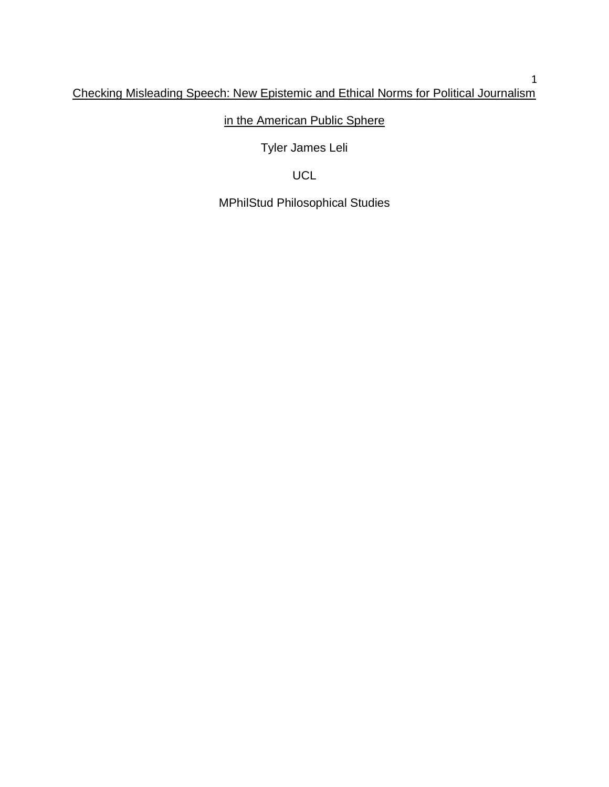# in the American Public Sphere

Tyler James Leli

# UCL

MPhilStud Philosophical Studies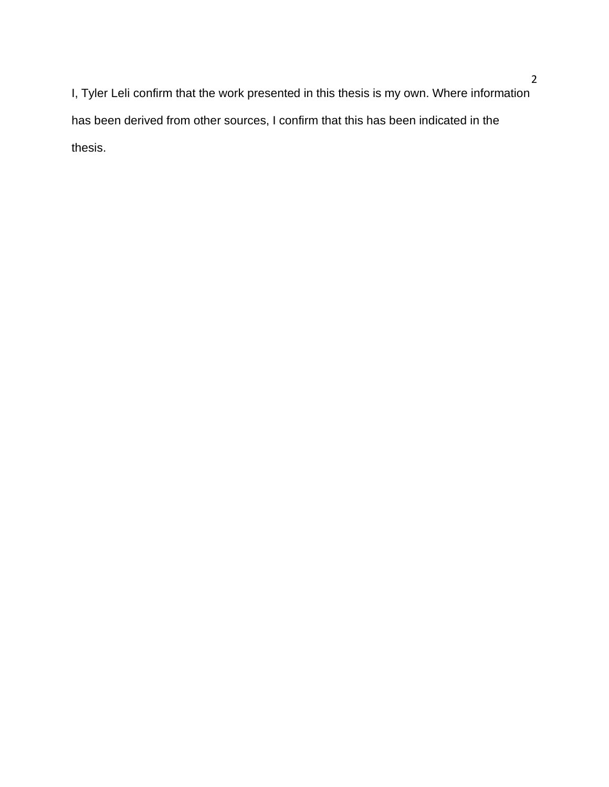I, Tyler Leli confirm that the work presented in this thesis is my own. Where information has been derived from other sources, I confirm that this has been indicated in the thesis.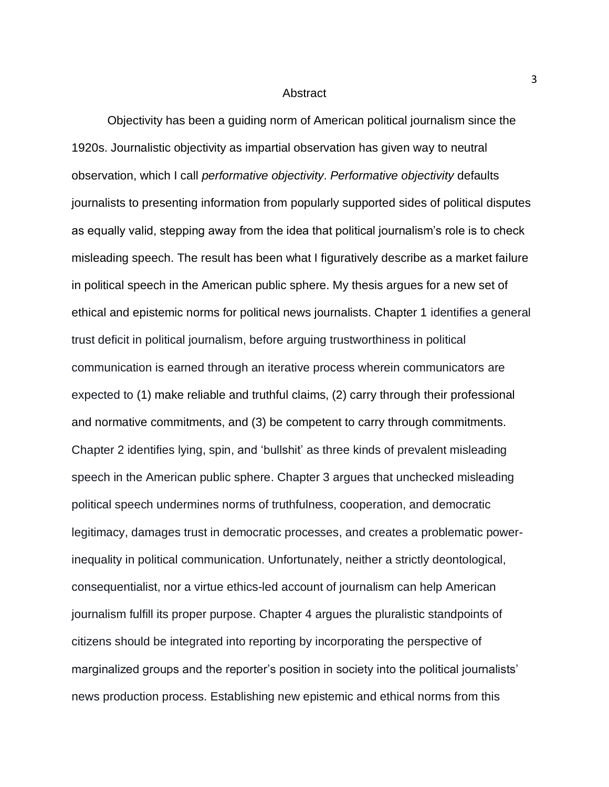#### Abstract

Objectivity has been a guiding norm of American political journalism since the 1920s. Journalistic objectivity as impartial observation has given way to neutral observation, which I call *performative objectivity*. *Performative objectivity* defaults journalists to presenting information from popularly supported sides of political disputes as equally valid, stepping away from the idea that political journalism's role is to check misleading speech. The result has been what I figuratively describe as a market failure in political speech in the American public sphere. My thesis argues for a new set of ethical and epistemic norms for political news journalists. Chapter 1 identifies a general trust deficit in political journalism, before arguing trustworthiness in political communication is earned through an iterative process wherein communicators are expected to (1) make reliable and truthful claims, (2) carry through their professional and normative commitments, and (3) be competent to carry through commitments. Chapter 2 identifies lying, spin, and 'bullshit' as three kinds of prevalent misleading speech in the American public sphere. Chapter 3 argues that unchecked misleading political speech undermines norms of truthfulness, cooperation, and democratic legitimacy, damages trust in democratic processes, and creates a problematic powerinequality in political communication. Unfortunately, neither a strictly deontological, consequentialist, nor a virtue ethics-led account of journalism can help American journalism fulfill its proper purpose. Chapter 4 argues the pluralistic standpoints of citizens should be integrated into reporting by incorporating the perspective of marginalized groups and the reporter's position in society into the political journalists' news production process. Establishing new epistemic and ethical norms from this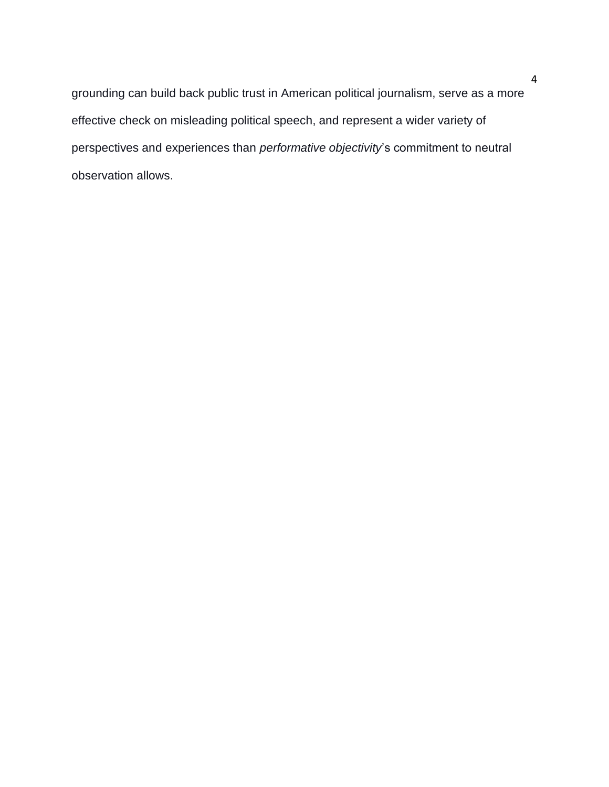grounding can build back public trust in American political journalism, serve as a more effective check on misleading political speech, and represent a wider variety of perspectives and experiences than *performative objectivity*'s commitment to neutral observation allows.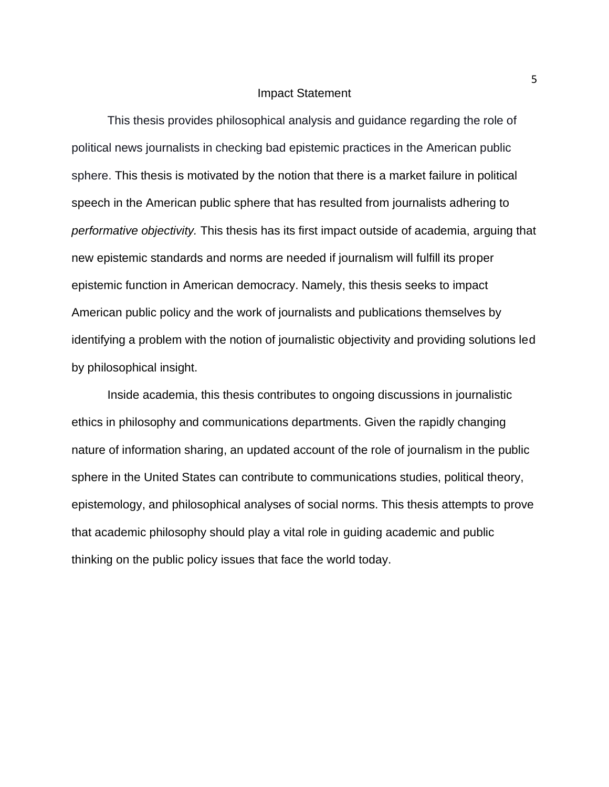### Impact Statement

This thesis provides philosophical analysis and guidance regarding the role of political news journalists in checking bad epistemic practices in the American public sphere. This thesis is motivated by the notion that there is a market failure in political speech in the American public sphere that has resulted from journalists adhering to *performative objectivity.* This thesis has its first impact outside of academia, arguing that new epistemic standards and norms are needed if journalism will fulfill its proper epistemic function in American democracy. Namely, this thesis seeks to impact American public policy and the work of journalists and publications themselves by identifying a problem with the notion of journalistic objectivity and providing solutions led by philosophical insight.

Inside academia, this thesis contributes to ongoing discussions in journalistic ethics in philosophy and communications departments. Given the rapidly changing nature of information sharing, an updated account of the role of journalism in the public sphere in the United States can contribute to communications studies, political theory, epistemology, and philosophical analyses of social norms. This thesis attempts to prove that academic philosophy should play a vital role in guiding academic and public thinking on the public policy issues that face the world today.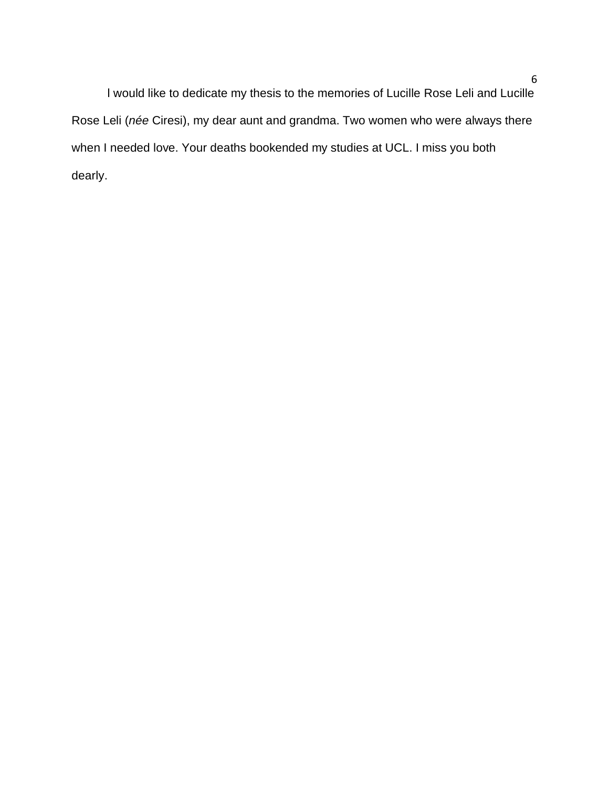l would like to dedicate my thesis to the memories of Lucille Rose Leli and Lucille Rose Leli (*née* Ciresi), my dear aunt and grandma. Two women who were always there when I needed love. Your deaths bookended my studies at UCL. I miss you both dearly.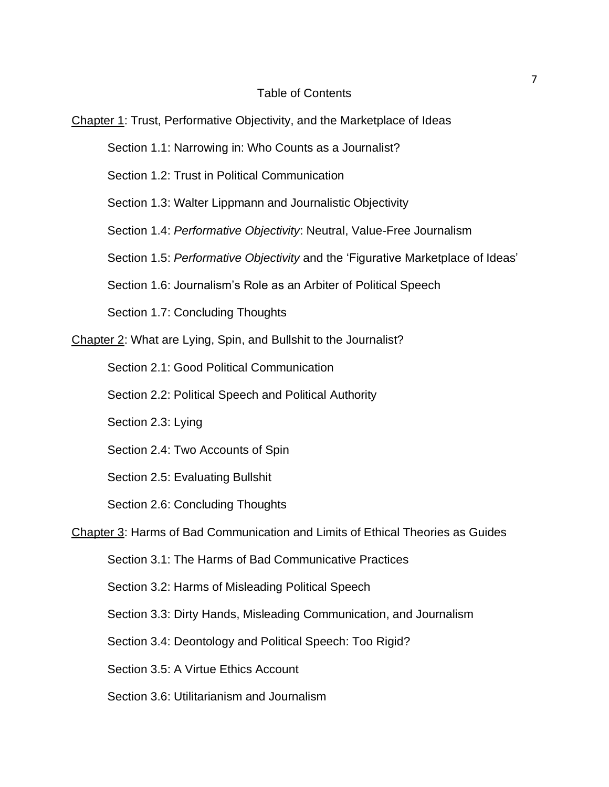# Table of Contents

## Chapter 1: Trust, Performative Objectivity, and the Marketplace of Ideas

Section 1.1: Narrowing in: Who Counts as a Journalist?

Section 1.2: Trust in Political Communication

Section 1.3: Walter Lippmann and Journalistic Objectivity

Section 1.4: *Performative Objectivity*: Neutral, Value-Free Journalism

Section 1.5: *Performative Objectivity* and the 'Figurative Marketplace of Ideas'

Section 1.6: Journalism's Role as an Arbiter of Political Speech

Section 1.7: Concluding Thoughts

Chapter 2: What are Lying, Spin, and Bullshit to the Journalist?

Section 2.1: Good Political Communication

Section 2.2: Political Speech and Political Authority

Section 2.3: Lying

Section 2.4: Two Accounts of Spin

Section 2.5: Evaluating Bullshit

Section 2.6: Concluding Thoughts

# Chapter 3: Harms of Bad Communication and Limits of Ethical Theories as Guides

Section 3.1: The Harms of Bad Communicative Practices

Section 3.2: Harms of Misleading Political Speech

Section 3.3: Dirty Hands, Misleading Communication, and Journalism

Section 3.4: Deontology and Political Speech: Too Rigid?

Section 3.5: A Virtue Ethics Account

Section 3.6: Utilitarianism and Journalism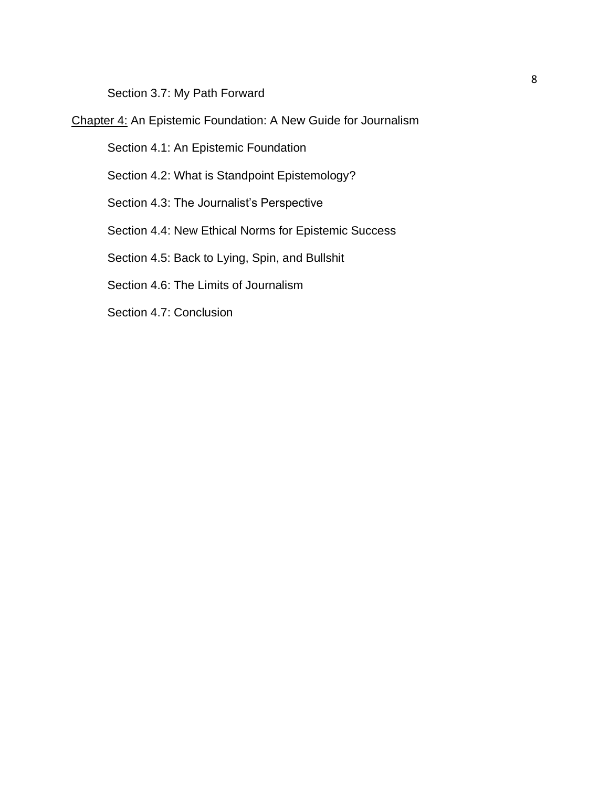Section 3.7: My Path Forward

Chapter 4: An Epistemic Foundation: A New Guide for Journalism

Section 4.1: An Epistemic Foundation

Section 4.2: What is Standpoint Epistemology?

Section 4.3: The Journalist's Perspective

Section 4.4: New Ethical Norms for Epistemic Success

Section 4.5: Back to Lying, Spin, and Bullshit

Section 4.6: The Limits of Journalism

Section 4.7: Conclusion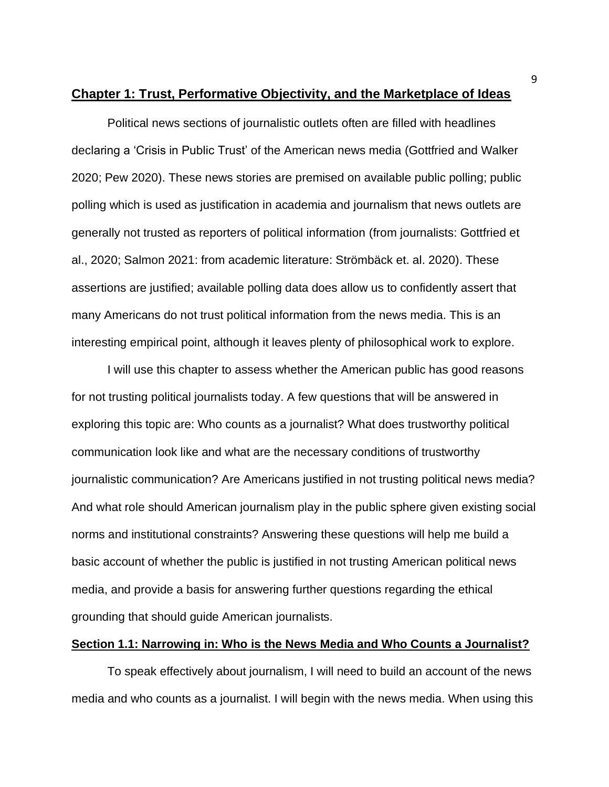### **Chapter 1: Trust, Performative Objectivity, and the Marketplace of Ideas**

Political news sections of journalistic outlets often are filled with headlines declaring a 'Crisis in Public Trust' of the American news media (Gottfried and Walker 2020; Pew 2020). These news stories are premised on available public polling; public polling which is used as justification in academia and journalism that news outlets are generally not trusted as reporters of political information (from journalists: Gottfried et al., 2020; Salmon 2021: from academic literature: Strömbäck et. al. 2020). These assertions are justified; available polling data does allow us to confidently assert that many Americans do not trust political information from the news media. This is an interesting empirical point, although it leaves plenty of philosophical work to explore.

I will use this chapter to assess whether the American public has good reasons for not trusting political journalists today. A few questions that will be answered in exploring this topic are: Who counts as a journalist? What does trustworthy political communication look like and what are the necessary conditions of trustworthy journalistic communication? Are Americans justified in not trusting political news media? And what role should American journalism play in the public sphere given existing social norms and institutional constraints? Answering these questions will help me build a basic account of whether the public is justified in not trusting American political news media, and provide a basis for answering further questions regarding the ethical grounding that should guide American journalists.

### **Section 1.1: Narrowing in: Who is the News Media and Who Counts a Journalist?**

To speak effectively about journalism, I will need to build an account of the news media and who counts as a journalist. I will begin with the news media. When using this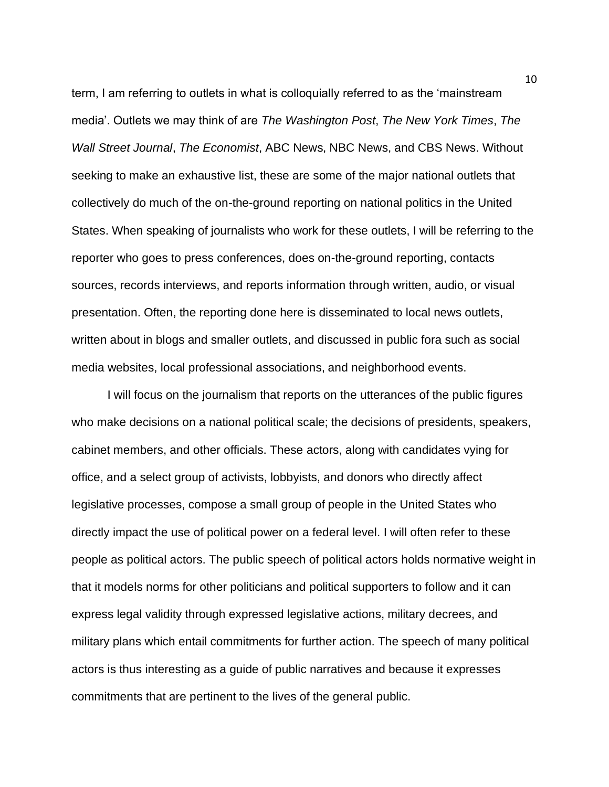term, I am referring to outlets in what is colloquially referred to as the 'mainstream media'. Outlets we may think of are *The Washington Post*, *The New York Times*, *The Wall Street Journal*, *The Economist*, ABC News, NBC News, and CBS News. Without seeking to make an exhaustive list, these are some of the major national outlets that collectively do much of the on-the-ground reporting on national politics in the United States. When speaking of journalists who work for these outlets, I will be referring to the reporter who goes to press conferences, does on-the-ground reporting, contacts sources, records interviews, and reports information through written, audio, or visual presentation. Often, the reporting done here is disseminated to local news outlets, written about in blogs and smaller outlets, and discussed in public fora such as social media websites, local professional associations, and neighborhood events.

I will focus on the journalism that reports on the utterances of the public figures who make decisions on a national political scale; the decisions of presidents, speakers, cabinet members, and other officials. These actors, along with candidates vying for office, and a select group of activists, lobbyists, and donors who directly affect legislative processes, compose a small group of people in the United States who directly impact the use of political power on a federal level. I will often refer to these people as political actors. The public speech of political actors holds normative weight in that it models norms for other politicians and political supporters to follow and it can express legal validity through expressed legislative actions, military decrees, and military plans which entail commitments for further action. The speech of many political actors is thus interesting as a guide of public narratives and because it expresses commitments that are pertinent to the lives of the general public.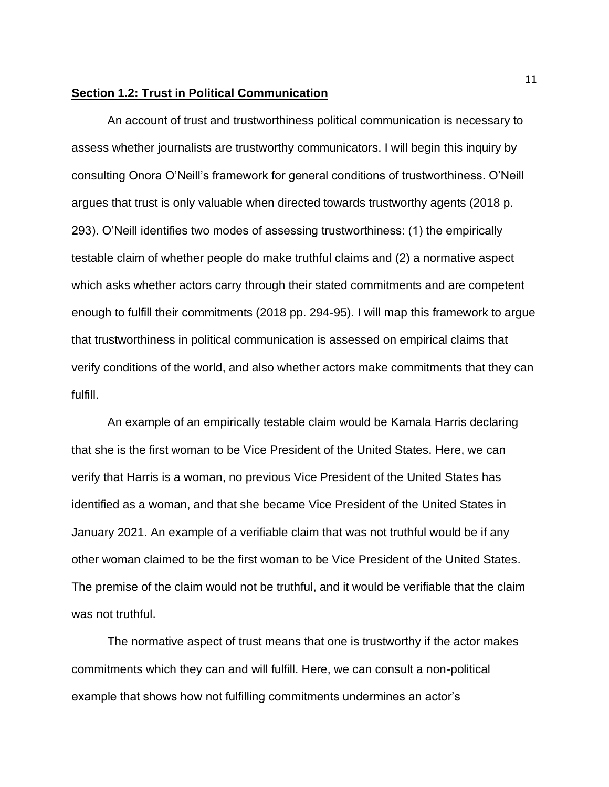### **Section 1.2: Trust in Political Communication**

An account of trust and trustworthiness political communication is necessary to assess whether journalists are trustworthy communicators. I will begin this inquiry by consulting Onora O'Neill's framework for general conditions of trustworthiness. O'Neill argues that trust is only valuable when directed towards trustworthy agents (2018 p. 293). O'Neill identifies two modes of assessing trustworthiness: (1) the empirically testable claim of whether people do make truthful claims and (2) a normative aspect which asks whether actors carry through their stated commitments and are competent enough to fulfill their commitments (2018 pp. 294-95). I will map this framework to argue that trustworthiness in political communication is assessed on empirical claims that verify conditions of the world, and also whether actors make commitments that they can fulfill.

An example of an empirically testable claim would be Kamala Harris declaring that she is the first woman to be Vice President of the United States. Here, we can verify that Harris is a woman, no previous Vice President of the United States has identified as a woman, and that she became Vice President of the United States in January 2021. An example of a verifiable claim that was not truthful would be if any other woman claimed to be the first woman to be Vice President of the United States. The premise of the claim would not be truthful, and it would be verifiable that the claim was not truthful.

The normative aspect of trust means that one is trustworthy if the actor makes commitments which they can and will fulfill. Here, we can consult a non-political example that shows how not fulfilling commitments undermines an actor's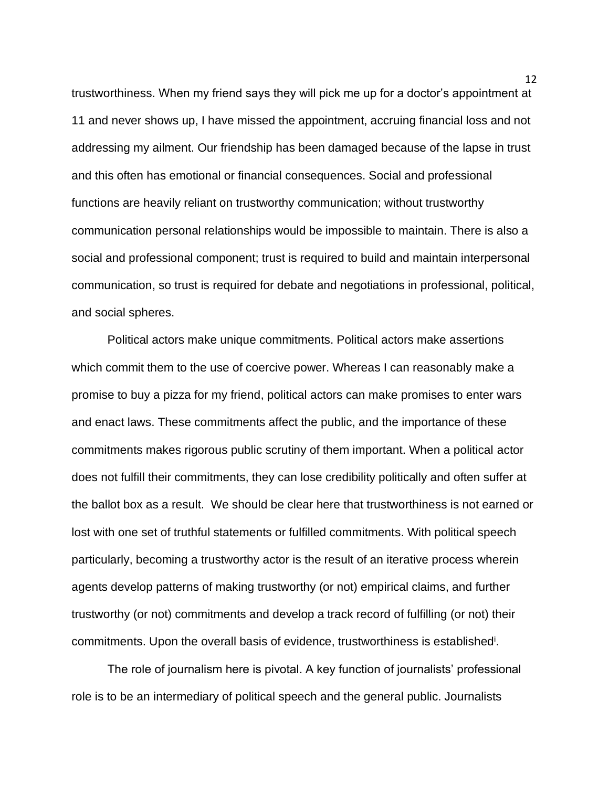trustworthiness. When my friend says they will pick me up for a doctor's appointment at 11 and never shows up, I have missed the appointment, accruing financial loss and not addressing my ailment. Our friendship has been damaged because of the lapse in trust and this often has emotional or financial consequences. Social and professional functions are heavily reliant on trustworthy communication; without trustworthy communication personal relationships would be impossible to maintain. There is also a social and professional component; trust is required to build and maintain interpersonal communication, so trust is required for debate and negotiations in professional, political, and social spheres.

Political actors make unique commitments. Political actors make assertions which commit them to the use of coercive power. Whereas I can reasonably make a promise to buy a pizza for my friend, political actors can make promises to enter wars and enact laws. These commitments affect the public, and the importance of these commitments makes rigorous public scrutiny of them important. When a political actor does not fulfill their commitments, they can lose credibility politically and often suffer at the ballot box as a result. We should be clear here that trustworthiness is not earned or lost with one set of truthful statements or fulfilled commitments. With political speech particularly, becoming a trustworthy actor is the result of an iterative process wherein agents develop patterns of making trustworthy (or not) empirical claims, and further trustworthy (or not) commitments and develop a track record of fulfilling (or not) their commitments. Upon the overall basis of evidence, trustworthiness is established<sup>i</sup>.

The role of journalism here is pivotal. A key function of journalists' professional role is to be an intermediary of political speech and the general public. Journalists

12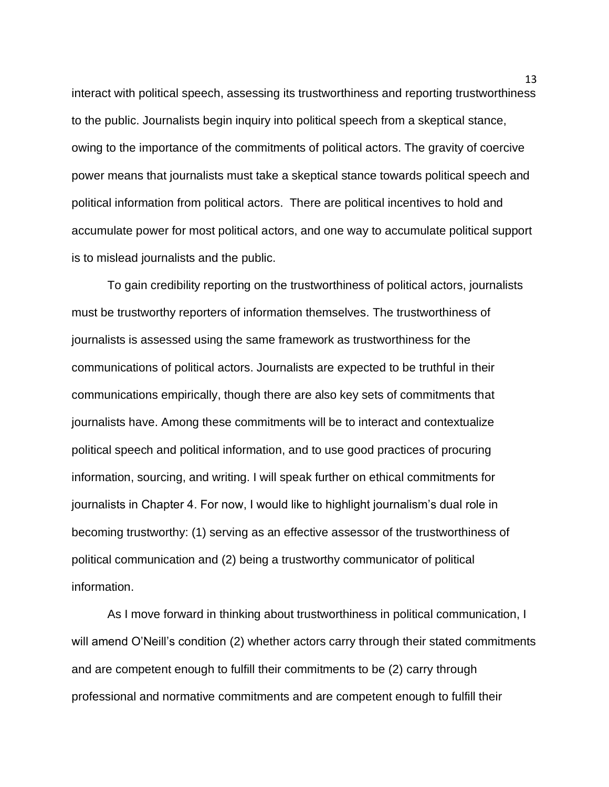interact with political speech, assessing its trustworthiness and reporting trustworthiness to the public. Journalists begin inquiry into political speech from a skeptical stance, owing to the importance of the commitments of political actors. The gravity of coercive power means that journalists must take a skeptical stance towards political speech and political information from political actors. There are political incentives to hold and accumulate power for most political actors, and one way to accumulate political support is to mislead journalists and the public.

To gain credibility reporting on the trustworthiness of political actors, journalists must be trustworthy reporters of information themselves. The trustworthiness of journalists is assessed using the same framework as trustworthiness for the communications of political actors. Journalists are expected to be truthful in their communications empirically, though there are also key sets of commitments that journalists have. Among these commitments will be to interact and contextualize political speech and political information, and to use good practices of procuring information, sourcing, and writing. I will speak further on ethical commitments for journalists in Chapter 4. For now, I would like to highlight journalism's dual role in becoming trustworthy: (1) serving as an effective assessor of the trustworthiness of political communication and (2) being a trustworthy communicator of political information.

As I move forward in thinking about trustworthiness in political communication, I will amend O'Neill's condition (2) whether actors carry through their stated commitments and are competent enough to fulfill their commitments to be (2) carry through professional and normative commitments and are competent enough to fulfill their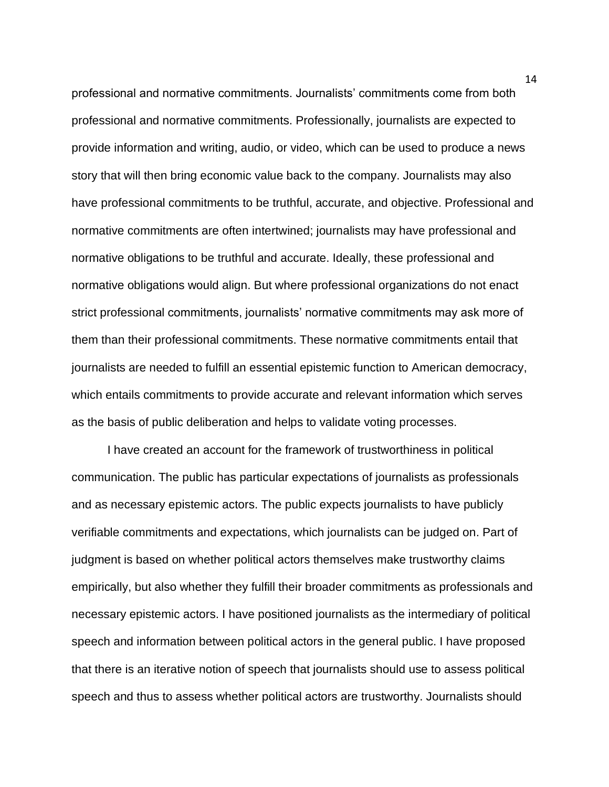professional and normative commitments. Journalists' commitments come from both professional and normative commitments. Professionally, journalists are expected to provide information and writing, audio, or video, which can be used to produce a news story that will then bring economic value back to the company. Journalists may also have professional commitments to be truthful, accurate, and objective. Professional and normative commitments are often intertwined; journalists may have professional and normative obligations to be truthful and accurate. Ideally, these professional and normative obligations would align. But where professional organizations do not enact strict professional commitments, journalists' normative commitments may ask more of them than their professional commitments. These normative commitments entail that journalists are needed to fulfill an essential epistemic function to American democracy, which entails commitments to provide accurate and relevant information which serves as the basis of public deliberation and helps to validate voting processes.

I have created an account for the framework of trustworthiness in political communication. The public has particular expectations of journalists as professionals and as necessary epistemic actors. The public expects journalists to have publicly verifiable commitments and expectations, which journalists can be judged on. Part of judgment is based on whether political actors themselves make trustworthy claims empirically, but also whether they fulfill their broader commitments as professionals and necessary epistemic actors. I have positioned journalists as the intermediary of political speech and information between political actors in the general public. I have proposed that there is an iterative notion of speech that journalists should use to assess political speech and thus to assess whether political actors are trustworthy. Journalists should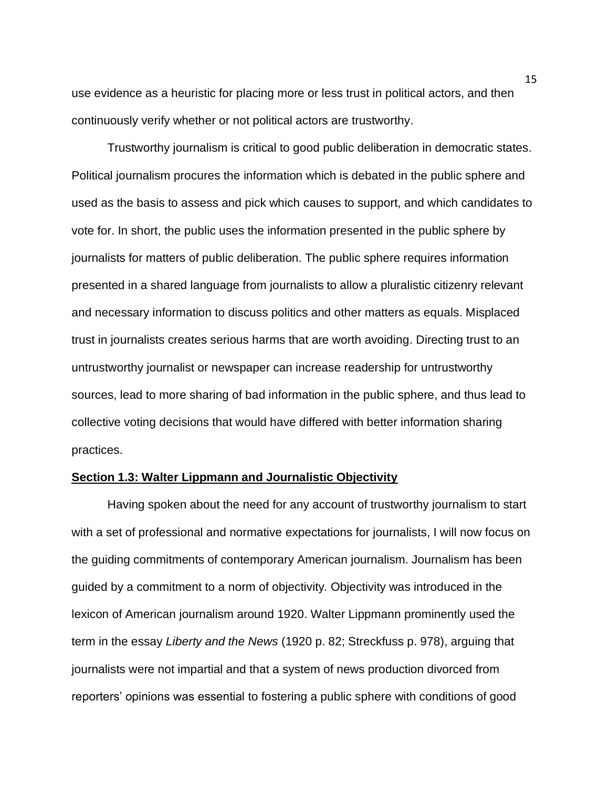use evidence as a heuristic for placing more or less trust in political actors, and then continuously verify whether or not political actors are trustworthy.

Trustworthy journalism is critical to good public deliberation in democratic states. Political journalism procures the information which is debated in the public sphere and used as the basis to assess and pick which causes to support, and which candidates to vote for. In short, the public uses the information presented in the public sphere by journalists for matters of public deliberation. The public sphere requires information presented in a shared language from journalists to allow a pluralistic citizenry relevant and necessary information to discuss politics and other matters as equals. Misplaced trust in journalists creates serious harms that are worth avoiding. Directing trust to an untrustworthy journalist or newspaper can increase readership for untrustworthy sources, lead to more sharing of bad information in the public sphere, and thus lead to collective voting decisions that would have differed with better information sharing practices.

#### **Section 1.3: Walter Lippmann and Journalistic Objectivity**

Having spoken about the need for any account of trustworthy journalism to start with a set of professional and normative expectations for journalists, I will now focus on the guiding commitments of contemporary American journalism. Journalism has been guided by a commitment to a norm of objectivity*.* Objectivity was introduced in the lexicon of American journalism around 1920. Walter Lippmann prominently used the term in the essay *Liberty and the News* (1920 p. 82; Streckfuss p. 978), arguing that journalists were not impartial and that a system of news production divorced from reporters' opinions was essential to fostering a public sphere with conditions of good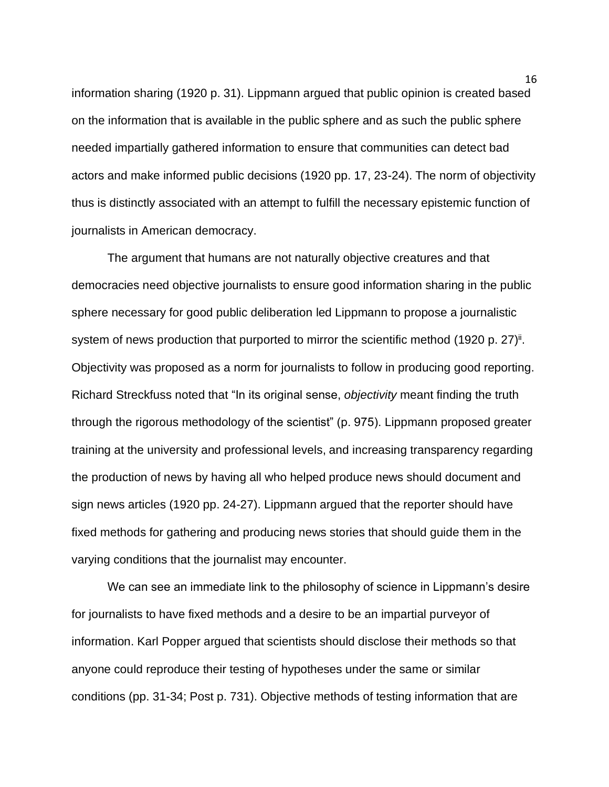information sharing (1920 p. 31). Lippmann argued that public opinion is created based on the information that is available in the public sphere and as such the public sphere needed impartially gathered information to ensure that communities can detect bad actors and make informed public decisions (1920 pp. 17, 23-24). The norm of objectivity thus is distinctly associated with an attempt to fulfill the necessary epistemic function of journalists in American democracy.

The argument that humans are not naturally objective creatures and that democracies need objective journalists to ensure good information sharing in the public sphere necessary for good public deliberation led Lippmann to propose a journalistic system of news production that purported to mirror the scientific method (1920 p. 27)<sup>ii</sup>. Objectivity was proposed as a norm for journalists to follow in producing good reporting. Richard Streckfuss noted that "In its original sense, *objectivity* meant finding the truth through the rigorous methodology of the scientist" (p. 975). Lippmann proposed greater training at the university and professional levels, and increasing transparency regarding the production of news by having all who helped produce news should document and sign news articles (1920 pp. 24-27). Lippmann argued that the reporter should have fixed methods for gathering and producing news stories that should guide them in the varying conditions that the journalist may encounter.

We can see an immediate link to the philosophy of science in Lippmann's desire for journalists to have fixed methods and a desire to be an impartial purveyor of information. Karl Popper argued that scientists should disclose their methods so that anyone could reproduce their testing of hypotheses under the same or similar conditions (pp. 31-34; Post p. 731). Objective methods of testing information that are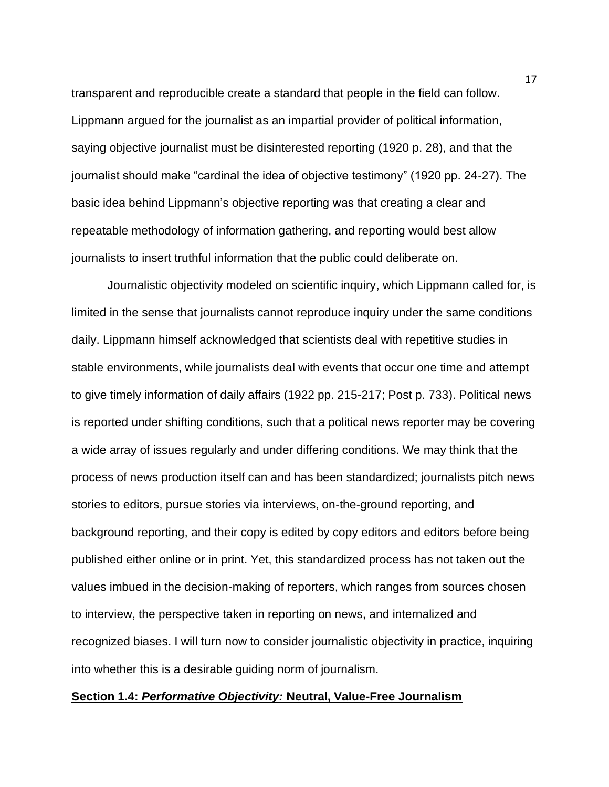transparent and reproducible create a standard that people in the field can follow. Lippmann argued for the journalist as an impartial provider of political information, saying objective journalist must be disinterested reporting (1920 p. 28), and that the journalist should make "cardinal the idea of objective testimony" (1920 pp. 24-27). The basic idea behind Lippmann's objective reporting was that creating a clear and repeatable methodology of information gathering, and reporting would best allow journalists to insert truthful information that the public could deliberate on.

Journalistic objectivity modeled on scientific inquiry, which Lippmann called for, is limited in the sense that journalists cannot reproduce inquiry under the same conditions daily. Lippmann himself acknowledged that scientists deal with repetitive studies in stable environments, while journalists deal with events that occur one time and attempt to give timely information of daily affairs (1922 pp. 215-217; Post p. 733). Political news is reported under shifting conditions, such that a political news reporter may be covering a wide array of issues regularly and under differing conditions. We may think that the process of news production itself can and has been standardized; journalists pitch news stories to editors, pursue stories via interviews, on-the-ground reporting, and background reporting, and their copy is edited by copy editors and editors before being published either online or in print. Yet, this standardized process has not taken out the values imbued in the decision-making of reporters, which ranges from sources chosen to interview, the perspective taken in reporting on news, and internalized and recognized biases. I will turn now to consider journalistic objectivity in practice, inquiring into whether this is a desirable guiding norm of journalism.

#### **Section 1.4:** *Performative Objectivity:* **Neutral, Value-Free Journalism**

17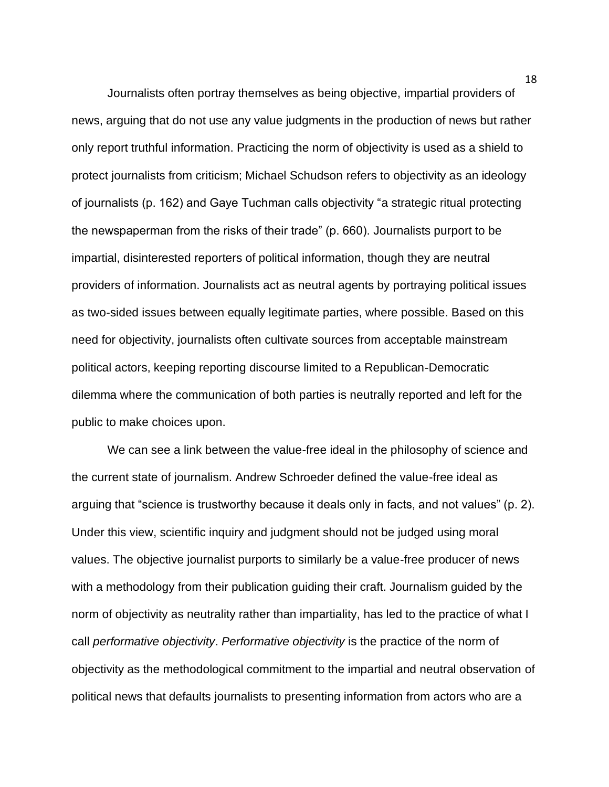Journalists often portray themselves as being objective, impartial providers of news, arguing that do not use any value judgments in the production of news but rather only report truthful information. Practicing the norm of objectivity is used as a shield to protect journalists from criticism; Michael Schudson refers to objectivity as an ideology of journalists (p. 162) and Gaye Tuchman calls objectivity "a strategic ritual protecting the newspaperman from the risks of their trade" (p. 660). Journalists purport to be impartial, disinterested reporters of political information, though they are neutral providers of information. Journalists act as neutral agents by portraying political issues as two-sided issues between equally legitimate parties, where possible. Based on this need for objectivity, journalists often cultivate sources from acceptable mainstream political actors, keeping reporting discourse limited to a Republican-Democratic dilemma where the communication of both parties is neutrally reported and left for the public to make choices upon.

We can see a link between the value-free ideal in the philosophy of science and the current state of journalism. Andrew Schroeder defined the value-free ideal as arguing that "science is trustworthy because it deals only in facts, and not values" (p. 2). Under this view, scientific inquiry and judgment should not be judged using moral values. The objective journalist purports to similarly be a value-free producer of news with a methodology from their publication guiding their craft. Journalism guided by the norm of objectivity as neutrality rather than impartiality, has led to the practice of what I call *performative objectivity*. *Performative objectivity* is the practice of the norm of objectivity as the methodological commitment to the impartial and neutral observation of political news that defaults journalists to presenting information from actors who are a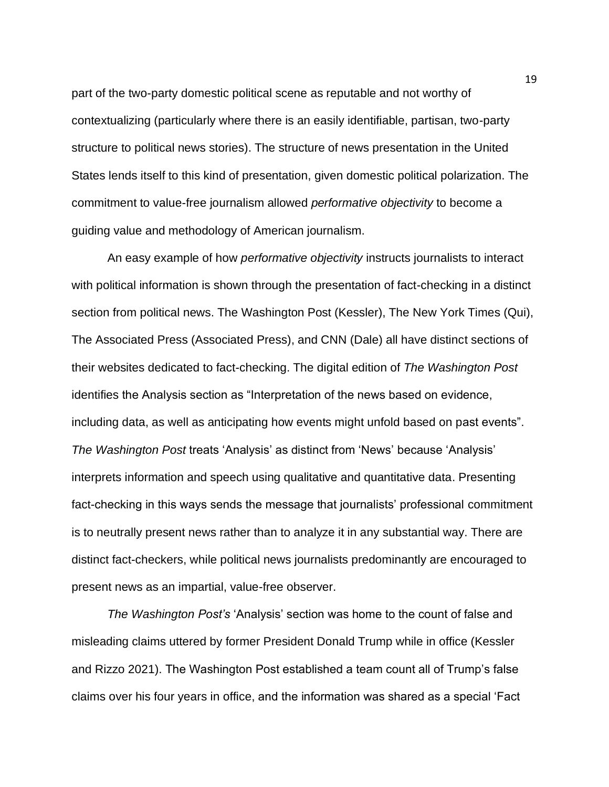part of the two-party domestic political scene as reputable and not worthy of contextualizing (particularly where there is an easily identifiable, partisan, two-party structure to political news stories). The structure of news presentation in the United States lends itself to this kind of presentation, given domestic political polarization. The commitment to value-free journalism allowed *performative objectivity* to become a guiding value and methodology of American journalism.

An easy example of how *performative objectivity* instructs journalists to interact with political information is shown through the presentation of fact-checking in a distinct section from political news. The Washington Post (Kessler), The New York Times (Qui), The Associated Press (Associated Press), and CNN (Dale) all have distinct sections of their websites dedicated to fact-checking. The digital edition of *The Washington Post* identifies the Analysis section as "Interpretation of the news based on evidence, including data, as well as anticipating how events might unfold based on past events". *The Washington Post* treats 'Analysis' as distinct from 'News' because 'Analysis' interprets information and speech using qualitative and quantitative data. Presenting fact-checking in this ways sends the message that journalists' professional commitment is to neutrally present news rather than to analyze it in any substantial way. There are distinct fact-checkers, while political news journalists predominantly are encouraged to present news as an impartial, value-free observer.

*The Washington Post's* 'Analysis' section was home to the count of false and misleading claims uttered by former President Donald Trump while in office (Kessler and Rizzo 2021). The Washington Post established a team count all of Trump's false claims over his four years in office, and the information was shared as a special 'Fact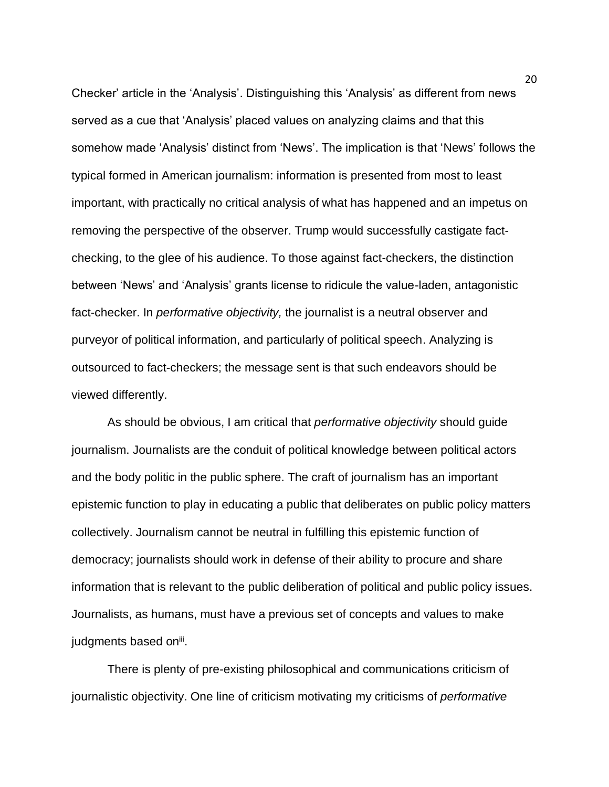Checker' article in the 'Analysis'. Distinguishing this 'Analysis' as different from news served as a cue that 'Analysis' placed values on analyzing claims and that this somehow made 'Analysis' distinct from 'News'. The implication is that 'News' follows the typical formed in American journalism: information is presented from most to least important, with practically no critical analysis of what has happened and an impetus on removing the perspective of the observer. Trump would successfully castigate factchecking, to the glee of his audience. To those against fact-checkers, the distinction between 'News' and 'Analysis' grants license to ridicule the value-laden, antagonistic fact-checker. In *performative objectivity,* the journalist is a neutral observer and purveyor of political information, and particularly of political speech. Analyzing is outsourced to fact-checkers; the message sent is that such endeavors should be viewed differently.

As should be obvious, I am critical that *performative objectivity* should guide journalism. Journalists are the conduit of political knowledge between political actors and the body politic in the public sphere. The craft of journalism has an important epistemic function to play in educating a public that deliberates on public policy matters collectively. Journalism cannot be neutral in fulfilling this epistemic function of democracy; journalists should work in defense of their ability to procure and share information that is relevant to the public deliberation of political and public policy issues. Journalists, as humans, must have a previous set of concepts and values to make judgments based on<sup>iii</sup>.

There is plenty of pre-existing philosophical and communications criticism of journalistic objectivity. One line of criticism motivating my criticisms of *performative* 

20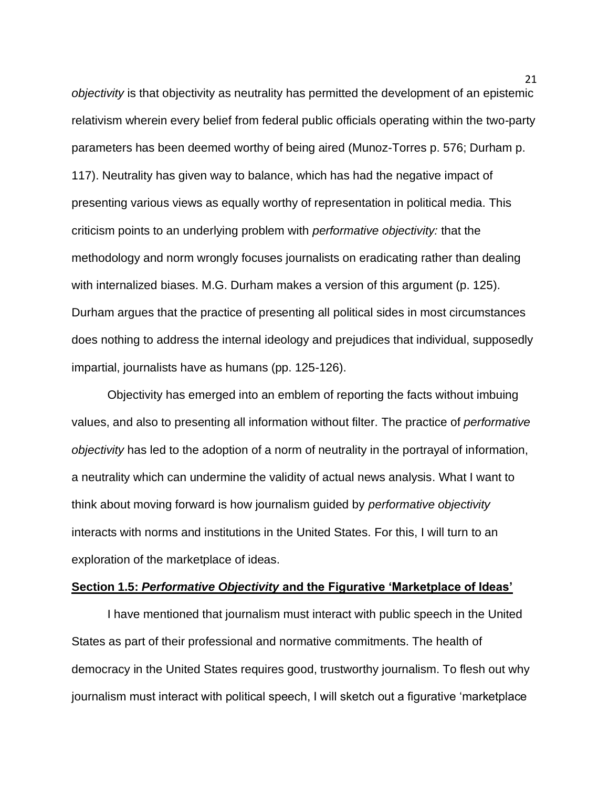*objectivity* is that objectivity as neutrality has permitted the development of an epistemic relativism wherein every belief from federal public officials operating within the two-party parameters has been deemed worthy of being aired (Munoz-Torres p. 576; Durham p. 117). Neutrality has given way to balance, which has had the negative impact of presenting various views as equally worthy of representation in political media. This criticism points to an underlying problem with *performative objectivity:* that the methodology and norm wrongly focuses journalists on eradicating rather than dealing with internalized biases. M.G. Durham makes a version of this argument (p. 125). Durham argues that the practice of presenting all political sides in most circumstances does nothing to address the internal ideology and prejudices that individual, supposedly impartial, journalists have as humans (pp. 125-126).

Objectivity has emerged into an emblem of reporting the facts without imbuing values, and also to presenting all information without filter. The practice of *performative objectivity* has led to the adoption of a norm of neutrality in the portrayal of information, a neutrality which can undermine the validity of actual news analysis. What I want to think about moving forward is how journalism guided by *performative objectivity* interacts with norms and institutions in the United States. For this, I will turn to an exploration of the marketplace of ideas.

### **Section 1.5:** *Performative Objectivity* **and the Figurative 'Marketplace of Ideas'**

I have mentioned that journalism must interact with public speech in the United States as part of their professional and normative commitments. The health of democracy in the United States requires good, trustworthy journalism. To flesh out why journalism must interact with political speech, I will sketch out a figurative 'marketplace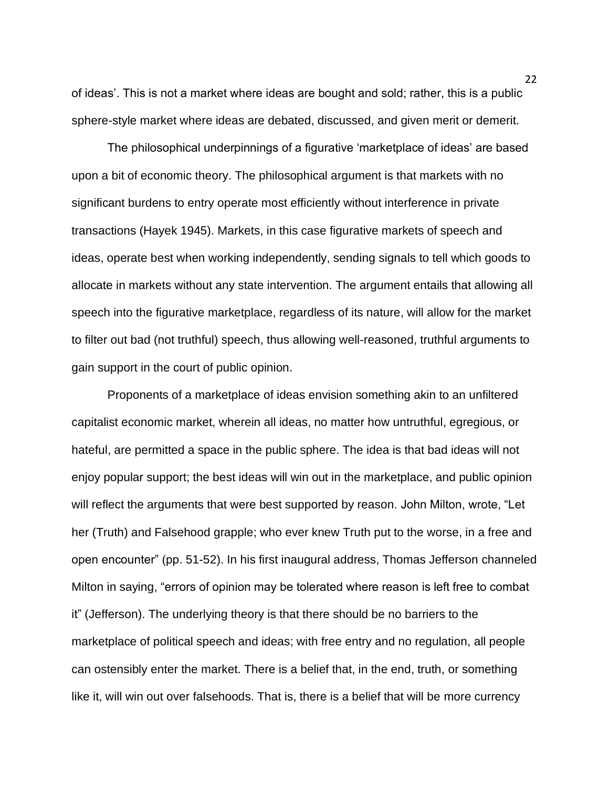of ideas'. This is not a market where ideas are bought and sold; rather, this is a public sphere-style market where ideas are debated, discussed, and given merit or demerit.

The philosophical underpinnings of a figurative 'marketplace of ideas' are based upon a bit of economic theory. The philosophical argument is that markets with no significant burdens to entry operate most efficiently without interference in private transactions (Hayek 1945). Markets, in this case figurative markets of speech and ideas, operate best when working independently, sending signals to tell which goods to allocate in markets without any state intervention. The argument entails that allowing all speech into the figurative marketplace, regardless of its nature, will allow for the market to filter out bad (not truthful) speech, thus allowing well-reasoned, truthful arguments to gain support in the court of public opinion.

Proponents of a marketplace of ideas envision something akin to an unfiltered capitalist economic market, wherein all ideas, no matter how untruthful, egregious, or hateful, are permitted a space in the public sphere. The idea is that bad ideas will not enjoy popular support; the best ideas will win out in the marketplace, and public opinion will reflect the arguments that were best supported by reason. John Milton, wrote, "Let her (Truth) and Falsehood grapple; who ever knew Truth put to the worse, in a free and open encounter" (pp. 51-52). In his first inaugural address, Thomas Jefferson channeled Milton in saying, "errors of opinion may be tolerated where reason is left free to combat it" (Jefferson). The underlying theory is that there should be no barriers to the marketplace of political speech and ideas; with free entry and no regulation, all people can ostensibly enter the market. There is a belief that, in the end, truth, or something like it, will win out over falsehoods. That is, there is a belief that will be more currency

 $22$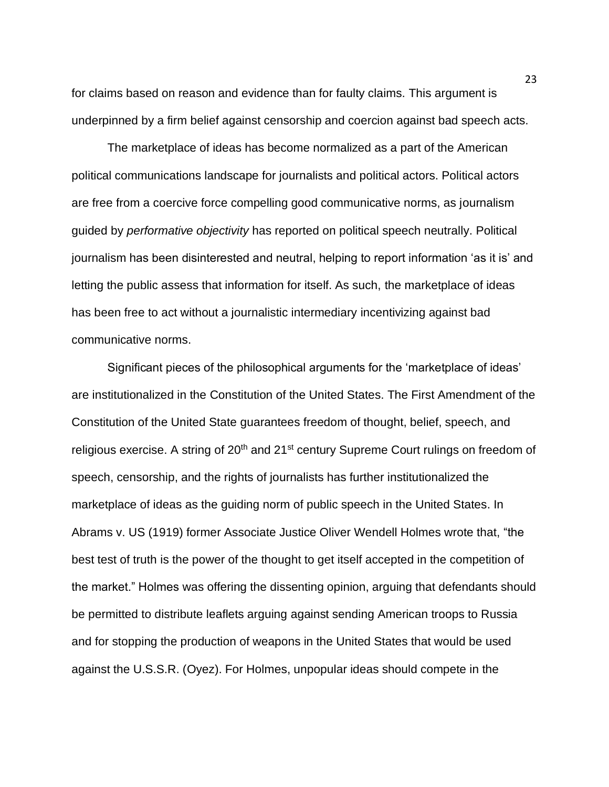for claims based on reason and evidence than for faulty claims. This argument is underpinned by a firm belief against censorship and coercion against bad speech acts.

The marketplace of ideas has become normalized as a part of the American political communications landscape for journalists and political actors. Political actors are free from a coercive force compelling good communicative norms, as journalism guided by *performative objectivity* has reported on political speech neutrally. Political journalism has been disinterested and neutral, helping to report information 'as it is' and letting the public assess that information for itself. As such, the marketplace of ideas has been free to act without a journalistic intermediary incentivizing against bad communicative norms.

Significant pieces of the philosophical arguments for the 'marketplace of ideas' are institutionalized in the Constitution of the United States. The First Amendment of the Constitution of the United State guarantees freedom of thought, belief, speech, and religious exercise. A string of 20<sup>th</sup> and 21<sup>st</sup> century Supreme Court rulings on freedom of speech, censorship, and the rights of journalists has further institutionalized the marketplace of ideas as the guiding norm of public speech in the United States. In Abrams v. US (1919) former Associate Justice Oliver Wendell Holmes wrote that, "the best test of truth is the power of the thought to get itself accepted in the competition of the market." Holmes was offering the dissenting opinion, arguing that defendants should be permitted to distribute leaflets arguing against sending American troops to Russia and for stopping the production of weapons in the United States that would be used against the U.S.S.R. (Oyez). For Holmes, unpopular ideas should compete in the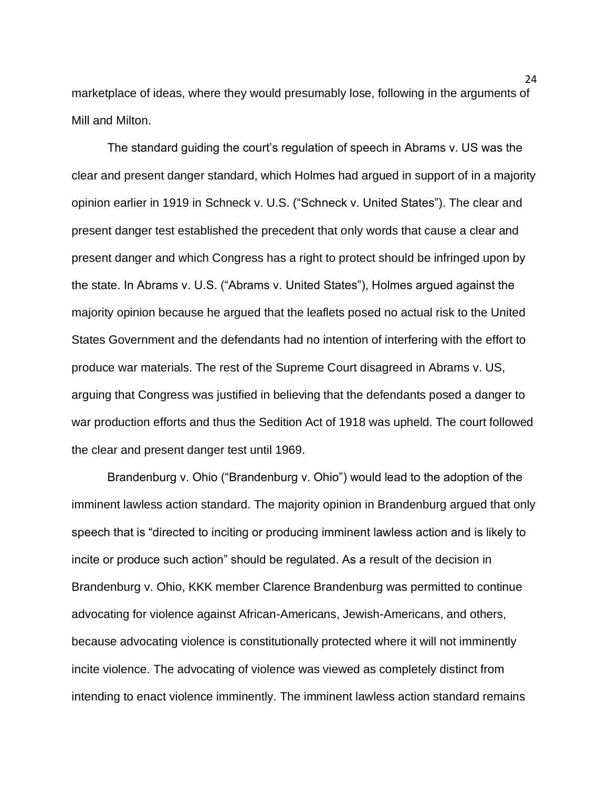marketplace of ideas, where they would presumably lose, following in the arguments of Mill and Milton.

The standard guiding the court's regulation of speech in Abrams v. US was the clear and present danger standard, which Holmes had argued in support of in a majority opinion earlier in 1919 in Schneck v. U.S. ("Schneck v. United States"). The clear and present danger test established the precedent that only words that cause a clear and present danger and which Congress has a right to protect should be infringed upon by the state. In Abrams v. U.S. ("Abrams v. United States"), Holmes argued against the majority opinion because he argued that the leaflets posed no actual risk to the United States Government and the defendants had no intention of interfering with the effort to produce war materials. The rest of the Supreme Court disagreed in Abrams v. US, arguing that Congress was justified in believing that the defendants posed a danger to war production efforts and thus the Sedition Act of 1918 was upheld. The court followed the clear and present danger test until 1969.

Brandenburg v. Ohio ("Brandenburg v. Ohio") would lead to the adoption of the imminent lawless action standard. The majority opinion in Brandenburg argued that only speech that is "directed to inciting or producing imminent lawless action and is likely to incite or produce such action" should be regulated. As a result of the decision in Brandenburg v. Ohio, KKK member Clarence Brandenburg was permitted to continue advocating for violence against African-Americans, Jewish-Americans, and others, because advocating violence is constitutionally protected where it will not imminently incite violence. The advocating of violence was viewed as completely distinct from intending to enact violence imminently. The imminent lawless action standard remains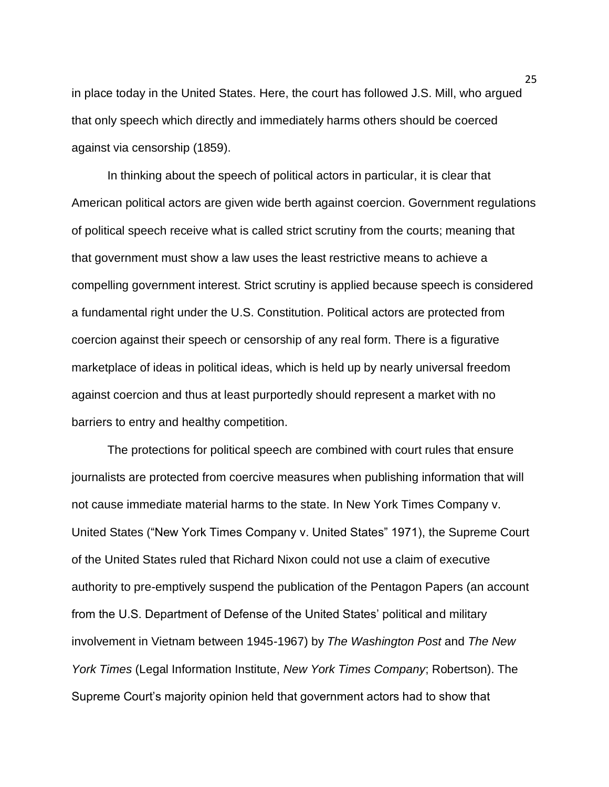in place today in the United States. Here, the court has followed J.S. Mill, who argued that only speech which directly and immediately harms others should be coerced against via censorship (1859).

In thinking about the speech of political actors in particular, it is clear that American political actors are given wide berth against coercion. Government regulations of political speech receive what is called strict scrutiny from the courts; meaning that that government must show a law uses the least restrictive means to achieve a compelling government interest. Strict scrutiny is applied because speech is considered a fundamental right under the U.S. Constitution. Political actors are protected from coercion against their speech or censorship of any real form. There is a figurative marketplace of ideas in political ideas, which is held up by nearly universal freedom against coercion and thus at least purportedly should represent a market with no barriers to entry and healthy competition.

The protections for political speech are combined with court rules that ensure journalists are protected from coercive measures when publishing information that will not cause immediate material harms to the state. In New York Times Company v. United States ("New York Times Company v. United States" 1971), the Supreme Court of the United States ruled that Richard Nixon could not use a claim of executive authority to pre-emptively suspend the publication of the Pentagon Papers (an account from the U.S. Department of Defense of the United States' political and military involvement in Vietnam between 1945-1967) by *The Washington Post* and *The New York Times* (Legal Information Institute, *New York Times Company*; Robertson). The Supreme Court's majority opinion held that government actors had to show that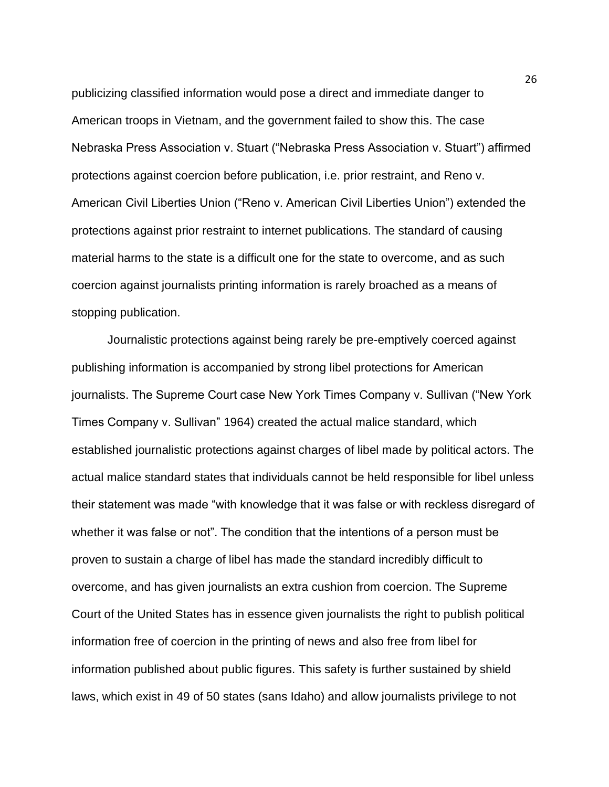publicizing classified information would pose a direct and immediate danger to American troops in Vietnam, and the government failed to show this. The case Nebraska Press Association v. Stuart ("Nebraska Press Association v. Stuart") affirmed protections against coercion before publication, i.e. prior restraint, and Reno v. American Civil Liberties Union ("Reno v. American Civil Liberties Union") extended the protections against prior restraint to internet publications. The standard of causing material harms to the state is a difficult one for the state to overcome, and as such coercion against journalists printing information is rarely broached as a means of stopping publication.

Journalistic protections against being rarely be pre-emptively coerced against publishing information is accompanied by strong libel protections for American journalists. The Supreme Court case New York Times Company v. Sullivan ("New York Times Company v. Sullivan" 1964) created the actual malice standard, which established journalistic protections against charges of libel made by political actors. The actual malice standard states that individuals cannot be held responsible for libel unless their statement was made "with knowledge that it was false or with reckless disregard of whether it was false or not". The condition that the intentions of a person must be proven to sustain a charge of libel has made the standard incredibly difficult to overcome, and has given journalists an extra cushion from coercion. The Supreme Court of the United States has in essence given journalists the right to publish political information free of coercion in the printing of news and also free from libel for information published about public figures. This safety is further sustained by shield laws, which exist in 49 of 50 states (sans Idaho) and allow journalists privilege to not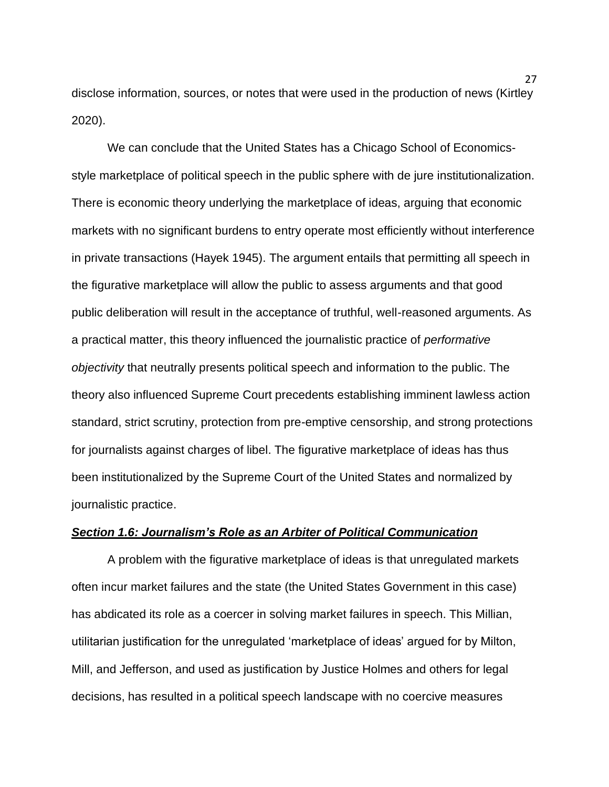disclose information, sources, or notes that were used in the production of news (Kirtley 2020).

We can conclude that the United States has a Chicago School of Economicsstyle marketplace of political speech in the public sphere with de jure institutionalization. There is economic theory underlying the marketplace of ideas, arguing that economic markets with no significant burdens to entry operate most efficiently without interference in private transactions (Hayek 1945). The argument entails that permitting all speech in the figurative marketplace will allow the public to assess arguments and that good public deliberation will result in the acceptance of truthful, well-reasoned arguments. As a practical matter, this theory influenced the journalistic practice of *performative objectivity* that neutrally presents political speech and information to the public. The theory also influenced Supreme Court precedents establishing imminent lawless action standard, strict scrutiny, protection from pre-emptive censorship, and strong protections for journalists against charges of libel. The figurative marketplace of ideas has thus been institutionalized by the Supreme Court of the United States and normalized by journalistic practice.

## *Section 1.6: Journalism's Role as an Arbiter of Political Communication*

A problem with the figurative marketplace of ideas is that unregulated markets often incur market failures and the state (the United States Government in this case) has abdicated its role as a coercer in solving market failures in speech. This Millian, utilitarian justification for the unregulated 'marketplace of ideas' argued for by Milton, Mill, and Jefferson, and used as justification by Justice Holmes and others for legal decisions, has resulted in a political speech landscape with no coercive measures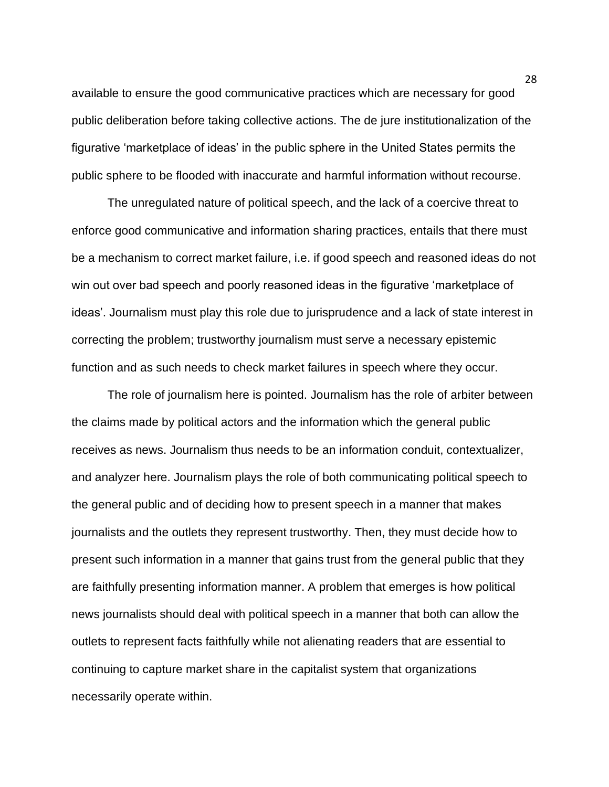available to ensure the good communicative practices which are necessary for good public deliberation before taking collective actions. The de jure institutionalization of the figurative 'marketplace of ideas' in the public sphere in the United States permits the public sphere to be flooded with inaccurate and harmful information without recourse.

The unregulated nature of political speech, and the lack of a coercive threat to enforce good communicative and information sharing practices, entails that there must be a mechanism to correct market failure, i.e. if good speech and reasoned ideas do not win out over bad speech and poorly reasoned ideas in the figurative 'marketplace of ideas'. Journalism must play this role due to jurisprudence and a lack of state interest in correcting the problem; trustworthy journalism must serve a necessary epistemic function and as such needs to check market failures in speech where they occur.

The role of journalism here is pointed. Journalism has the role of arbiter between the claims made by political actors and the information which the general public receives as news. Journalism thus needs to be an information conduit, contextualizer, and analyzer here. Journalism plays the role of both communicating political speech to the general public and of deciding how to present speech in a manner that makes journalists and the outlets they represent trustworthy. Then, they must decide how to present such information in a manner that gains trust from the general public that they are faithfully presenting information manner. A problem that emerges is how political news journalists should deal with political speech in a manner that both can allow the outlets to represent facts faithfully while not alienating readers that are essential to continuing to capture market share in the capitalist system that organizations necessarily operate within.

28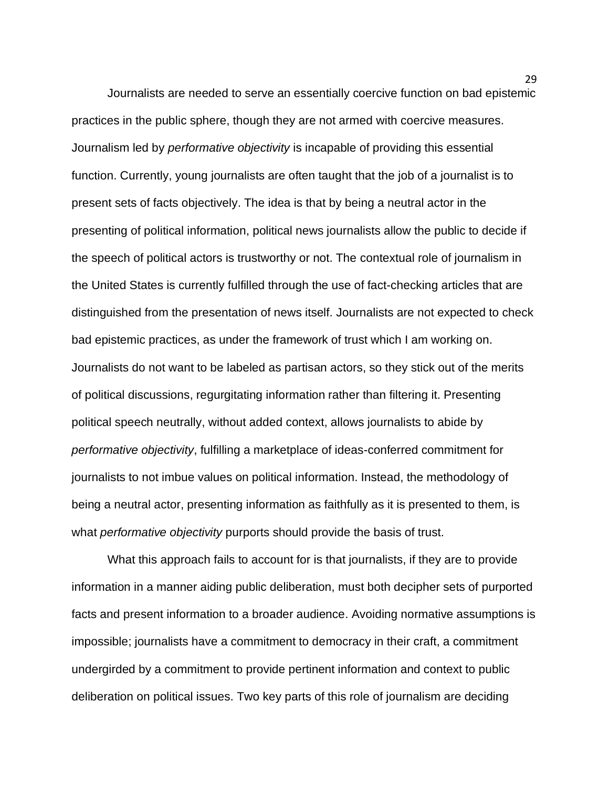Journalists are needed to serve an essentially coercive function on bad epistemic practices in the public sphere, though they are not armed with coercive measures. Journalism led by *performative objectivity* is incapable of providing this essential function. Currently, young journalists are often taught that the job of a journalist is to present sets of facts objectively. The idea is that by being a neutral actor in the presenting of political information, political news journalists allow the public to decide if the speech of political actors is trustworthy or not. The contextual role of journalism in the United States is currently fulfilled through the use of fact-checking articles that are distinguished from the presentation of news itself. Journalists are not expected to check bad epistemic practices, as under the framework of trust which I am working on. Journalists do not want to be labeled as partisan actors, so they stick out of the merits of political discussions, regurgitating information rather than filtering it. Presenting political speech neutrally, without added context, allows journalists to abide by *performative objectivity*, fulfilling a marketplace of ideas-conferred commitment for journalists to not imbue values on political information. Instead, the methodology of being a neutral actor, presenting information as faithfully as it is presented to them, is what *performative objectivity* purports should provide the basis of trust.

What this approach fails to account for is that journalists, if they are to provide information in a manner aiding public deliberation, must both decipher sets of purported facts and present information to a broader audience. Avoiding normative assumptions is impossible; journalists have a commitment to democracy in their craft, a commitment undergirded by a commitment to provide pertinent information and context to public deliberation on political issues. Two key parts of this role of journalism are deciding

29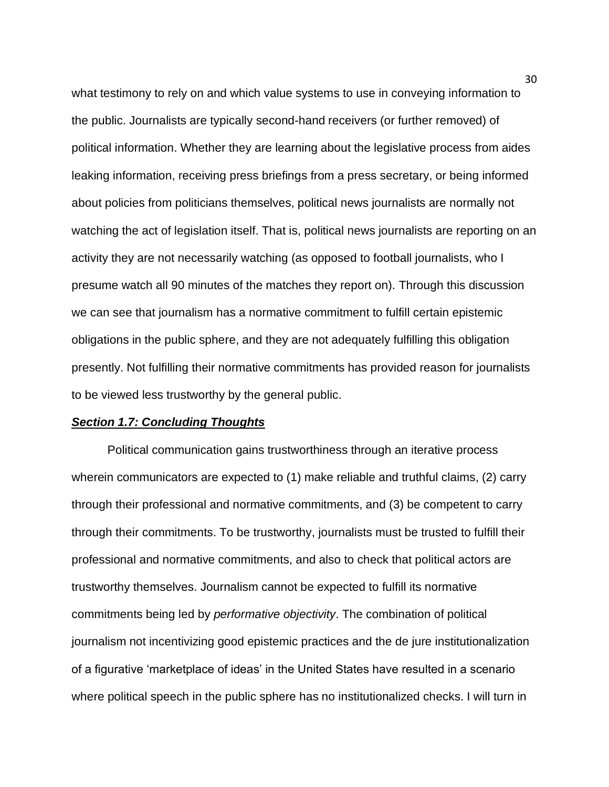what testimony to rely on and which value systems to use in conveying information to the public. Journalists are typically second-hand receivers (or further removed) of political information. Whether they are learning about the legislative process from aides leaking information, receiving press briefings from a press secretary, or being informed about policies from politicians themselves, political news journalists are normally not watching the act of legislation itself. That is, political news journalists are reporting on an activity they are not necessarily watching (as opposed to football journalists, who I presume watch all 90 minutes of the matches they report on). Through this discussion we can see that journalism has a normative commitment to fulfill certain epistemic obligations in the public sphere, and they are not adequately fulfilling this obligation presently. Not fulfilling their normative commitments has provided reason for journalists to be viewed less trustworthy by the general public.

### *Section 1.7: Concluding Thoughts*

Political communication gains trustworthiness through an iterative process wherein communicators are expected to (1) make reliable and truthful claims, (2) carry through their professional and normative commitments, and (3) be competent to carry through their commitments. To be trustworthy, journalists must be trusted to fulfill their professional and normative commitments, and also to check that political actors are trustworthy themselves. Journalism cannot be expected to fulfill its normative commitments being led by *performative objectivity*. The combination of political journalism not incentivizing good epistemic practices and the de jure institutionalization of a figurative 'marketplace of ideas' in the United States have resulted in a scenario where political speech in the public sphere has no institutionalized checks. I will turn in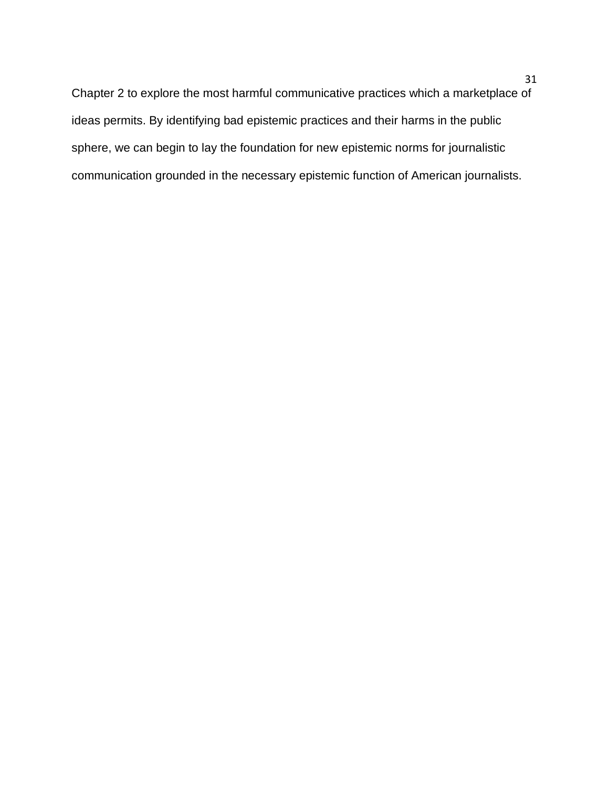Chapter 2 to explore the most harmful communicative practices which a marketplace of ideas permits. By identifying bad epistemic practices and their harms in the public sphere, we can begin to lay the foundation for new epistemic norms for journalistic communication grounded in the necessary epistemic function of American journalists.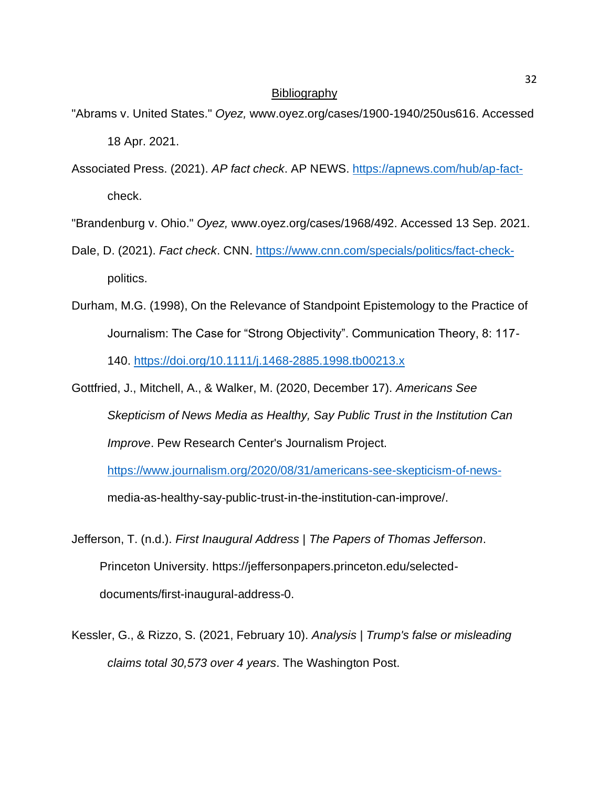### **Bibliography**

- "Abrams v. United States." *Oyez,* www.oyez.org/cases/1900-1940/250us616. Accessed 18 Apr. 2021.
- Associated Press. (2021). *AP fact check*. AP NEWS. [https://apnews.com/hub/ap-fact](https://apnews.com/hub/ap-fact-)check.
- "Brandenburg v. Ohio." *Oyez,* www.oyez.org/cases/1968/492. Accessed 13 Sep. 2021.
- Dale, D. (2021). *Fact check*. CNN. [https://www.cnn.com/specials/politics/fact-check](https://www.cnn.com/specials/politics/fact-check-)politics.
- Durham, M.G. (1998), On the Relevance of Standpoint Epistemology to the Practice of Journalism: The Case for "Strong Objectivity". Communication Theory, 8: 117- 140.<https://doi.org/10.1111/j.1468-2885.1998.tb00213.x>
- Gottfried, J., Mitchell, A., & Walker, M. (2020, December 17). *Americans See Skepticism of News Media as Healthy, Say Public Trust in the Institution Can Improve*. Pew Research Center's Journalism Project.

<https://www.journalism.org/2020/08/31/americans-see-skepticism-of-news->

media-as-healthy-say-public-trust-in-the-institution-can-improve/.

- Jefferson, T. (n.d.). *First Inaugural Address | The Papers of Thomas Jefferson*. Princeton University. https://jeffersonpapers.princeton.edu/selecteddocuments/first-inaugural-address-0.
- Kessler, G., & Rizzo, S. (2021, February 10). *Analysis | Trump's false or misleading claims total 30,573 over 4 years*. The Washington Post.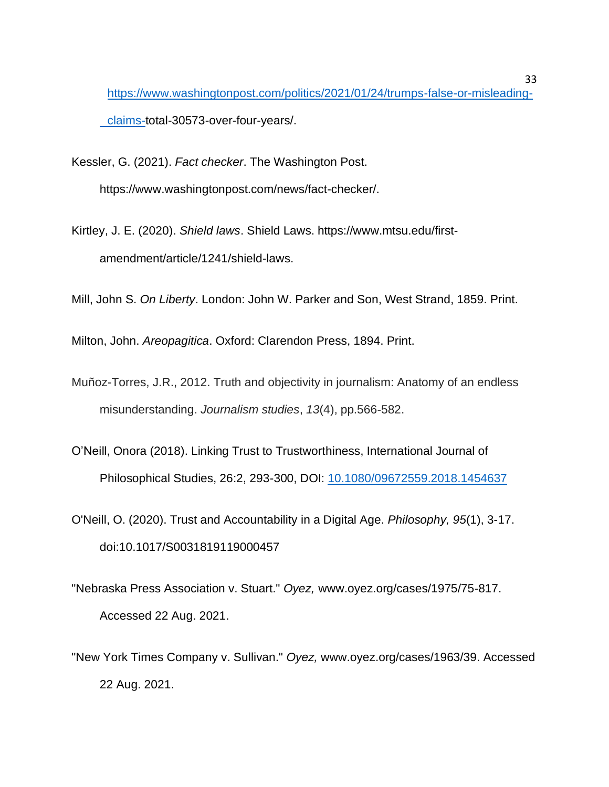[https://www.washingtonpost.com/politics/2021/01/24/trumps-false-or-misleading](https://www.washingtonpost.com/politics/2021/01/24/trumps-false-or-misleading-claims-)[claims-t](https://www.washingtonpost.com/politics/2021/01/24/trumps-false-or-misleading-claims-)otal-30573-over-four-years/.

Kessler, G. (2021). *Fact checker*. The Washington Post. https://www.washingtonpost.com/news/fact-checker/.

Kirtley, J. E. (2020). *Shield laws*. Shield Laws. https://www.mtsu.edu/firstamendment/article/1241/shield-laws.

Mill, John S. *On Liberty*. London: John W. Parker and Son, West Strand, 1859. Print.

Milton, John. *Areopagitica*. Oxford: Clarendon Press, 1894. Print.

- Muñoz-Torres, J.R., 2012. Truth and objectivity in journalism: Anatomy of an endless misunderstanding. *Journalism studies*, *13*(4), pp.566-582.
- O'Neill, Onora (2018). Linking Trust to Trustworthiness, International Journal of Philosophical Studies, 26:2, 293-300, DOI: [10.1080/09672559.2018.1454637](https://doi.org/10.1080/09672559.2018.1454637)
- O'Neill, O. (2020). Trust and Accountability in a Digital Age. *Philosophy, 95*(1), 3-17. doi:10.1017/S0031819119000457
- "Nebraska Press Association v. Stuart." *Oyez,* www.oyez.org/cases/1975/75-817. Accessed 22 Aug. 2021.
- "New York Times Company v. Sullivan." *Oyez,* www.oyez.org/cases/1963/39. Accessed 22 Aug. 2021.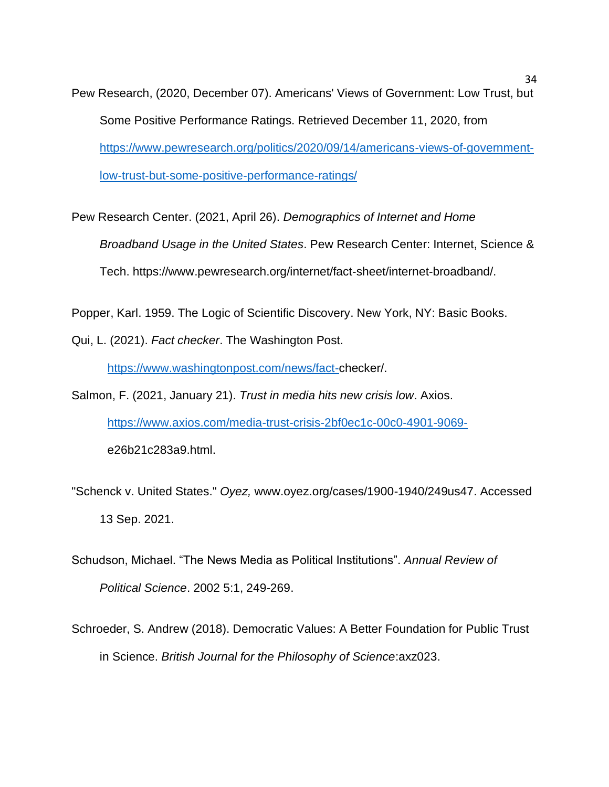Pew Research, (2020, December 07). Americans' Views of Government: Low Trust, but Some Positive Performance Ratings. Retrieved December 11, 2020, from [https://www.pewresearch.org/politics/2020/09/14/americans-views-of-government](https://www.pewresearch.org/politics/2020/09/14/americans-views-of-government-low-trust-but-some-positive-performance-ratings/)[low-trust-but-some-positive-performance-ratings/](https://www.pewresearch.org/politics/2020/09/14/americans-views-of-government-low-trust-but-some-positive-performance-ratings/)

Pew Research Center. (2021, April 26). *Demographics of Internet and Home Broadband Usage in the United States*. Pew Research Center: Internet, Science & Tech. https://www.pewresearch.org/internet/fact-sheet/internet-broadband/.

Popper, Karl. 1959. The Logic of Scientific Discovery. New York, NY: Basic Books.

Qui, L. (2021). *Fact checker*. The Washington Post.

[https://www.washingtonpost.com/news/fact-c](https://www.washingtonpost.com/news/fact-)hecker/.

Salmon, F. (2021, January 21). *Trust in media hits new crisis low*. Axios. [https://www.axios.com/media-trust-crisis-2bf0ec1c-00c0-4901-9069](https://www.axios.com/media-trust-crisis-2bf0ec1c-00c0-4901-9069-) e26b21c283a9.html.

- "Schenck v. United States." *Oyez,* www.oyez.org/cases/1900-1940/249us47. Accessed 13 Sep. 2021.
- Schudson, Michael. "The News Media as Political Institutions". *Annual Review of Political Science*. 2002 5:1, 249-269.
- Schroeder, S. Andrew (2018). Democratic Values: A Better Foundation for Public Trust in Science. *British Journal for the Philosophy of Science*:axz023.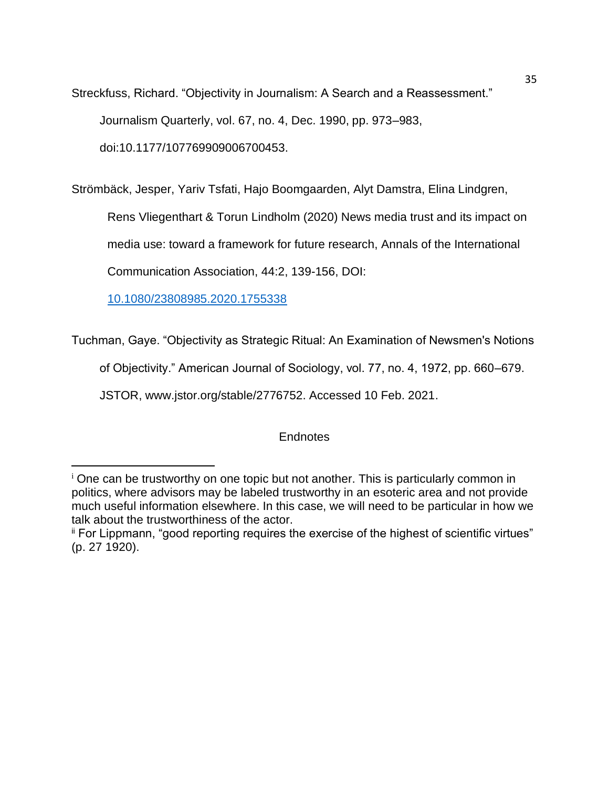Streckfuss, Richard. "Objectivity in Journalism: A Search and a Reassessment." Journalism Quarterly, vol. 67, no. 4, Dec. 1990, pp. 973–983, doi:10.1177/107769909006700453.

Strömbäck, Jesper, Yariv Tsfati, Hajo Boomgaarden, Alyt Damstra, Elina Lindgren,

Rens Vliegenthart & Torun Lindholm (2020) News media trust and its impact on

media use: toward a framework for future research, Annals of the International

Communication Association, 44:2, 139-156, DOI:

[10.1080/23808985.2020.1755338](https://doi.org/10.1080/23808985.2020.1755338)

Tuchman, Gaye. "Objectivity as Strategic Ritual: An Examination of Newsmen's Notions

of Objectivity." American Journal of Sociology, vol. 77, no. 4, 1972, pp. 660–679.

JSTOR, www.jstor.org/stable/2776752. Accessed 10 Feb. 2021.

# **Endnotes**

<sup>&</sup>lt;sup>i</sup> One can be trustworthy on one topic but not another. This is particularly common in politics, where advisors may be labeled trustworthy in an esoteric area and not provide much useful information elsewhere. In this case, we will need to be particular in how we talk about the trustworthiness of the actor.

ii For Lippmann, "good reporting requires the exercise of the highest of scientific virtues" (p. 27 1920).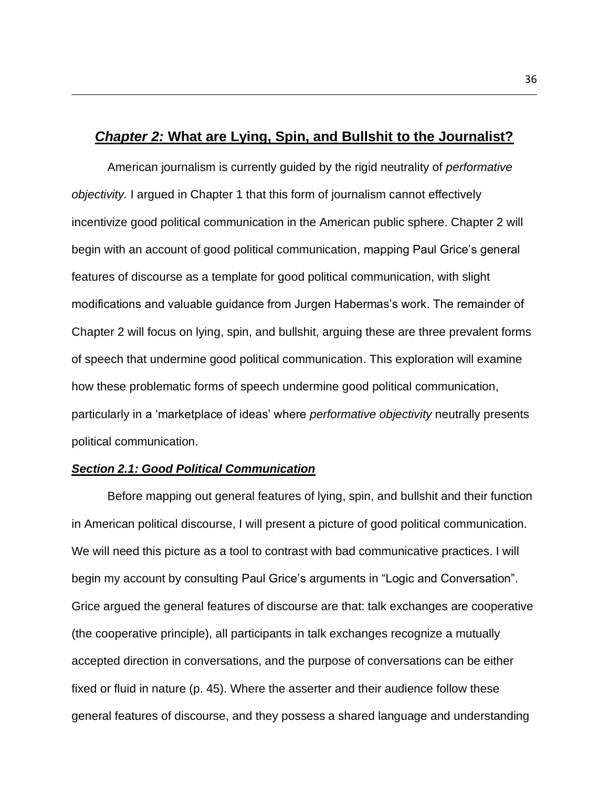# *Chapter 2:* **What are Lying, Spin, and Bullshit to the Journalist?**

American journalism is currently guided by the rigid neutrality of *performative objectivity.* I argued in Chapter 1 that this form of journalism cannot effectively incentivize good political communication in the American public sphere. Chapter 2 will begin with an account of good political communication, mapping Paul Grice's general features of discourse as a template for good political communication, with slight modifications and valuable guidance from Jurgen Habermas's work. The remainder of Chapter 2 will focus on lying, spin, and bullshit, arguing these are three prevalent forms of speech that undermine good political communication. This exploration will examine how these problematic forms of speech undermine good political communication, particularly in a 'marketplace of ideas' where *performative objectivity* neutrally presents political communication.

### *Section 2.1: Good Political Communication*

Before mapping out general features of lying, spin, and bullshit and their function in American political discourse, I will present a picture of good political communication. We will need this picture as a tool to contrast with bad communicative practices. I will begin my account by consulting Paul Grice's arguments in "Logic and Conversation". Grice argued the general features of discourse are that: talk exchanges are cooperative (the cooperative principle), all participants in talk exchanges recognize a mutually accepted direction in conversations, and the purpose of conversations can be either fixed or fluid in nature (p. 45). Where the asserter and their audience follow these general features of discourse, and they possess a shared language and understanding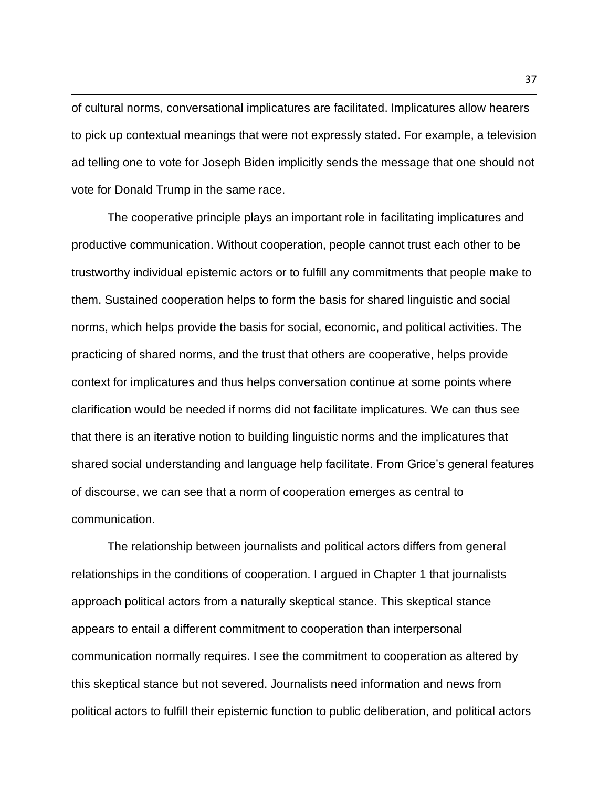of cultural norms, conversational implicatures are facilitated. Implicatures allow hearers to pick up contextual meanings that were not expressly stated. For example, a television ad telling one to vote for Joseph Biden implicitly sends the message that one should not vote for Donald Trump in the same race.

The cooperative principle plays an important role in facilitating implicatures and productive communication. Without cooperation, people cannot trust each other to be trustworthy individual epistemic actors or to fulfill any commitments that people make to them. Sustained cooperation helps to form the basis for shared linguistic and social norms, which helps provide the basis for social, economic, and political activities. The practicing of shared norms, and the trust that others are cooperative, helps provide context for implicatures and thus helps conversation continue at some points where clarification would be needed if norms did not facilitate implicatures. We can thus see that there is an iterative notion to building linguistic norms and the implicatures that shared social understanding and language help facilitate. From Grice's general features of discourse, we can see that a norm of cooperation emerges as central to communication.

The relationship between journalists and political actors differs from general relationships in the conditions of cooperation. I argued in Chapter 1 that journalists approach political actors from a naturally skeptical stance. This skeptical stance appears to entail a different commitment to cooperation than interpersonal communication normally requires. I see the commitment to cooperation as altered by this skeptical stance but not severed. Journalists need information and news from political actors to fulfill their epistemic function to public deliberation, and political actors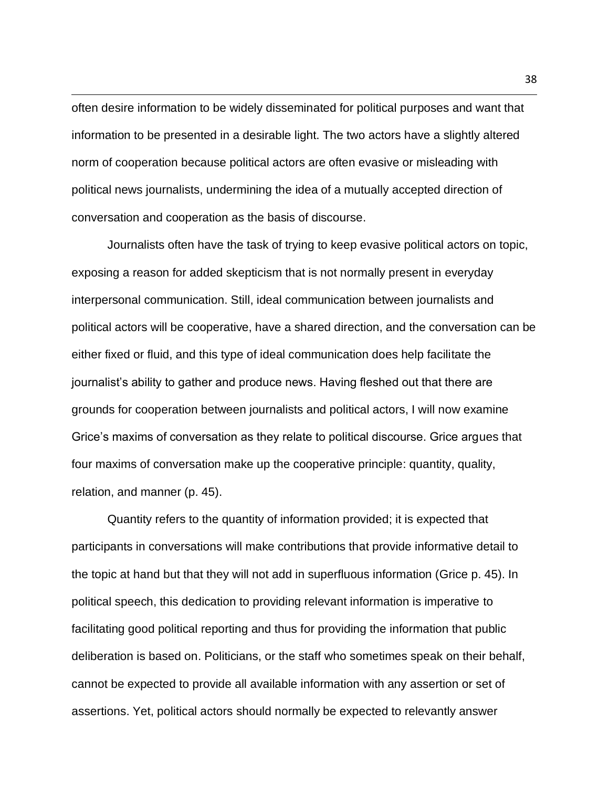often desire information to be widely disseminated for political purposes and want that information to be presented in a desirable light. The two actors have a slightly altered norm of cooperation because political actors are often evasive or misleading with political news journalists, undermining the idea of a mutually accepted direction of conversation and cooperation as the basis of discourse.

Journalists often have the task of trying to keep evasive political actors on topic, exposing a reason for added skepticism that is not normally present in everyday interpersonal communication. Still, ideal communication between journalists and political actors will be cooperative, have a shared direction, and the conversation can be either fixed or fluid, and this type of ideal communication does help facilitate the journalist's ability to gather and produce news. Having fleshed out that there are grounds for cooperation between journalists and political actors, I will now examine Grice's maxims of conversation as they relate to political discourse. Grice argues that four maxims of conversation make up the cooperative principle: quantity, quality, relation, and manner (p. 45).

Quantity refers to the quantity of information provided; it is expected that participants in conversations will make contributions that provide informative detail to the topic at hand but that they will not add in superfluous information (Grice p. 45). In political speech, this dedication to providing relevant information is imperative to facilitating good political reporting and thus for providing the information that public deliberation is based on. Politicians, or the staff who sometimes speak on their behalf, cannot be expected to provide all available information with any assertion or set of assertions. Yet, political actors should normally be expected to relevantly answer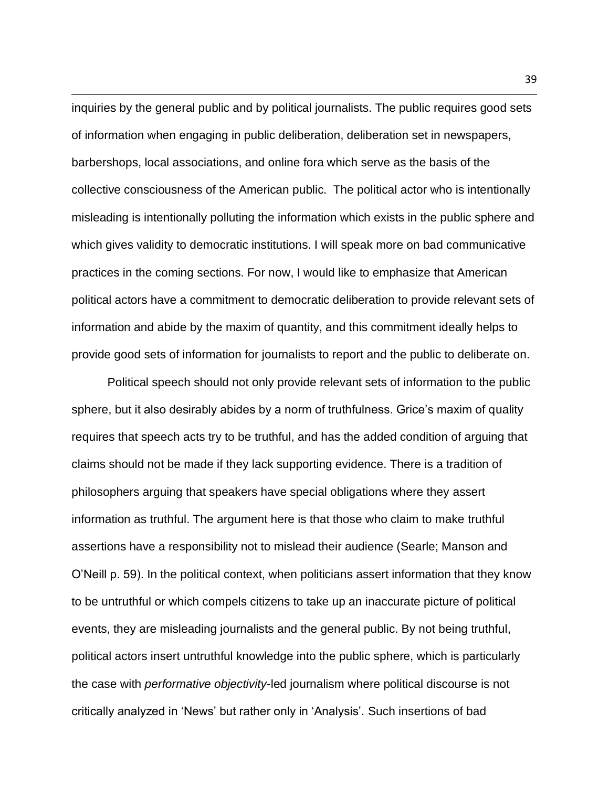inquiries by the general public and by political journalists. The public requires good sets of information when engaging in public deliberation, deliberation set in newspapers, barbershops, local associations, and online fora which serve as the basis of the collective consciousness of the American public. The political actor who is intentionally misleading is intentionally polluting the information which exists in the public sphere and which gives validity to democratic institutions. I will speak more on bad communicative practices in the coming sections. For now, I would like to emphasize that American political actors have a commitment to democratic deliberation to provide relevant sets of information and abide by the maxim of quantity, and this commitment ideally helps to provide good sets of information for journalists to report and the public to deliberate on.

Political speech should not only provide relevant sets of information to the public sphere, but it also desirably abides by a norm of truthfulness. Grice's maxim of quality requires that speech acts try to be truthful, and has the added condition of arguing that claims should not be made if they lack supporting evidence. There is a tradition of philosophers arguing that speakers have special obligations where they assert information as truthful. The argument here is that those who claim to make truthful assertions have a responsibility not to mislead their audience (Searle; Manson and O'Neill p. 59). In the political context, when politicians assert information that they know to be untruthful or which compels citizens to take up an inaccurate picture of political events, they are misleading journalists and the general public. By not being truthful, political actors insert untruthful knowledge into the public sphere, which is particularly the case with *performative objectivity*-led journalism where political discourse is not critically analyzed in 'News' but rather only in 'Analysis'. Such insertions of bad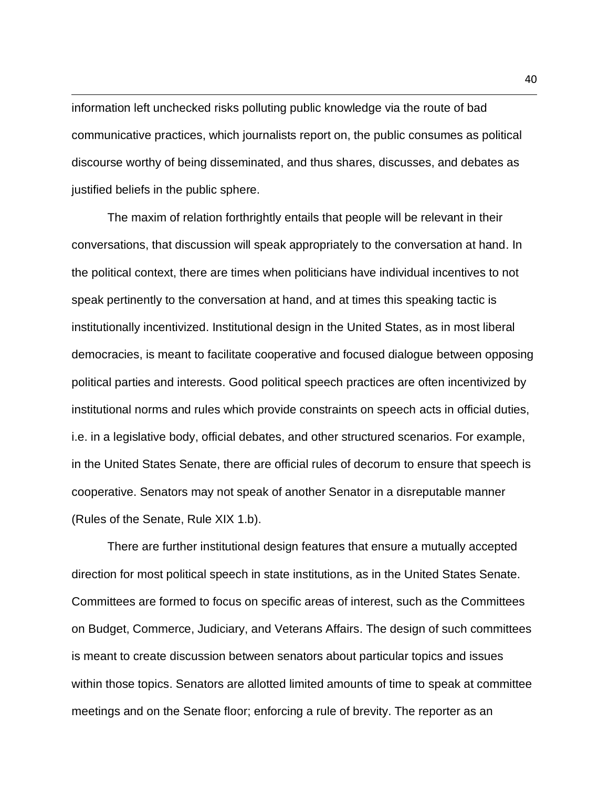information left unchecked risks polluting public knowledge via the route of bad communicative practices, which journalists report on, the public consumes as political discourse worthy of being disseminated, and thus shares, discusses, and debates as justified beliefs in the public sphere.

The maxim of relation forthrightly entails that people will be relevant in their conversations, that discussion will speak appropriately to the conversation at hand. In the political context, there are times when politicians have individual incentives to not speak pertinently to the conversation at hand, and at times this speaking tactic is institutionally incentivized. Institutional design in the United States, as in most liberal democracies, is meant to facilitate cooperative and focused dialogue between opposing political parties and interests. Good political speech practices are often incentivized by institutional norms and rules which provide constraints on speech acts in official duties, i.e. in a legislative body, official debates, and other structured scenarios. For example, in the United States Senate, there are official rules of decorum to ensure that speech is cooperative. Senators may not speak of another Senator in a disreputable manner (Rules of the Senate, Rule XIX 1.b).

There are further institutional design features that ensure a mutually accepted direction for most political speech in state institutions, as in the United States Senate. Committees are formed to focus on specific areas of interest, such as the Committees on Budget, Commerce, Judiciary, and Veterans Affairs. The design of such committees is meant to create discussion between senators about particular topics and issues within those topics. Senators are allotted limited amounts of time to speak at committee meetings and on the Senate floor; enforcing a rule of brevity. The reporter as an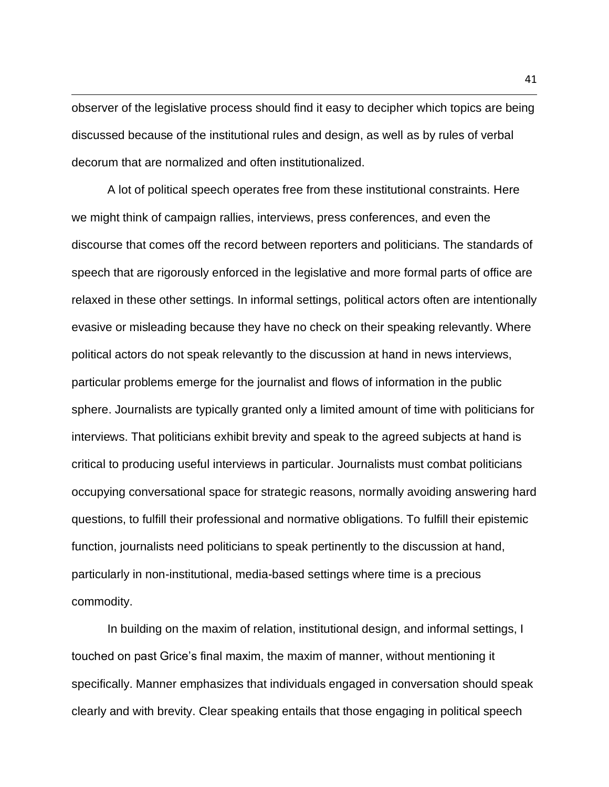observer of the legislative process should find it easy to decipher which topics are being discussed because of the institutional rules and design, as well as by rules of verbal decorum that are normalized and often institutionalized.

A lot of political speech operates free from these institutional constraints. Here we might think of campaign rallies, interviews, press conferences, and even the discourse that comes off the record between reporters and politicians. The standards of speech that are rigorously enforced in the legislative and more formal parts of office are relaxed in these other settings. In informal settings, political actors often are intentionally evasive or misleading because they have no check on their speaking relevantly. Where political actors do not speak relevantly to the discussion at hand in news interviews, particular problems emerge for the journalist and flows of information in the public sphere. Journalists are typically granted only a limited amount of time with politicians for interviews. That politicians exhibit brevity and speak to the agreed subjects at hand is critical to producing useful interviews in particular. Journalists must combat politicians occupying conversational space for strategic reasons, normally avoiding answering hard questions, to fulfill their professional and normative obligations. To fulfill their epistemic function, journalists need politicians to speak pertinently to the discussion at hand, particularly in non-institutional, media-based settings where time is a precious commodity.

In building on the maxim of relation, institutional design, and informal settings, I touched on past Grice's final maxim, the maxim of manner, without mentioning it specifically. Manner emphasizes that individuals engaged in conversation should speak clearly and with brevity. Clear speaking entails that those engaging in political speech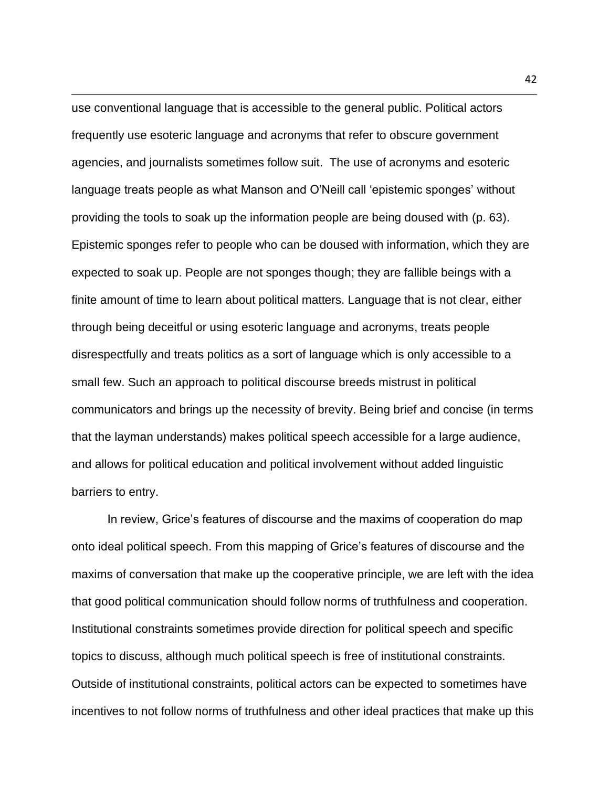use conventional language that is accessible to the general public. Political actors frequently use esoteric language and acronyms that refer to obscure government agencies, and journalists sometimes follow suit. The use of acronyms and esoteric language treats people as what Manson and O'Neill call 'epistemic sponges' without providing the tools to soak up the information people are being doused with (p. 63). Epistemic sponges refer to people who can be doused with information, which they are expected to soak up. People are not sponges though; they are fallible beings with a finite amount of time to learn about political matters. Language that is not clear, either through being deceitful or using esoteric language and acronyms, treats people disrespectfully and treats politics as a sort of language which is only accessible to a small few. Such an approach to political discourse breeds mistrust in political communicators and brings up the necessity of brevity. Being brief and concise (in terms that the layman understands) makes political speech accessible for a large audience, and allows for political education and political involvement without added linguistic barriers to entry.

In review, Grice's features of discourse and the maxims of cooperation do map onto ideal political speech. From this mapping of Grice's features of discourse and the maxims of conversation that make up the cooperative principle, we are left with the idea that good political communication should follow norms of truthfulness and cooperation. Institutional constraints sometimes provide direction for political speech and specific topics to discuss, although much political speech is free of institutional constraints. Outside of institutional constraints, political actors can be expected to sometimes have incentives to not follow norms of truthfulness and other ideal practices that make up this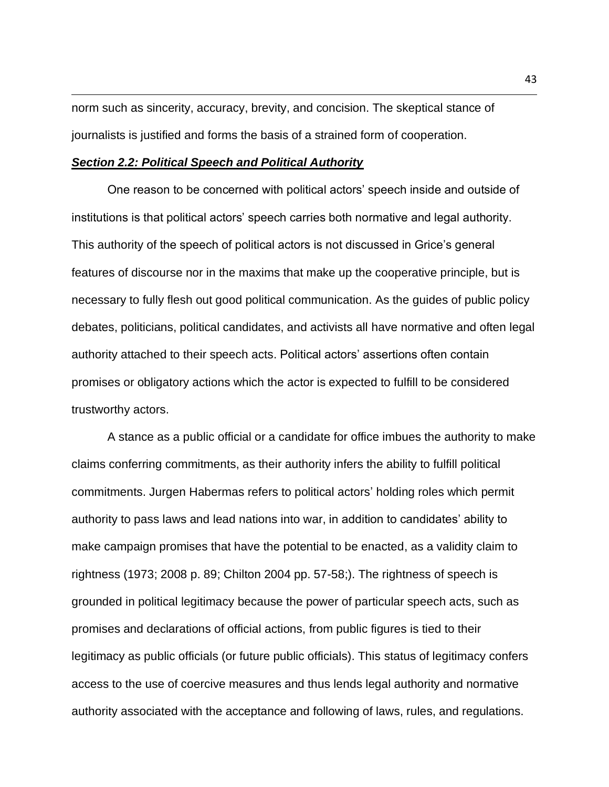norm such as sincerity, accuracy, brevity, and concision. The skeptical stance of journalists is justified and forms the basis of a strained form of cooperation.

### *Section 2.2: Political Speech and Political Authority*

One reason to be concerned with political actors' speech inside and outside of institutions is that political actors' speech carries both normative and legal authority. This authority of the speech of political actors is not discussed in Grice's general features of discourse nor in the maxims that make up the cooperative principle, but is necessary to fully flesh out good political communication. As the guides of public policy debates, politicians, political candidates, and activists all have normative and often legal authority attached to their speech acts. Political actors' assertions often contain promises or obligatory actions which the actor is expected to fulfill to be considered trustworthy actors.

A stance as a public official or a candidate for office imbues the authority to make claims conferring commitments, as their authority infers the ability to fulfill political commitments. Jurgen Habermas refers to political actors' holding roles which permit authority to pass laws and lead nations into war, in addition to candidates' ability to make campaign promises that have the potential to be enacted, as a validity claim to rightness (1973; 2008 p. 89; Chilton 2004 pp. 57-58;). The rightness of speech is grounded in political legitimacy because the power of particular speech acts, such as promises and declarations of official actions, from public figures is tied to their legitimacy as public officials (or future public officials). This status of legitimacy confers access to the use of coercive measures and thus lends legal authority and normative authority associated with the acceptance and following of laws, rules, and regulations.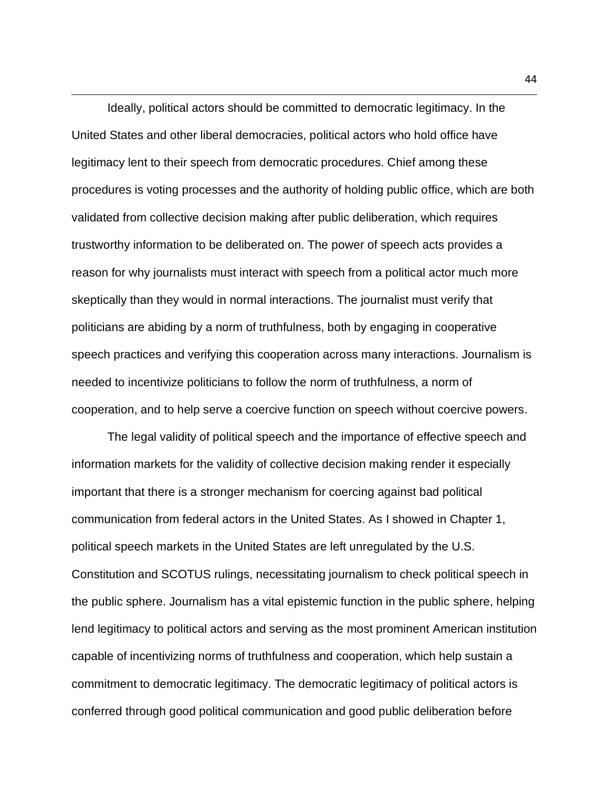Ideally, political actors should be committed to democratic legitimacy. In the United States and other liberal democracies, political actors who hold office have legitimacy lent to their speech from democratic procedures. Chief among these procedures is voting processes and the authority of holding public office, which are both validated from collective decision making after public deliberation, which requires trustworthy information to be deliberated on. The power of speech acts provides a reason for why journalists must interact with speech from a political actor much more skeptically than they would in normal interactions. The journalist must verify that politicians are abiding by a norm of truthfulness, both by engaging in cooperative speech practices and verifying this cooperation across many interactions. Journalism is needed to incentivize politicians to follow the norm of truthfulness, a norm of cooperation, and to help serve a coercive function on speech without coercive powers.

The legal validity of political speech and the importance of effective speech and information markets for the validity of collective decision making render it especially important that there is a stronger mechanism for coercing against bad political communication from federal actors in the United States. As I showed in Chapter 1, political speech markets in the United States are left unregulated by the U.S. Constitution and SCOTUS rulings, necessitating journalism to check political speech in the public sphere. Journalism has a vital epistemic function in the public sphere, helping lend legitimacy to political actors and serving as the most prominent American institution capable of incentivizing norms of truthfulness and cooperation, which help sustain a commitment to democratic legitimacy. The democratic legitimacy of political actors is conferred through good political communication and good public deliberation before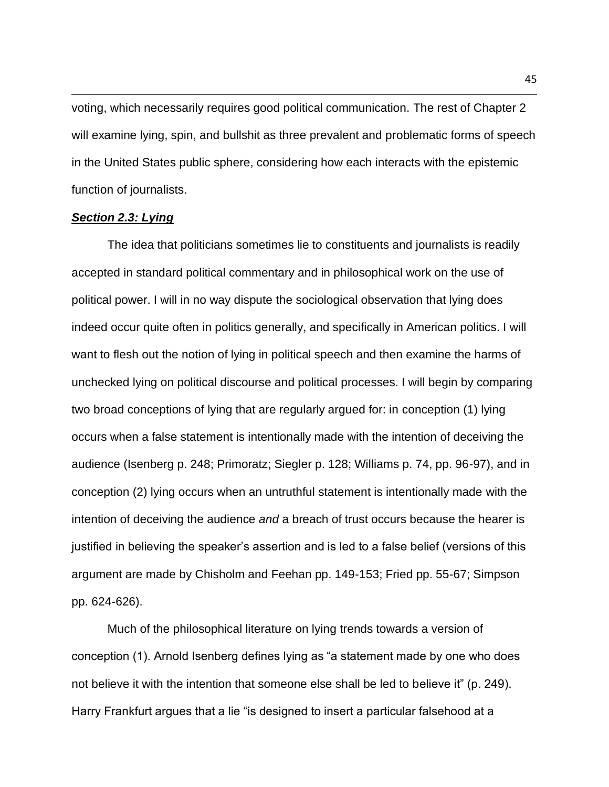voting, which necessarily requires good political communication. The rest of Chapter 2 will examine lying, spin, and bullshit as three prevalent and problematic forms of speech in the United States public sphere, considering how each interacts with the epistemic function of journalists.

### *Section 2.3: Lying*

The idea that politicians sometimes lie to constituents and journalists is readily accepted in standard political commentary and in philosophical work on the use of political power. I will in no way dispute the sociological observation that lying does indeed occur quite often in politics generally, and specifically in American politics. I will want to flesh out the notion of lying in political speech and then examine the harms of unchecked lying on political discourse and political processes. I will begin by comparing two broad conceptions of lying that are regularly argued for: in conception (1) lying occurs when a false statement is intentionally made with the intention of deceiving the audience (Isenberg p. 248; Primoratz; Siegler p. 128; Williams p. 74, pp. 96-97), and in conception (2) lying occurs when an untruthful statement is intentionally made with the intention of deceiving the audience *and* a breach of trust occurs because the hearer is justified in believing the speaker's assertion and is led to a false belief (versions of this argument are made by Chisholm and Feehan pp. 149-153; Fried pp. 55-67; Simpson pp. 624-626).

Much of the philosophical literature on lying trends towards a version of conception (1). Arnold Isenberg defines lying as "a statement made by one who does not believe it with the intention that someone else shall be led to believe it" (p. 249). Harry Frankfurt argues that a lie "is designed to insert a particular falsehood at a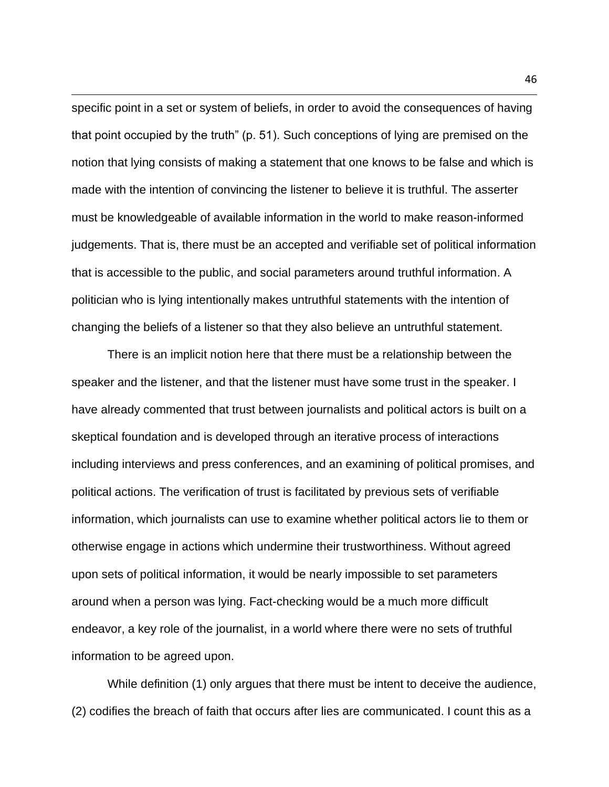specific point in a set or system of beliefs, in order to avoid the consequences of having that point occupied by the truth" (p. 51). Such conceptions of lying are premised on the notion that lying consists of making a statement that one knows to be false and which is made with the intention of convincing the listener to believe it is truthful. The asserter must be knowledgeable of available information in the world to make reason-informed judgements. That is, there must be an accepted and verifiable set of political information that is accessible to the public, and social parameters around truthful information. A politician who is lying intentionally makes untruthful statements with the intention of changing the beliefs of a listener so that they also believe an untruthful statement.

There is an implicit notion here that there must be a relationship between the speaker and the listener, and that the listener must have some trust in the speaker. I have already commented that trust between journalists and political actors is built on a skeptical foundation and is developed through an iterative process of interactions including interviews and press conferences, and an examining of political promises, and political actions. The verification of trust is facilitated by previous sets of verifiable information, which journalists can use to examine whether political actors lie to them or otherwise engage in actions which undermine their trustworthiness. Without agreed upon sets of political information, it would be nearly impossible to set parameters around when a person was lying. Fact-checking would be a much more difficult endeavor, a key role of the journalist, in a world where there were no sets of truthful information to be agreed upon.

While definition (1) only argues that there must be intent to deceive the audience, (2) codifies the breach of faith that occurs after lies are communicated. I count this as a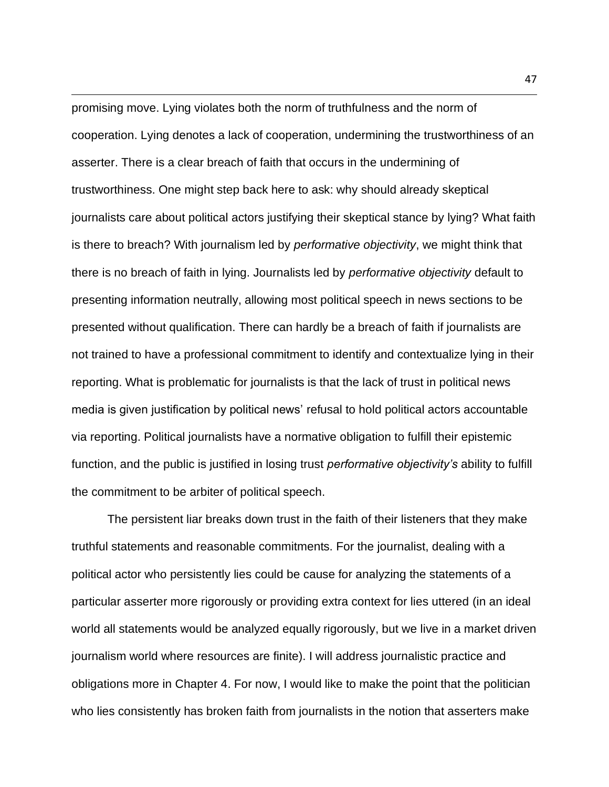promising move. Lying violates both the norm of truthfulness and the norm of cooperation. Lying denotes a lack of cooperation, undermining the trustworthiness of an asserter. There is a clear breach of faith that occurs in the undermining of trustworthiness. One might step back here to ask: why should already skeptical journalists care about political actors justifying their skeptical stance by lying? What faith is there to breach? With journalism led by *performative objectivity*, we might think that there is no breach of faith in lying. Journalists led by *performative objectivity* default to presenting information neutrally, allowing most political speech in news sections to be presented without qualification. There can hardly be a breach of faith if journalists are not trained to have a professional commitment to identify and contextualize lying in their reporting. What is problematic for journalists is that the lack of trust in political news media is given justification by political news' refusal to hold political actors accountable via reporting. Political journalists have a normative obligation to fulfill their epistemic function, and the public is justified in losing trust *performative objectivity's* ability to fulfill the commitment to be arbiter of political speech.

The persistent liar breaks down trust in the faith of their listeners that they make truthful statements and reasonable commitments. For the journalist, dealing with a political actor who persistently lies could be cause for analyzing the statements of a particular asserter more rigorously or providing extra context for lies uttered (in an ideal world all statements would be analyzed equally rigorously, but we live in a market driven journalism world where resources are finite). I will address journalistic practice and obligations more in Chapter 4. For now, I would like to make the point that the politician who lies consistently has broken faith from journalists in the notion that asserters make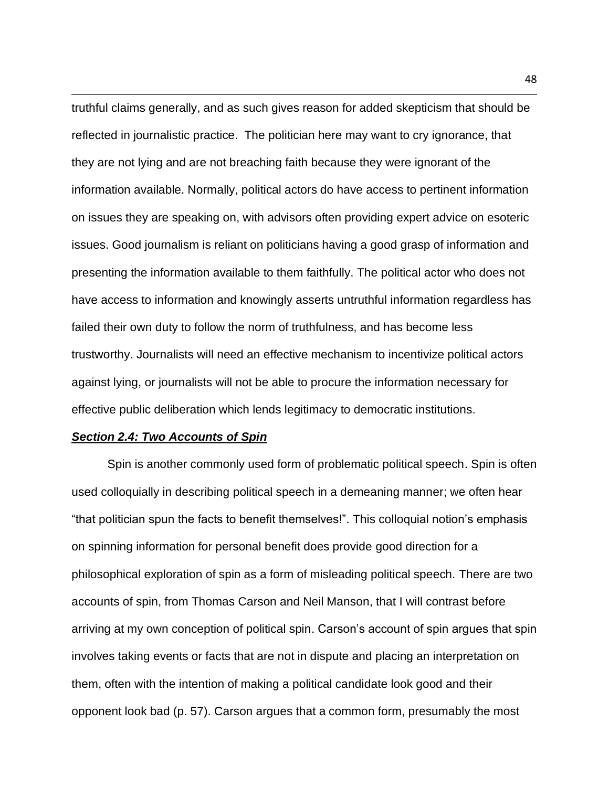truthful claims generally, and as such gives reason for added skepticism that should be reflected in journalistic practice. The politician here may want to cry ignorance, that they are not lying and are not breaching faith because they were ignorant of the information available. Normally, political actors do have access to pertinent information on issues they are speaking on, with advisors often providing expert advice on esoteric issues. Good journalism is reliant on politicians having a good grasp of information and presenting the information available to them faithfully. The political actor who does not have access to information and knowingly asserts untruthful information regardless has failed their own duty to follow the norm of truthfulness, and has become less trustworthy. Journalists will need an effective mechanism to incentivize political actors against lying, or journalists will not be able to procure the information necessary for effective public deliberation which lends legitimacy to democratic institutions.

# *Section 2.4: Two Accounts of Spin*

Spin is another commonly used form of problematic political speech. Spin is often used colloquially in describing political speech in a demeaning manner; we often hear "that politician spun the facts to benefit themselves!". This colloquial notion's emphasis on spinning information for personal benefit does provide good direction for a philosophical exploration of spin as a form of misleading political speech. There are two accounts of spin, from Thomas Carson and Neil Manson, that I will contrast before arriving at my own conception of political spin. Carson's account of spin argues that spin involves taking events or facts that are not in dispute and placing an interpretation on them, often with the intention of making a political candidate look good and their opponent look bad (p. 57). Carson argues that a common form, presumably the most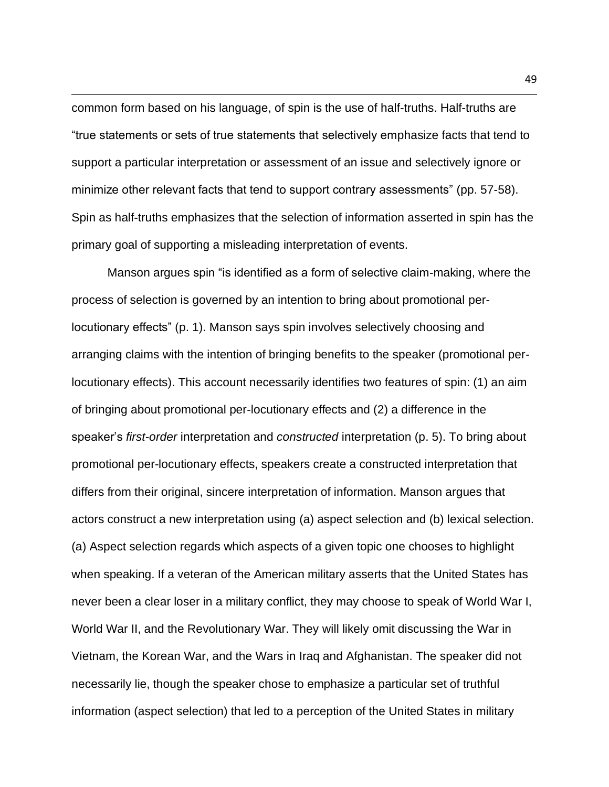common form based on his language, of spin is the use of half-truths. Half-truths are "true statements or sets of true statements that selectively emphasize facts that tend to support a particular interpretation or assessment of an issue and selectively ignore or minimize other relevant facts that tend to support contrary assessments" (pp. 57-58). Spin as half-truths emphasizes that the selection of information asserted in spin has the primary goal of supporting a misleading interpretation of events.

Manson argues spin "is identified as a form of selective claim-making, where the process of selection is governed by an intention to bring about promotional perlocutionary effects" (p. 1). Manson says spin involves selectively choosing and arranging claims with the intention of bringing benefits to the speaker (promotional perlocutionary effects). This account necessarily identifies two features of spin: (1) an aim of bringing about promotional per-locutionary effects and (2) a difference in the speaker's *first-order* interpretation and *constructed* interpretation (p. 5). To bring about promotional per-locutionary effects, speakers create a constructed interpretation that differs from their original, sincere interpretation of information. Manson argues that actors construct a new interpretation using (a) aspect selection and (b) lexical selection. (a) Aspect selection regards which aspects of a given topic one chooses to highlight when speaking. If a veteran of the American military asserts that the United States has never been a clear loser in a military conflict, they may choose to speak of World War I, World War II, and the Revolutionary War. They will likely omit discussing the War in Vietnam, the Korean War, and the Wars in Iraq and Afghanistan. The speaker did not necessarily lie, though the speaker chose to emphasize a particular set of truthful information (aspect selection) that led to a perception of the United States in military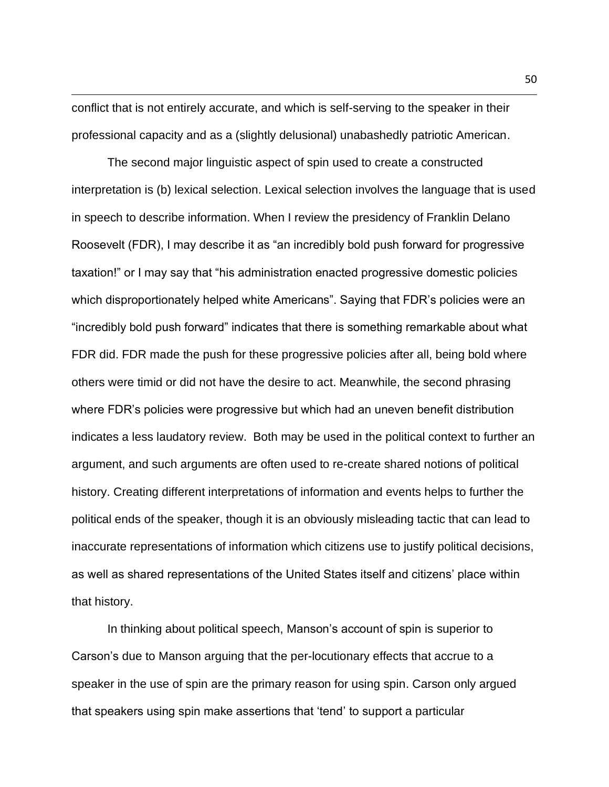conflict that is not entirely accurate, and which is self-serving to the speaker in their professional capacity and as a (slightly delusional) unabashedly patriotic American.

The second major linguistic aspect of spin used to create a constructed interpretation is (b) lexical selection. Lexical selection involves the language that is used in speech to describe information. When I review the presidency of Franklin Delano Roosevelt (FDR), I may describe it as "an incredibly bold push forward for progressive taxation!" or I may say that "his administration enacted progressive domestic policies which disproportionately helped white Americans". Saying that FDR's policies were an "incredibly bold push forward" indicates that there is something remarkable about what FDR did. FDR made the push for these progressive policies after all, being bold where others were timid or did not have the desire to act. Meanwhile, the second phrasing where FDR's policies were progressive but which had an uneven benefit distribution indicates a less laudatory review. Both may be used in the political context to further an argument, and such arguments are often used to re-create shared notions of political history. Creating different interpretations of information and events helps to further the political ends of the speaker, though it is an obviously misleading tactic that can lead to inaccurate representations of information which citizens use to justify political decisions, as well as shared representations of the United States itself and citizens' place within that history.

In thinking about political speech, Manson's account of spin is superior to Carson's due to Manson arguing that the per-locutionary effects that accrue to a speaker in the use of spin are the primary reason for using spin. Carson only argued that speakers using spin make assertions that 'tend' to support a particular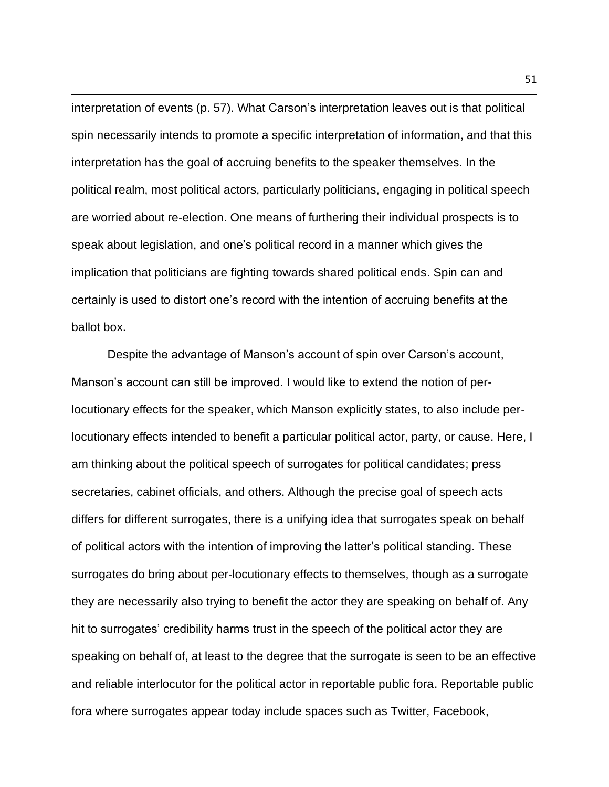interpretation of events (p. 57). What Carson's interpretation leaves out is that political spin necessarily intends to promote a specific interpretation of information, and that this interpretation has the goal of accruing benefits to the speaker themselves. In the political realm, most political actors, particularly politicians, engaging in political speech are worried about re-election. One means of furthering their individual prospects is to speak about legislation, and one's political record in a manner which gives the implication that politicians are fighting towards shared political ends. Spin can and certainly is used to distort one's record with the intention of accruing benefits at the ballot box.

Despite the advantage of Manson's account of spin over Carson's account, Manson's account can still be improved. I would like to extend the notion of perlocutionary effects for the speaker, which Manson explicitly states, to also include perlocutionary effects intended to benefit a particular political actor, party, or cause. Here, I am thinking about the political speech of surrogates for political candidates; press secretaries, cabinet officials, and others. Although the precise goal of speech acts differs for different surrogates, there is a unifying idea that surrogates speak on behalf of political actors with the intention of improving the latter's political standing. These surrogates do bring about per-locutionary effects to themselves, though as a surrogate they are necessarily also trying to benefit the actor they are speaking on behalf of. Any hit to surrogates' credibility harms trust in the speech of the political actor they are speaking on behalf of, at least to the degree that the surrogate is seen to be an effective and reliable interlocutor for the political actor in reportable public fora. Reportable public fora where surrogates appear today include spaces such as Twitter, Facebook,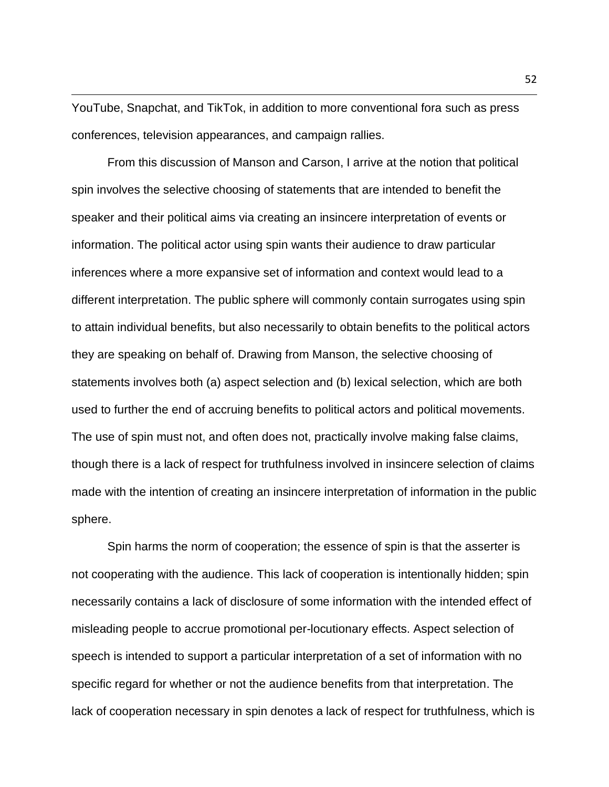YouTube, Snapchat, and TikTok, in addition to more conventional fora such as press conferences, television appearances, and campaign rallies.

From this discussion of Manson and Carson, I arrive at the notion that political spin involves the selective choosing of statements that are intended to benefit the speaker and their political aims via creating an insincere interpretation of events or information. The political actor using spin wants their audience to draw particular inferences where a more expansive set of information and context would lead to a different interpretation. The public sphere will commonly contain surrogates using spin to attain individual benefits, but also necessarily to obtain benefits to the political actors they are speaking on behalf of. Drawing from Manson, the selective choosing of statements involves both (a) aspect selection and (b) lexical selection, which are both used to further the end of accruing benefits to political actors and political movements. The use of spin must not, and often does not, practically involve making false claims, though there is a lack of respect for truthfulness involved in insincere selection of claims made with the intention of creating an insincere interpretation of information in the public sphere.

Spin harms the norm of cooperation; the essence of spin is that the asserter is not cooperating with the audience. This lack of cooperation is intentionally hidden; spin necessarily contains a lack of disclosure of some information with the intended effect of misleading people to accrue promotional per-locutionary effects. Aspect selection of speech is intended to support a particular interpretation of a set of information with no specific regard for whether or not the audience benefits from that interpretation. The lack of cooperation necessary in spin denotes a lack of respect for truthfulness, which is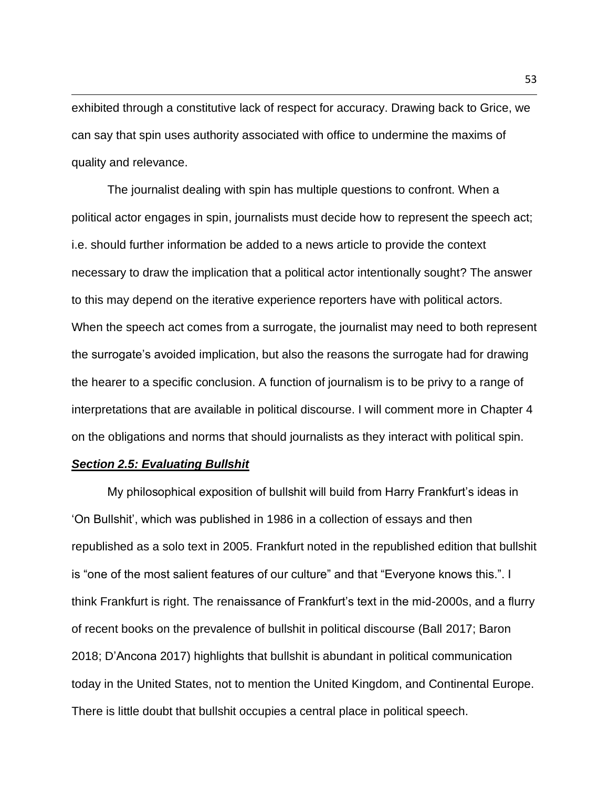exhibited through a constitutive lack of respect for accuracy. Drawing back to Grice, we can say that spin uses authority associated with office to undermine the maxims of quality and relevance.

The journalist dealing with spin has multiple questions to confront. When a political actor engages in spin, journalists must decide how to represent the speech act; i.e. should further information be added to a news article to provide the context necessary to draw the implication that a political actor intentionally sought? The answer to this may depend on the iterative experience reporters have with political actors. When the speech act comes from a surrogate, the journalist may need to both represent the surrogate's avoided implication, but also the reasons the surrogate had for drawing the hearer to a specific conclusion. A function of journalism is to be privy to a range of interpretations that are available in political discourse. I will comment more in Chapter 4 on the obligations and norms that should journalists as they interact with political spin.

### *Section 2.5: Evaluating Bullshit*

My philosophical exposition of bullshit will build from Harry Frankfurt's ideas in 'On Bullshit', which was published in 1986 in a collection of essays and then republished as a solo text in 2005. Frankfurt noted in the republished edition that bullshit is "one of the most salient features of our culture" and that "Everyone knows this.". I think Frankfurt is right. The renaissance of Frankfurt's text in the mid-2000s, and a flurry of recent books on the prevalence of bullshit in political discourse (Ball 2017; Baron 2018; D'Ancona 2017) highlights that bullshit is abundant in political communication today in the United States, not to mention the United Kingdom, and Continental Europe. There is little doubt that bullshit occupies a central place in political speech.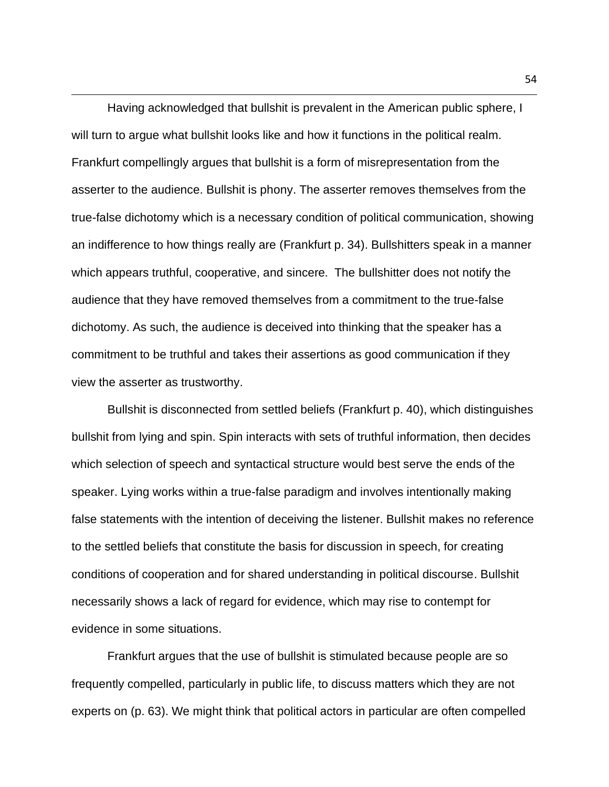Having acknowledged that bullshit is prevalent in the American public sphere, I will turn to argue what bullshit looks like and how it functions in the political realm. Frankfurt compellingly argues that bullshit is a form of misrepresentation from the asserter to the audience. Bullshit is phony. The asserter removes themselves from the true-false dichotomy which is a necessary condition of political communication, showing an indifference to how things really are (Frankfurt p. 34). Bullshitters speak in a manner which appears truthful, cooperative, and sincere. The bullshitter does not notify the audience that they have removed themselves from a commitment to the true-false dichotomy. As such, the audience is deceived into thinking that the speaker has a commitment to be truthful and takes their assertions as good communication if they view the asserter as trustworthy.

Bullshit is disconnected from settled beliefs (Frankfurt p. 40), which distinguishes bullshit from lying and spin. Spin interacts with sets of truthful information, then decides which selection of speech and syntactical structure would best serve the ends of the speaker. Lying works within a true-false paradigm and involves intentionally making false statements with the intention of deceiving the listener. Bullshit makes no reference to the settled beliefs that constitute the basis for discussion in speech, for creating conditions of cooperation and for shared understanding in political discourse. Bullshit necessarily shows a lack of regard for evidence, which may rise to contempt for evidence in some situations.

Frankfurt argues that the use of bullshit is stimulated because people are so frequently compelled, particularly in public life, to discuss matters which they are not experts on (p. 63). We might think that political actors in particular are often compelled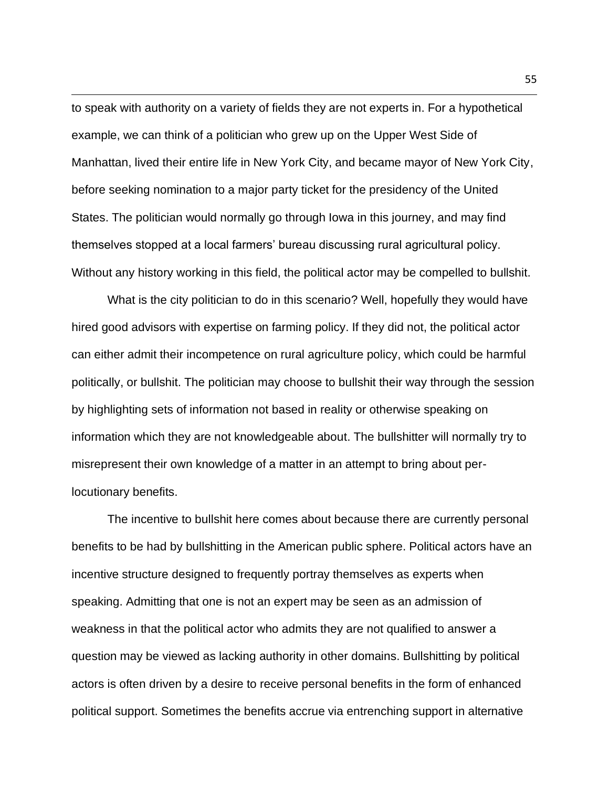to speak with authority on a variety of fields they are not experts in. For a hypothetical example, we can think of a politician who grew up on the Upper West Side of Manhattan, lived their entire life in New York City, and became mayor of New York City, before seeking nomination to a major party ticket for the presidency of the United States. The politician would normally go through Iowa in this journey, and may find themselves stopped at a local farmers' bureau discussing rural agricultural policy. Without any history working in this field, the political actor may be compelled to bullshit.

What is the city politician to do in this scenario? Well, hopefully they would have hired good advisors with expertise on farming policy. If they did not, the political actor can either admit their incompetence on rural agriculture policy, which could be harmful politically, or bullshit. The politician may choose to bullshit their way through the session by highlighting sets of information not based in reality or otherwise speaking on information which they are not knowledgeable about. The bullshitter will normally try to misrepresent their own knowledge of a matter in an attempt to bring about perlocutionary benefits.

The incentive to bullshit here comes about because there are currently personal benefits to be had by bullshitting in the American public sphere. Political actors have an incentive structure designed to frequently portray themselves as experts when speaking. Admitting that one is not an expert may be seen as an admission of weakness in that the political actor who admits they are not qualified to answer a question may be viewed as lacking authority in other domains. Bullshitting by political actors is often driven by a desire to receive personal benefits in the form of enhanced political support. Sometimes the benefits accrue via entrenching support in alternative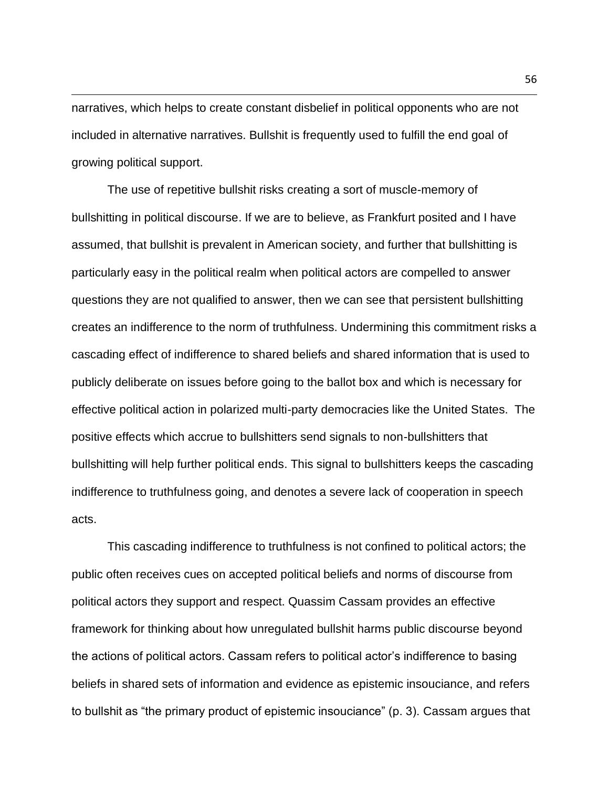narratives, which helps to create constant disbelief in political opponents who are not included in alternative narratives. Bullshit is frequently used to fulfill the end goal of growing political support.

The use of repetitive bullshit risks creating a sort of muscle-memory of bullshitting in political discourse. If we are to believe, as Frankfurt posited and I have assumed, that bullshit is prevalent in American society, and further that bullshitting is particularly easy in the political realm when political actors are compelled to answer questions they are not qualified to answer, then we can see that persistent bullshitting creates an indifference to the norm of truthfulness. Undermining this commitment risks a cascading effect of indifference to shared beliefs and shared information that is used to publicly deliberate on issues before going to the ballot box and which is necessary for effective political action in polarized multi-party democracies like the United States. The positive effects which accrue to bullshitters send signals to non-bullshitters that bullshitting will help further political ends. This signal to bullshitters keeps the cascading indifference to truthfulness going, and denotes a severe lack of cooperation in speech acts.

This cascading indifference to truthfulness is not confined to political actors; the public often receives cues on accepted political beliefs and norms of discourse from political actors they support and respect. Quassim Cassam provides an effective framework for thinking about how unregulated bullshit harms public discourse beyond the actions of political actors. Cassam refers to political actor's indifference to basing beliefs in shared sets of information and evidence as epistemic insouciance, and refers to bullshit as "the primary product of epistemic insouciance" (p. 3). Cassam argues that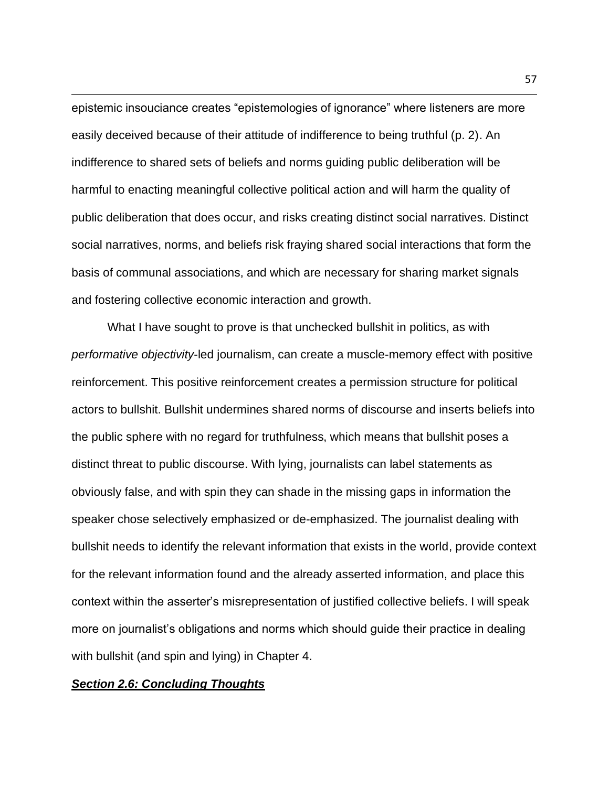epistemic insouciance creates "epistemologies of ignorance" where listeners are more easily deceived because of their attitude of indifference to being truthful (p. 2). An indifference to shared sets of beliefs and norms guiding public deliberation will be harmful to enacting meaningful collective political action and will harm the quality of public deliberation that does occur, and risks creating distinct social narratives. Distinct social narratives, norms, and beliefs risk fraying shared social interactions that form the basis of communal associations, and which are necessary for sharing market signals and fostering collective economic interaction and growth.

What I have sought to prove is that unchecked bullshit in politics, as with *performative objectivity*-led journalism, can create a muscle-memory effect with positive reinforcement. This positive reinforcement creates a permission structure for political actors to bullshit. Bullshit undermines shared norms of discourse and inserts beliefs into the public sphere with no regard for truthfulness, which means that bullshit poses a distinct threat to public discourse. With lying, journalists can label statements as obviously false, and with spin they can shade in the missing gaps in information the speaker chose selectively emphasized or de-emphasized. The journalist dealing with bullshit needs to identify the relevant information that exists in the world, provide context for the relevant information found and the already asserted information, and place this context within the asserter's misrepresentation of justified collective beliefs. I will speak more on journalist's obligations and norms which should guide their practice in dealing with bullshit (and spin and lying) in Chapter 4.

## *Section 2.6: Concluding Thoughts*

57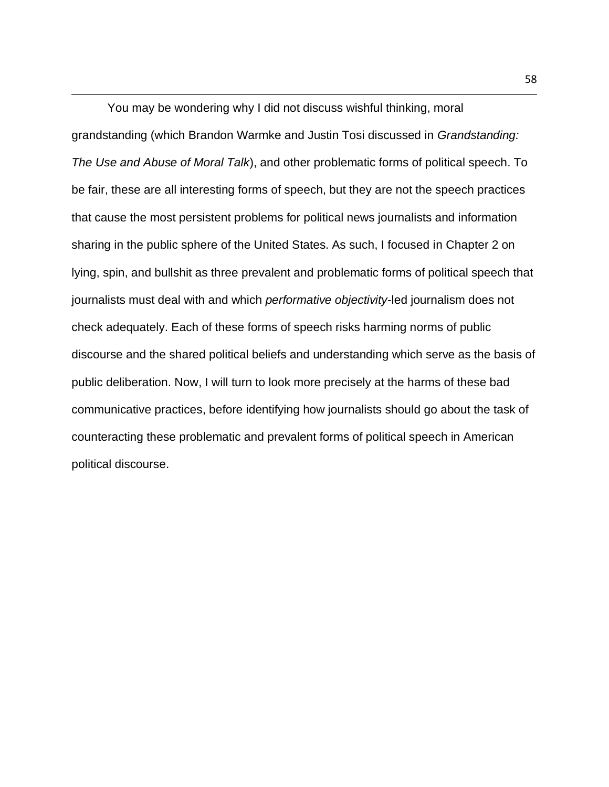You may be wondering why I did not discuss wishful thinking, moral grandstanding (which Brandon Warmke and Justin Tosi discussed in *Grandstanding: The Use and Abuse of Moral Talk*), and other problematic forms of political speech. To be fair, these are all interesting forms of speech, but they are not the speech practices that cause the most persistent problems for political news journalists and information sharing in the public sphere of the United States. As such, I focused in Chapter 2 on lying, spin, and bullshit as three prevalent and problematic forms of political speech that journalists must deal with and which *performative objectivity*-led journalism does not check adequately. Each of these forms of speech risks harming norms of public discourse and the shared political beliefs and understanding which serve as the basis of public deliberation. Now, I will turn to look more precisely at the harms of these bad communicative practices, before identifying how journalists should go about the task of counteracting these problematic and prevalent forms of political speech in American political discourse.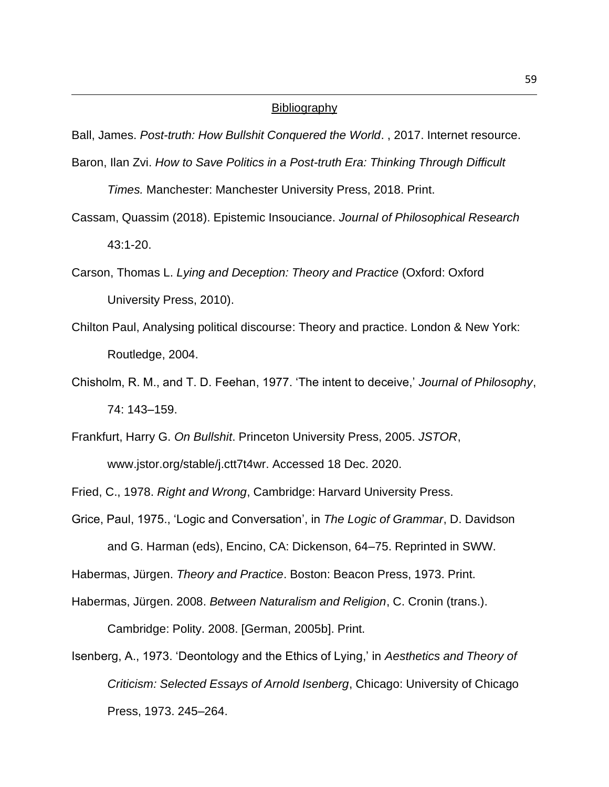### **Bibliography**

Ball, James. *Post-truth: How Bullshit Conquered the World*. , 2017. Internet resource.

- Baron, Ilan Zvi. *How to Save Politics in a Post-truth Era: Thinking Through Difficult Times.* Manchester: Manchester University Press, 2018. Print.
- Cassam, Quassim (2018). Epistemic Insouciance. *Journal of Philosophical Research* 43:1-20.
- Carson, Thomas L. *Lying and Deception: Theory and Practice* (Oxford: Oxford University Press, 2010).
- Chilton Paul, Analysing political discourse: Theory and practice. London & New York: Routledge, 2004.
- Chisholm, R. M., and T. D. Feehan, 1977. 'The intent to deceive,' *Journal of Philosophy*, 74: 143–159.
- Frankfurt, Harry G. *On Bullshit*. Princeton University Press, 2005. *JSTOR*, www.jstor.org/stable/j.ctt7t4wr. Accessed 18 Dec. 2020.

Fried, C., 1978. *Right and Wrong*, Cambridge: Harvard University Press.

Grice, Paul, 1975., 'Logic and Conversation', in *The Logic of Grammar*, D. Davidson and G. Harman (eds), Encino, CA: Dickenson, 64–75. Reprinted in SWW.

Habermas, Jürgen. *Theory and Practice*. Boston: Beacon Press, 1973. Print.

Habermas, Jürgen. 2008. *Between Naturalism and Religion*, C. Cronin (trans.).

Cambridge: Polity. 2008. [German, 2005b]. Print.

Isenberg, A., 1973. 'Deontology and the Ethics of Lying,' in *Aesthetics and Theory of Criticism: Selected Essays of Arnold Isenberg*, Chicago: University of Chicago Press, 1973. 245–264.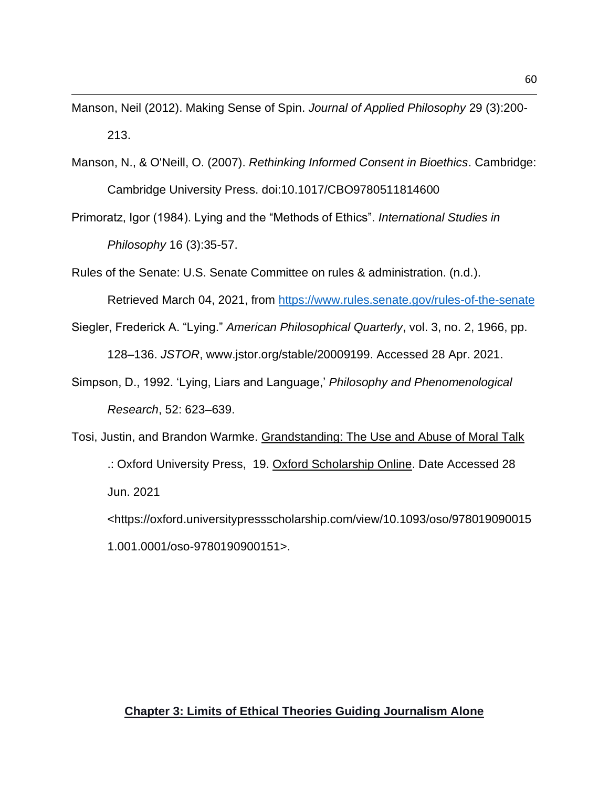Manson, Neil (2012). Making Sense of Spin. *Journal of Applied Philosophy* 29 (3):200- 213.

- Manson, N., & O'Neill, O. (2007). *Rethinking Informed Consent in Bioethics*. Cambridge: Cambridge University Press. doi:10.1017/CBO9780511814600
- Primoratz, Igor (1984). Lying and the "Methods of Ethics". *International Studies in Philosophy* 16 (3):35-57.

Rules of the Senate: U.S. Senate Committee on rules & administration. (n.d.).

Retrieved March 04, 2021, from<https://www.rules.senate.gov/rules-of-the-senate>

- Siegler, Frederick A. "Lying." *American Philosophical Quarterly*, vol. 3, no. 2, 1966, pp. 128–136. *JSTOR*, www.jstor.org/stable/20009199. Accessed 28 Apr. 2021.
- Simpson, D., 1992. 'Lying, Liars and Language,' *Philosophy and Phenomenological Research*, 52: 623–639.
- Tosi, Justin, and Brandon Warmke. Grandstanding: The Use and Abuse of Moral Talk .: Oxford University Press, 19. Oxford Scholarship Online. Date Accessed 28 Jun. 2021 <https://oxford.universitypressscholarship.com/view/10.1093/oso/978019090015 1.001.0001/oso-9780190900151>.

# **Chapter 3: Limits of Ethical Theories Guiding Journalism Alone**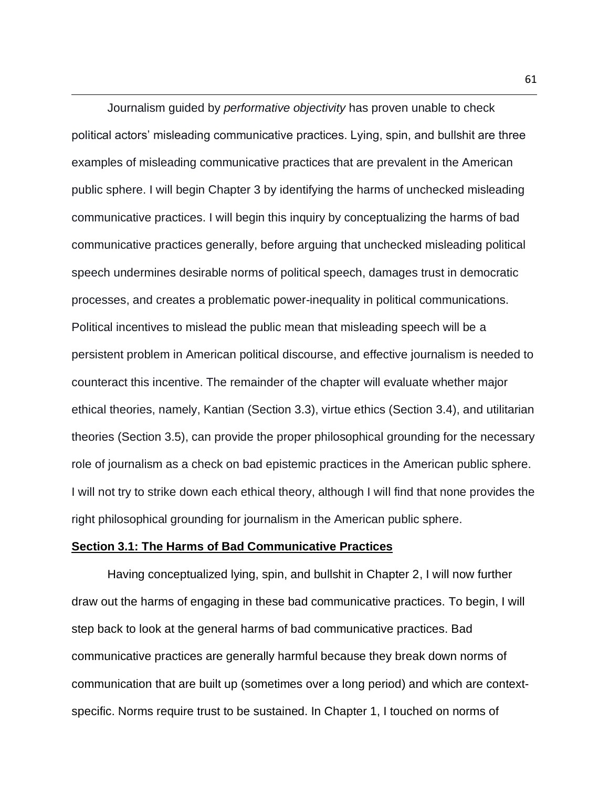Journalism guided by *performative objectivity* has proven unable to check political actors' misleading communicative practices. Lying, spin, and bullshit are three examples of misleading communicative practices that are prevalent in the American public sphere. I will begin Chapter 3 by identifying the harms of unchecked misleading communicative practices. I will begin this inquiry by conceptualizing the harms of bad communicative practices generally, before arguing that unchecked misleading political speech undermines desirable norms of political speech, damages trust in democratic processes, and creates a problematic power-inequality in political communications. Political incentives to mislead the public mean that misleading speech will be a persistent problem in American political discourse, and effective journalism is needed to counteract this incentive. The remainder of the chapter will evaluate whether major ethical theories, namely, Kantian (Section 3.3), virtue ethics (Section 3.4), and utilitarian theories (Section 3.5), can provide the proper philosophical grounding for the necessary role of journalism as a check on bad epistemic practices in the American public sphere. I will not try to strike down each ethical theory, although I will find that none provides the right philosophical grounding for journalism in the American public sphere.

### **Section 3.1: The Harms of Bad Communicative Practices**

Having conceptualized lying, spin, and bullshit in Chapter 2, I will now further draw out the harms of engaging in these bad communicative practices. To begin, I will step back to look at the general harms of bad communicative practices. Bad communicative practices are generally harmful because they break down norms of communication that are built up (sometimes over a long period) and which are contextspecific. Norms require trust to be sustained. In Chapter 1, I touched on norms of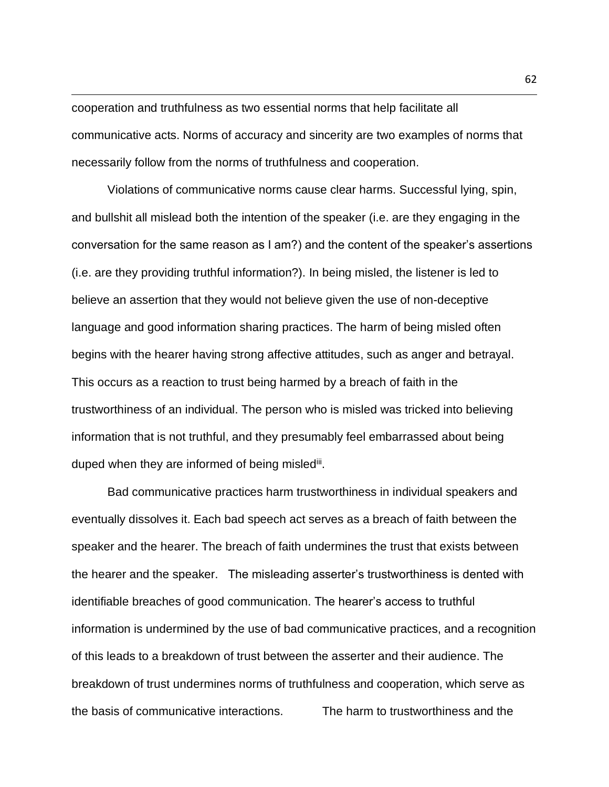cooperation and truthfulness as two essential norms that help facilitate all communicative acts. Norms of accuracy and sincerity are two examples of norms that necessarily follow from the norms of truthfulness and cooperation.

Violations of communicative norms cause clear harms. Successful lying, spin, and bullshit all mislead both the intention of the speaker (i.e. are they engaging in the conversation for the same reason as I am?) and the content of the speaker's assertions (i.e. are they providing truthful information?). In being misled, the listener is led to believe an assertion that they would not believe given the use of non-deceptive language and good information sharing practices. The harm of being misled often begins with the hearer having strong affective attitudes, such as anger and betrayal. This occurs as a reaction to trust being harmed by a breach of faith in the trustworthiness of an individual. The person who is misled was tricked into believing information that is not truthful, and they presumably feel embarrassed about being duped when they are informed of being misled<sup>iii</sup>.

Bad communicative practices harm trustworthiness in individual speakers and eventually dissolves it. Each bad speech act serves as a breach of faith between the speaker and the hearer. The breach of faith undermines the trust that exists between the hearer and the speaker. The misleading asserter's trustworthiness is dented with identifiable breaches of good communication. The hearer's access to truthful information is undermined by the use of bad communicative practices, and a recognition of this leads to a breakdown of trust between the asserter and their audience. The breakdown of trust undermines norms of truthfulness and cooperation, which serve as the basis of communicative interactions. The harm to trustworthiness and the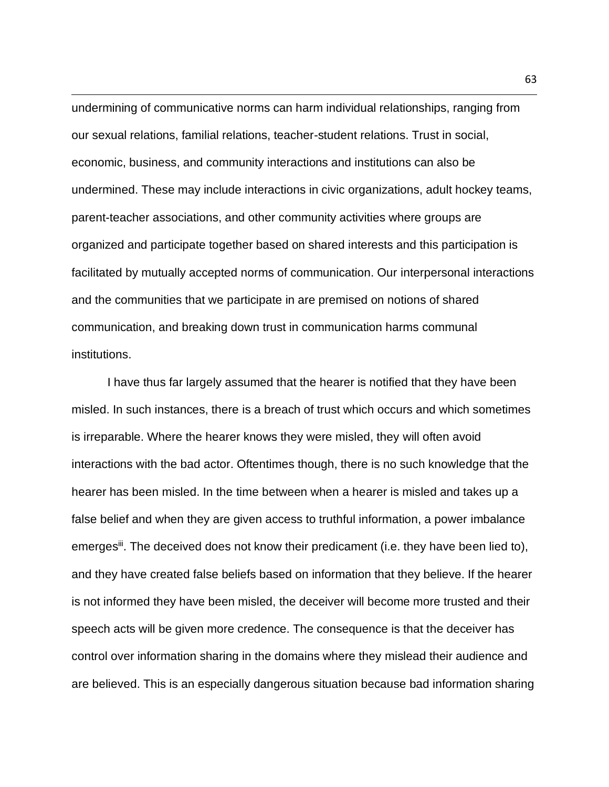undermining of communicative norms can harm individual relationships, ranging from our sexual relations, familial relations, teacher-student relations. Trust in social, economic, business, and community interactions and institutions can also be undermined. These may include interactions in civic organizations, adult hockey teams, parent-teacher associations, and other community activities where groups are organized and participate together based on shared interests and this participation is facilitated by mutually accepted norms of communication. Our interpersonal interactions and the communities that we participate in are premised on notions of shared communication, and breaking down trust in communication harms communal institutions.

I have thus far largely assumed that the hearer is notified that they have been misled. In such instances, there is a breach of trust which occurs and which sometimes is irreparable. Where the hearer knows they were misled, they will often avoid interactions with the bad actor. Oftentimes though, there is no such knowledge that the hearer has been misled. In the time between when a hearer is misled and takes up a false belief and when they are given access to truthful information, a power imbalance emerges<sup>ii</sup>. The deceived does not know their predicament (i.e. they have been lied to), and they have created false beliefs based on information that they believe. If the hearer is not informed they have been misled, the deceiver will become more trusted and their speech acts will be given more credence. The consequence is that the deceiver has control over information sharing in the domains where they mislead their audience and are believed. This is an especially dangerous situation because bad information sharing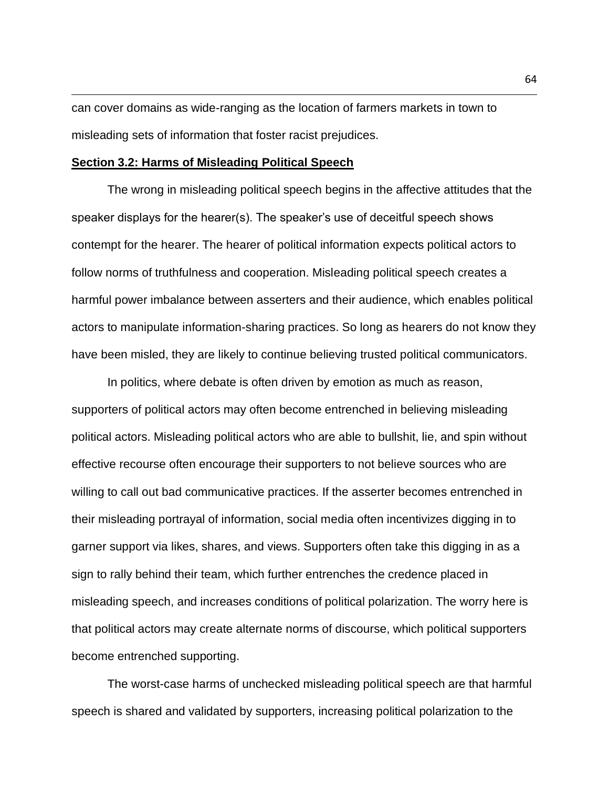can cover domains as wide-ranging as the location of farmers markets in town to misleading sets of information that foster racist prejudices.

### **Section 3.2: Harms of Misleading Political Speech**

The wrong in misleading political speech begins in the affective attitudes that the speaker displays for the hearer(s). The speaker's use of deceitful speech shows contempt for the hearer. The hearer of political information expects political actors to follow norms of truthfulness and cooperation. Misleading political speech creates a harmful power imbalance between asserters and their audience, which enables political actors to manipulate information-sharing practices. So long as hearers do not know they have been misled, they are likely to continue believing trusted political communicators.

In politics, where debate is often driven by emotion as much as reason, supporters of political actors may often become entrenched in believing misleading political actors. Misleading political actors who are able to bullshit, lie, and spin without effective recourse often encourage their supporters to not believe sources who are willing to call out bad communicative practices. If the asserter becomes entrenched in their misleading portrayal of information, social media often incentivizes digging in to garner support via likes, shares, and views. Supporters often take this digging in as a sign to rally behind their team, which further entrenches the credence placed in misleading speech, and increases conditions of political polarization. The worry here is that political actors may create alternate norms of discourse, which political supporters become entrenched supporting.

The worst-case harms of unchecked misleading political speech are that harmful speech is shared and validated by supporters, increasing political polarization to the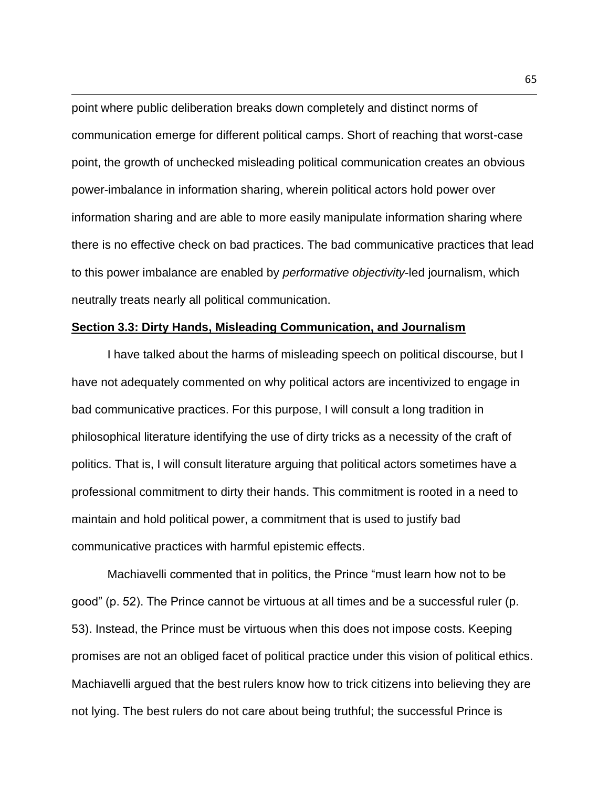point where public deliberation breaks down completely and distinct norms of communication emerge for different political camps. Short of reaching that worst-case point, the growth of unchecked misleading political communication creates an obvious power-imbalance in information sharing, wherein political actors hold power over information sharing and are able to more easily manipulate information sharing where there is no effective check on bad practices. The bad communicative practices that lead to this power imbalance are enabled by *performative objectivity*-led journalism, which neutrally treats nearly all political communication.

### **Section 3.3: Dirty Hands, Misleading Communication, and Journalism**

I have talked about the harms of misleading speech on political discourse, but I have not adequately commented on why political actors are incentivized to engage in bad communicative practices. For this purpose, I will consult a long tradition in philosophical literature identifying the use of dirty tricks as a necessity of the craft of politics. That is, I will consult literature arguing that political actors sometimes have a professional commitment to dirty their hands. This commitment is rooted in a need to maintain and hold political power, a commitment that is used to justify bad communicative practices with harmful epistemic effects.

Machiavelli commented that in politics, the Prince "must learn how not to be good" (p. 52). The Prince cannot be virtuous at all times and be a successful ruler (p. 53). Instead, the Prince must be virtuous when this does not impose costs. Keeping promises are not an obliged facet of political practice under this vision of political ethics. Machiavelli argued that the best rulers know how to trick citizens into believing they are not lying. The best rulers do not care about being truthful; the successful Prince is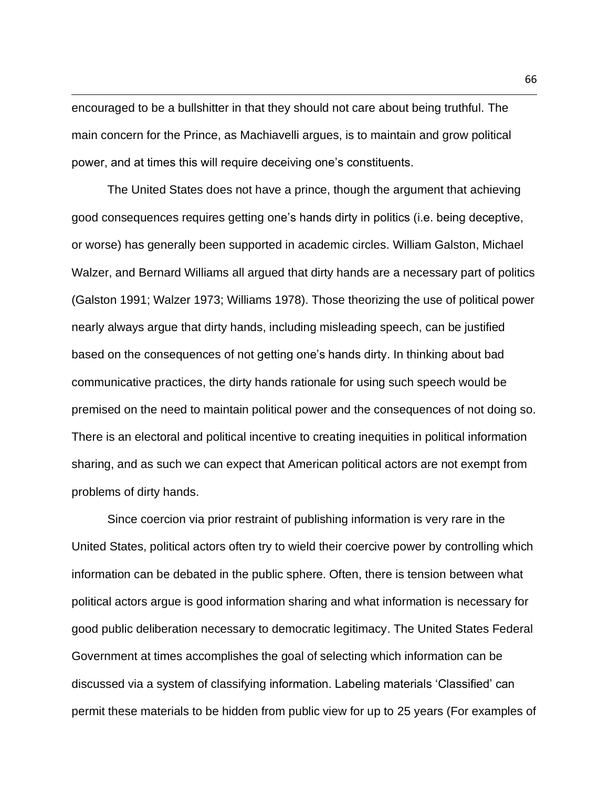encouraged to be a bullshitter in that they should not care about being truthful. The main concern for the Prince, as Machiavelli argues, is to maintain and grow political power, and at times this will require deceiving one's constituents.

The United States does not have a prince, though the argument that achieving good consequences requires getting one's hands dirty in politics (i.e. being deceptive, or worse) has generally been supported in academic circles. William Galston, Michael Walzer, and Bernard Williams all argued that dirty hands are a necessary part of politics (Galston 1991; Walzer 1973; Williams 1978). Those theorizing the use of political power nearly always argue that dirty hands, including misleading speech, can be justified based on the consequences of not getting one's hands dirty. In thinking about bad communicative practices, the dirty hands rationale for using such speech would be premised on the need to maintain political power and the consequences of not doing so. There is an electoral and political incentive to creating inequities in political information sharing, and as such we can expect that American political actors are not exempt from problems of dirty hands.

Since coercion via prior restraint of publishing information is very rare in the United States, political actors often try to wield their coercive power by controlling which information can be debated in the public sphere. Often, there is tension between what political actors argue is good information sharing and what information is necessary for good public deliberation necessary to democratic legitimacy. The United States Federal Government at times accomplishes the goal of selecting which information can be discussed via a system of classifying information. Labeling materials 'Classified' can permit these materials to be hidden from public view for up to 25 years (For examples of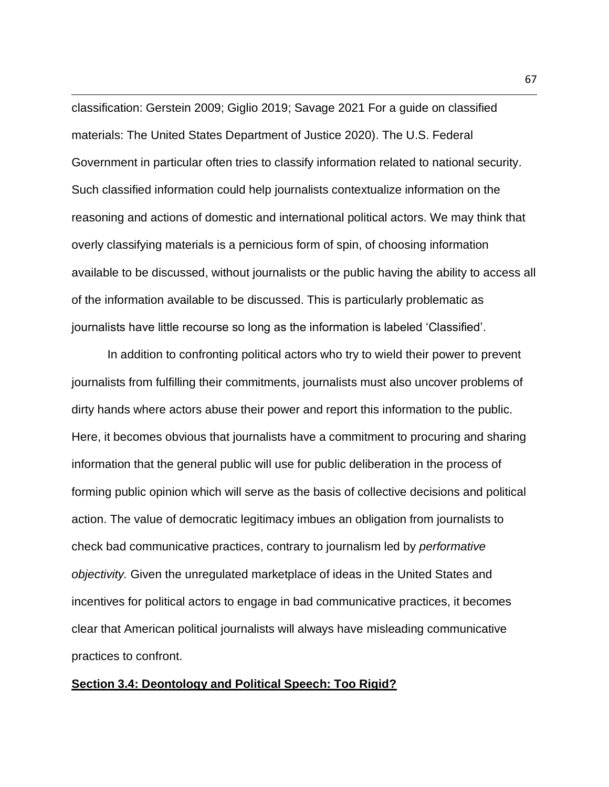classification: Gerstein 2009; Giglio 2019; Savage 2021 For a guide on classified materials: The United States Department of Justice 2020). The U.S. Federal Government in particular often tries to classify information related to national security. Such classified information could help journalists contextualize information on the reasoning and actions of domestic and international political actors. We may think that overly classifying materials is a pernicious form of spin, of choosing information available to be discussed, without journalists or the public having the ability to access all of the information available to be discussed. This is particularly problematic as journalists have little recourse so long as the information is labeled 'Classified'.

In addition to confronting political actors who try to wield their power to prevent journalists from fulfilling their commitments, journalists must also uncover problems of dirty hands where actors abuse their power and report this information to the public. Here, it becomes obvious that journalists have a commitment to procuring and sharing information that the general public will use for public deliberation in the process of forming public opinion which will serve as the basis of collective decisions and political action. The value of democratic legitimacy imbues an obligation from journalists to check bad communicative practices, contrary to journalism led by *performative objectivity.* Given the unregulated marketplace of ideas in the United States and incentives for political actors to engage in bad communicative practices, it becomes clear that American political journalists will always have misleading communicative practices to confront.

### **Section 3.4: Deontology and Political Speech: Too Rigid?**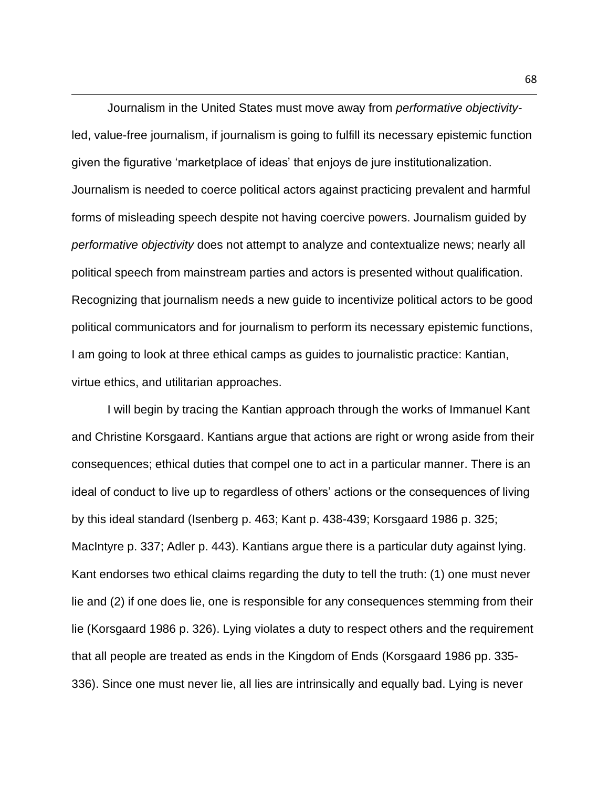Journalism in the United States must move away from *performative objectivity*led, value-free journalism, if journalism is going to fulfill its necessary epistemic function given the figurative 'marketplace of ideas' that enjoys de jure institutionalization. Journalism is needed to coerce political actors against practicing prevalent and harmful forms of misleading speech despite not having coercive powers. Journalism guided by *performative objectivity* does not attempt to analyze and contextualize news; nearly all political speech from mainstream parties and actors is presented without qualification. Recognizing that journalism needs a new guide to incentivize political actors to be good political communicators and for journalism to perform its necessary epistemic functions, I am going to look at three ethical camps as guides to journalistic practice: Kantian, virtue ethics, and utilitarian approaches.

I will begin by tracing the Kantian approach through the works of Immanuel Kant and Christine Korsgaard. Kantians argue that actions are right or wrong aside from their consequences; ethical duties that compel one to act in a particular manner. There is an ideal of conduct to live up to regardless of others' actions or the consequences of living by this ideal standard (Isenberg p. 463; Kant p. 438-439; Korsgaard 1986 p. 325; MacIntyre p. 337; Adler p. 443). Kantians argue there is a particular duty against lying. Kant endorses two ethical claims regarding the duty to tell the truth: (1) one must never lie and (2) if one does lie, one is responsible for any consequences stemming from their lie (Korsgaard 1986 p. 326). Lying violates a duty to respect others and the requirement that all people are treated as ends in the Kingdom of Ends (Korsgaard 1986 pp. 335- 336). Since one must never lie, all lies are intrinsically and equally bad. Lying is never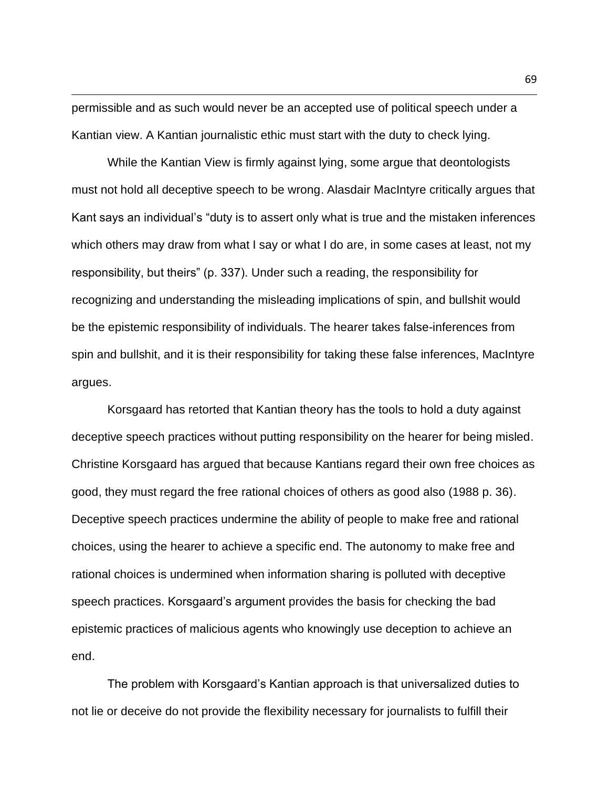permissible and as such would never be an accepted use of political speech under a Kantian view. A Kantian journalistic ethic must start with the duty to check lying.

While the Kantian View is firmly against lying, some argue that deontologists must not hold all deceptive speech to be wrong. Alasdair MacIntyre critically argues that Kant says an individual's "duty is to assert only what is true and the mistaken inferences which others may draw from what I say or what I do are, in some cases at least, not my responsibility, but theirs" (p. 337). Under such a reading, the responsibility for recognizing and understanding the misleading implications of spin, and bullshit would be the epistemic responsibility of individuals. The hearer takes false-inferences from spin and bullshit, and it is their responsibility for taking these false inferences, MacIntyre argues.

Korsgaard has retorted that Kantian theory has the tools to hold a duty against deceptive speech practices without putting responsibility on the hearer for being misled. Christine Korsgaard has argued that because Kantians regard their own free choices as good, they must regard the free rational choices of others as good also (1988 p. 36). Deceptive speech practices undermine the ability of people to make free and rational choices, using the hearer to achieve a specific end. The autonomy to make free and rational choices is undermined when information sharing is polluted with deceptive speech practices. Korsgaard's argument provides the basis for checking the bad epistemic practices of malicious agents who knowingly use deception to achieve an end.

The problem with Korsgaard's Kantian approach is that universalized duties to not lie or deceive do not provide the flexibility necessary for journalists to fulfill their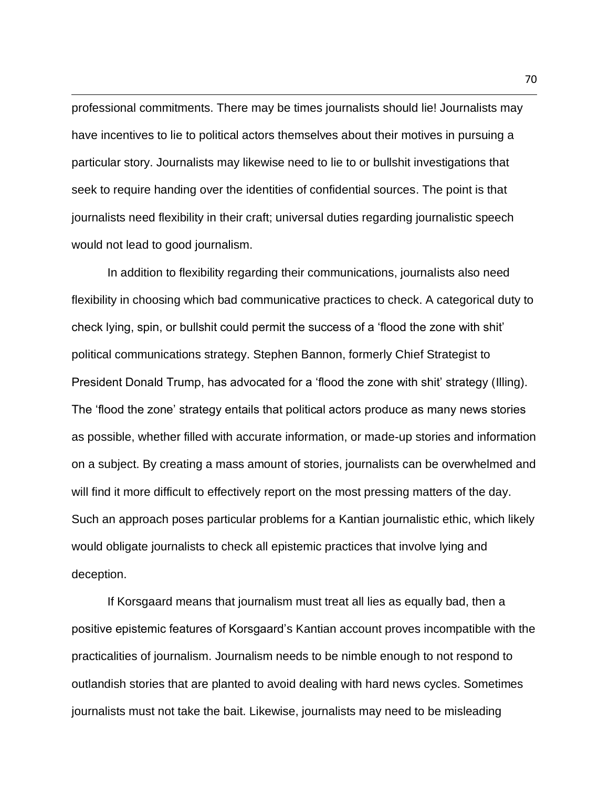professional commitments. There may be times journalists should lie! Journalists may have incentives to lie to political actors themselves about their motives in pursuing a particular story. Journalists may likewise need to lie to or bullshit investigations that seek to require handing over the identities of confidential sources. The point is that journalists need flexibility in their craft; universal duties regarding journalistic speech would not lead to good journalism.

In addition to flexibility regarding their communications, journalists also need flexibility in choosing which bad communicative practices to check. A categorical duty to check lying, spin, or bullshit could permit the success of a 'flood the zone with shit' political communications strategy. Stephen Bannon, formerly Chief Strategist to President Donald Trump, has advocated for a 'flood the zone with shit' strategy (Illing). The 'flood the zone' strategy entails that political actors produce as many news stories as possible, whether filled with accurate information, or made-up stories and information on a subject. By creating a mass amount of stories, journalists can be overwhelmed and will find it more difficult to effectively report on the most pressing matters of the day. Such an approach poses particular problems for a Kantian journalistic ethic, which likely would obligate journalists to check all epistemic practices that involve lying and deception.

If Korsgaard means that journalism must treat all lies as equally bad, then a positive epistemic features of Korsgaard's Kantian account proves incompatible with the practicalities of journalism. Journalism needs to be nimble enough to not respond to outlandish stories that are planted to avoid dealing with hard news cycles. Sometimes journalists must not take the bait. Likewise, journalists may need to be misleading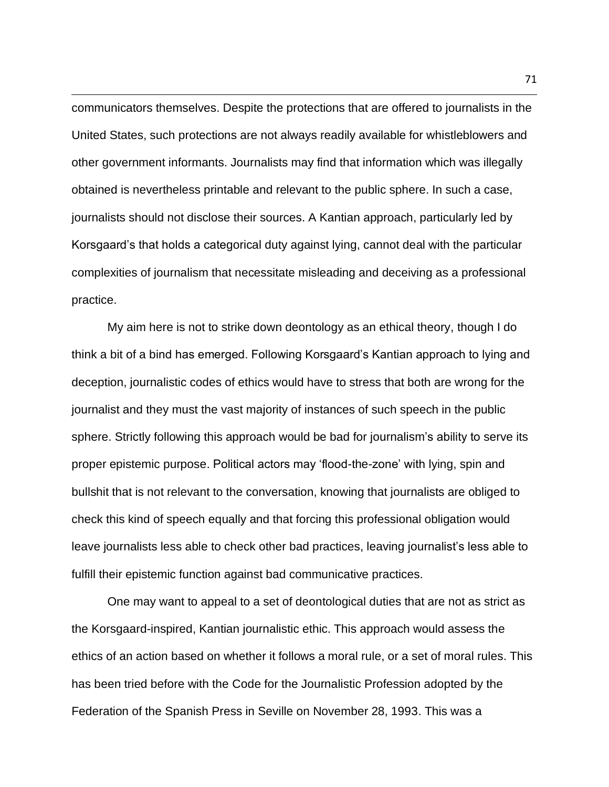communicators themselves. Despite the protections that are offered to journalists in the United States, such protections are not always readily available for whistleblowers and other government informants. Journalists may find that information which was illegally obtained is nevertheless printable and relevant to the public sphere. In such a case, journalists should not disclose their sources. A Kantian approach, particularly led by Korsgaard's that holds a categorical duty against lying, cannot deal with the particular complexities of journalism that necessitate misleading and deceiving as a professional practice.

My aim here is not to strike down deontology as an ethical theory, though I do think a bit of a bind has emerged. Following Korsgaard's Kantian approach to lying and deception, journalistic codes of ethics would have to stress that both are wrong for the journalist and they must the vast majority of instances of such speech in the public sphere. Strictly following this approach would be bad for journalism's ability to serve its proper epistemic purpose. Political actors may 'flood-the-zone' with lying, spin and bullshit that is not relevant to the conversation, knowing that journalists are obliged to check this kind of speech equally and that forcing this professional obligation would leave journalists less able to check other bad practices, leaving journalist's less able to fulfill their epistemic function against bad communicative practices.

One may want to appeal to a set of deontological duties that are not as strict as the Korsgaard-inspired, Kantian journalistic ethic. This approach would assess the ethics of an action based on whether it follows a moral rule, or a set of moral rules. This has been tried before with the Code for the Journalistic Profession adopted by the Federation of the Spanish Press in Seville on November 28, 1993. This was a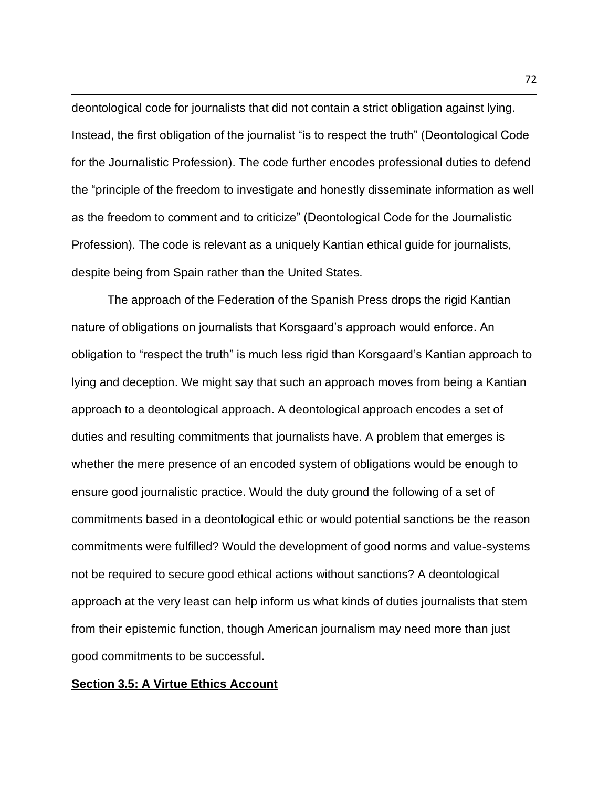deontological code for journalists that did not contain a strict obligation against lying. Instead, the first obligation of the journalist "is to respect the truth" (Deontological Code for the Journalistic Profession). The code further encodes professional duties to defend the "principle of the freedom to investigate and honestly disseminate information as well as the freedom to comment and to criticize" (Deontological Code for the Journalistic Profession). The code is relevant as a uniquely Kantian ethical guide for journalists, despite being from Spain rather than the United States.

The approach of the Federation of the Spanish Press drops the rigid Kantian nature of obligations on journalists that Korsgaard's approach would enforce. An obligation to "respect the truth" is much less rigid than Korsgaard's Kantian approach to lying and deception. We might say that such an approach moves from being a Kantian approach to a deontological approach. A deontological approach encodes a set of duties and resulting commitments that journalists have. A problem that emerges is whether the mere presence of an encoded system of obligations would be enough to ensure good journalistic practice. Would the duty ground the following of a set of commitments based in a deontological ethic or would potential sanctions be the reason commitments were fulfilled? Would the development of good norms and value-systems not be required to secure good ethical actions without sanctions? A deontological approach at the very least can help inform us what kinds of duties journalists that stem from their epistemic function, though American journalism may need more than just good commitments to be successful.

### **Section 3.5: A Virtue Ethics Account**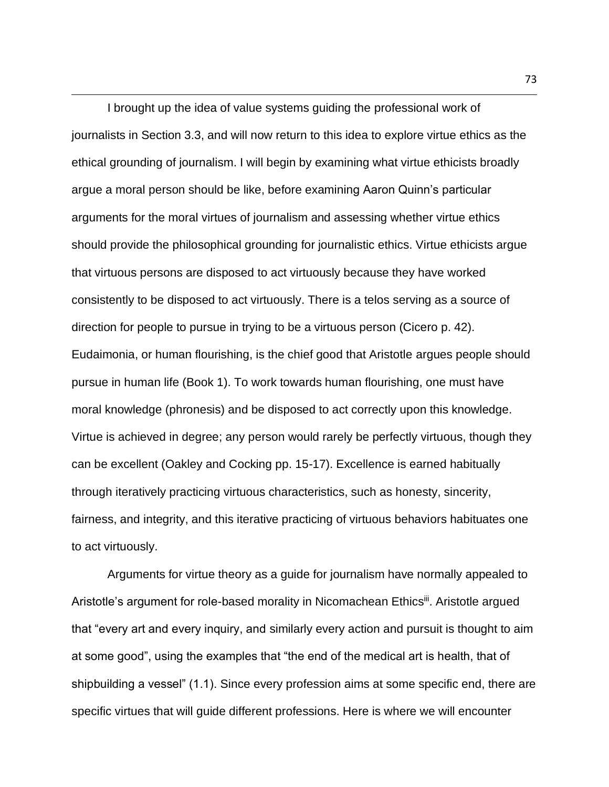I brought up the idea of value systems guiding the professional work of journalists in Section 3.3, and will now return to this idea to explore virtue ethics as the ethical grounding of journalism. I will begin by examining what virtue ethicists broadly argue a moral person should be like, before examining Aaron Quinn's particular arguments for the moral virtues of journalism and assessing whether virtue ethics should provide the philosophical grounding for journalistic ethics. Virtue ethicists argue that virtuous persons are disposed to act virtuously because they have worked consistently to be disposed to act virtuously. There is a telos serving as a source of direction for people to pursue in trying to be a virtuous person (Cicero p. 42). Eudaimonia, or human flourishing, is the chief good that Aristotle argues people should pursue in human life (Book 1). To work towards human flourishing, one must have moral knowledge (phronesis) and be disposed to act correctly upon this knowledge. Virtue is achieved in degree; any person would rarely be perfectly virtuous, though they can be excellent (Oakley and Cocking pp. 15-17). Excellence is earned habitually through iteratively practicing virtuous characteristics, such as honesty, sincerity, fairness, and integrity, and this iterative practicing of virtuous behaviors habituates one to act virtuously.

Arguments for virtue theory as a guide for journalism have normally appealed to Aristotle's argument for role-based morality in Nicomachean Ethicsii. Aristotle argued that "every art and every inquiry, and similarly every action and pursuit is thought to aim at some good", using the examples that "the end of the medical art is health, that of shipbuilding a vessel" (1.1). Since every profession aims at some specific end, there are specific virtues that will guide different professions. Here is where we will encounter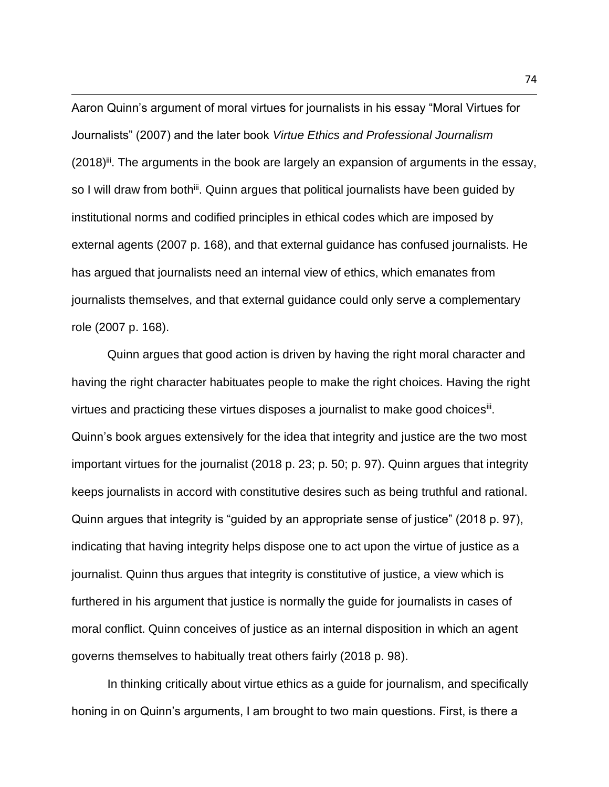Aaron Quinn's argument of moral virtues for journalists in his essay "Moral Virtues for Journalists" (2007) and the later book *Virtue Ethics and Professional Journalism*   $(2018)^{iii}$ . The arguments in the book are largely an expansion of arguments in the essay, so I will draw from both<sup>iii</sup>. Quinn argues that political journalists have been guided by institutional norms and codified principles in ethical codes which are imposed by external agents (2007 p. 168), and that external guidance has confused journalists. He has argued that journalists need an internal view of ethics, which emanates from journalists themselves, and that external guidance could only serve a complementary role (2007 p. 168).

Quinn argues that good action is driven by having the right moral character and having the right character habituates people to make the right choices. Having the right virtues and practicing these virtues disposes a journalist to make good choices<sup>iii</sup>. Quinn's book argues extensively for the idea that integrity and justice are the two most important virtues for the journalist (2018 p. 23; p. 50; p. 97). Quinn argues that integrity keeps journalists in accord with constitutive desires such as being truthful and rational. Quinn argues that integrity is "guided by an appropriate sense of justice" (2018 p. 97), indicating that having integrity helps dispose one to act upon the virtue of justice as a journalist. Quinn thus argues that integrity is constitutive of justice, a view which is furthered in his argument that justice is normally the guide for journalists in cases of moral conflict. Quinn conceives of justice as an internal disposition in which an agent governs themselves to habitually treat others fairly (2018 p. 98).

In thinking critically about virtue ethics as a guide for journalism, and specifically honing in on Quinn's arguments, I am brought to two main questions. First, is there a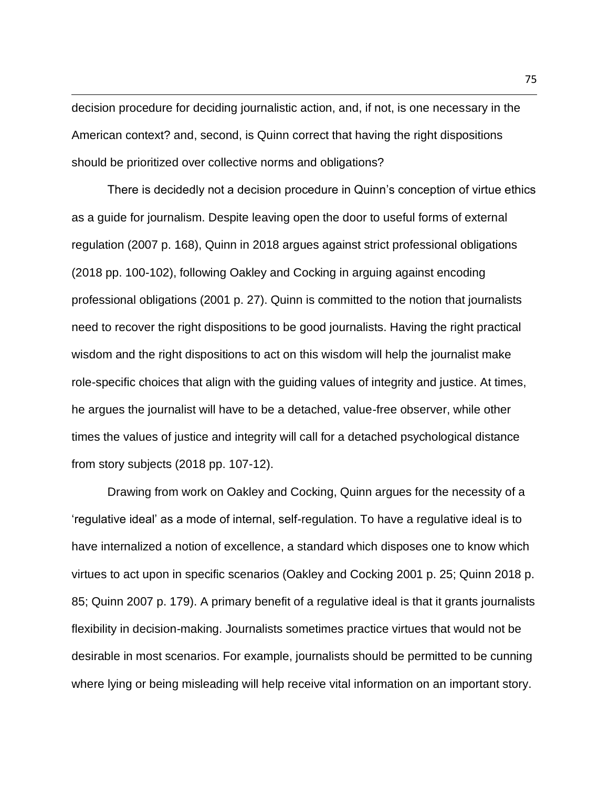decision procedure for deciding journalistic action, and, if not, is one necessary in the American context? and, second, is Quinn correct that having the right dispositions should be prioritized over collective norms and obligations?

There is decidedly not a decision procedure in Quinn's conception of virtue ethics as a guide for journalism. Despite leaving open the door to useful forms of external regulation (2007 p. 168), Quinn in 2018 argues against strict professional obligations (2018 pp. 100-102), following Oakley and Cocking in arguing against encoding professional obligations (2001 p. 27). Quinn is committed to the notion that journalists need to recover the right dispositions to be good journalists. Having the right practical wisdom and the right dispositions to act on this wisdom will help the journalist make role-specific choices that align with the guiding values of integrity and justice. At times, he argues the journalist will have to be a detached, value-free observer, while other times the values of justice and integrity will call for a detached psychological distance from story subjects (2018 pp. 107-12).

Drawing from work on Oakley and Cocking, Quinn argues for the necessity of a 'regulative ideal' as a mode of internal, self-regulation. To have a regulative ideal is to have internalized a notion of excellence, a standard which disposes one to know which virtues to act upon in specific scenarios (Oakley and Cocking 2001 p. 25; Quinn 2018 p. 85; Quinn 2007 p. 179). A primary benefit of a regulative ideal is that it grants journalists flexibility in decision-making. Journalists sometimes practice virtues that would not be desirable in most scenarios. For example, journalists should be permitted to be cunning where lying or being misleading will help receive vital information on an important story.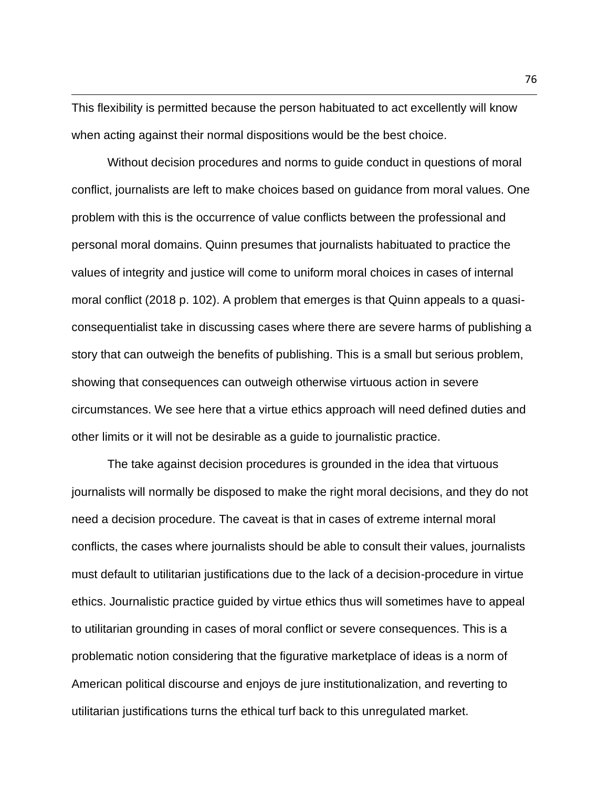This flexibility is permitted because the person habituated to act excellently will know when acting against their normal dispositions would be the best choice.

Without decision procedures and norms to guide conduct in questions of moral conflict, journalists are left to make choices based on guidance from moral values. One problem with this is the occurrence of value conflicts between the professional and personal moral domains. Quinn presumes that journalists habituated to practice the values of integrity and justice will come to uniform moral choices in cases of internal moral conflict (2018 p. 102). A problem that emerges is that Quinn appeals to a quasiconsequentialist take in discussing cases where there are severe harms of publishing a story that can outweigh the benefits of publishing. This is a small but serious problem, showing that consequences can outweigh otherwise virtuous action in severe circumstances. We see here that a virtue ethics approach will need defined duties and other limits or it will not be desirable as a guide to journalistic practice.

The take against decision procedures is grounded in the idea that virtuous journalists will normally be disposed to make the right moral decisions, and they do not need a decision procedure. The caveat is that in cases of extreme internal moral conflicts, the cases where journalists should be able to consult their values, journalists must default to utilitarian justifications due to the lack of a decision-procedure in virtue ethics. Journalistic practice guided by virtue ethics thus will sometimes have to appeal to utilitarian grounding in cases of moral conflict or severe consequences. This is a problematic notion considering that the figurative marketplace of ideas is a norm of American political discourse and enjoys de jure institutionalization, and reverting to utilitarian justifications turns the ethical turf back to this unregulated market.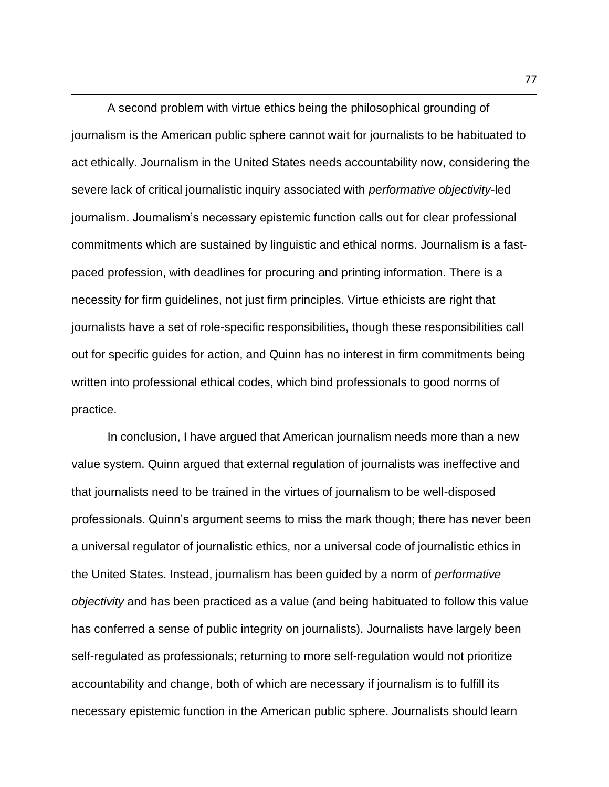A second problem with virtue ethics being the philosophical grounding of journalism is the American public sphere cannot wait for journalists to be habituated to act ethically. Journalism in the United States needs accountability now, considering the severe lack of critical journalistic inquiry associated with *performative objectivity*-led journalism. Journalism's necessary epistemic function calls out for clear professional commitments which are sustained by linguistic and ethical norms. Journalism is a fastpaced profession, with deadlines for procuring and printing information. There is a necessity for firm guidelines, not just firm principles. Virtue ethicists are right that journalists have a set of role-specific responsibilities, though these responsibilities call out for specific guides for action, and Quinn has no interest in firm commitments being written into professional ethical codes, which bind professionals to good norms of practice.

In conclusion, I have argued that American journalism needs more than a new value system. Quinn argued that external regulation of journalists was ineffective and that journalists need to be trained in the virtues of journalism to be well-disposed professionals. Quinn's argument seems to miss the mark though; there has never been a universal regulator of journalistic ethics, nor a universal code of journalistic ethics in the United States. Instead, journalism has been guided by a norm of *performative objectivity* and has been practiced as a value (and being habituated to follow this value has conferred a sense of public integrity on journalists). Journalists have largely been self-regulated as professionals; returning to more self-regulation would not prioritize accountability and change, both of which are necessary if journalism is to fulfill its necessary epistemic function in the American public sphere. Journalists should learn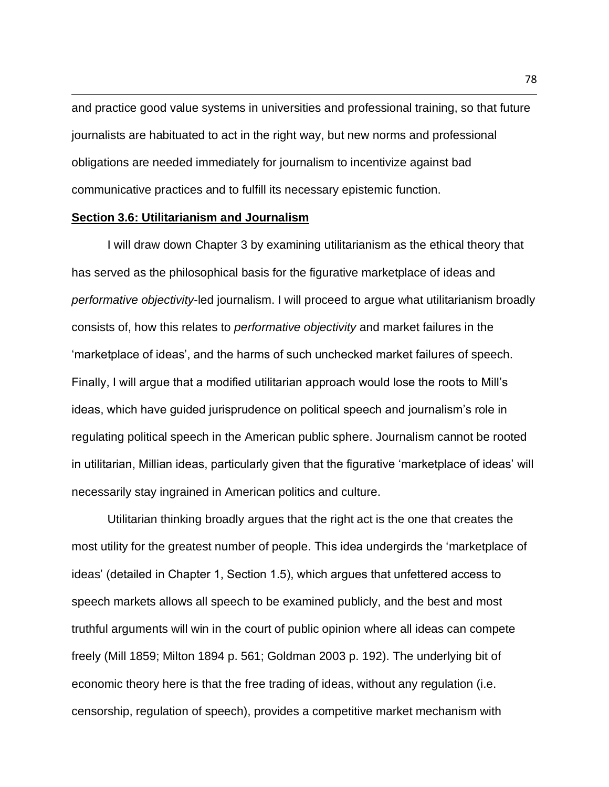and practice good value systems in universities and professional training, so that future journalists are habituated to act in the right way, but new norms and professional obligations are needed immediately for journalism to incentivize against bad communicative practices and to fulfill its necessary epistemic function.

#### **Section 3.6: Utilitarianism and Journalism**

I will draw down Chapter 3 by examining utilitarianism as the ethical theory that has served as the philosophical basis for the figurative marketplace of ideas and *performative objectivity*-led journalism. I will proceed to argue what utilitarianism broadly consists of, how this relates to *performative objectivity* and market failures in the 'marketplace of ideas', and the harms of such unchecked market failures of speech. Finally, I will argue that a modified utilitarian approach would lose the roots to Mill's ideas, which have guided jurisprudence on political speech and journalism's role in regulating political speech in the American public sphere. Journalism cannot be rooted in utilitarian, Millian ideas, particularly given that the figurative 'marketplace of ideas' will necessarily stay ingrained in American politics and culture.

Utilitarian thinking broadly argues that the right act is the one that creates the most utility for the greatest number of people. This idea undergirds the 'marketplace of ideas' (detailed in Chapter 1, Section 1.5), which argues that unfettered access to speech markets allows all speech to be examined publicly, and the best and most truthful arguments will win in the court of public opinion where all ideas can compete freely (Mill 1859; Milton 1894 p. 561; Goldman 2003 p. 192). The underlying bit of economic theory here is that the free trading of ideas, without any regulation (i.e. censorship, regulation of speech), provides a competitive market mechanism with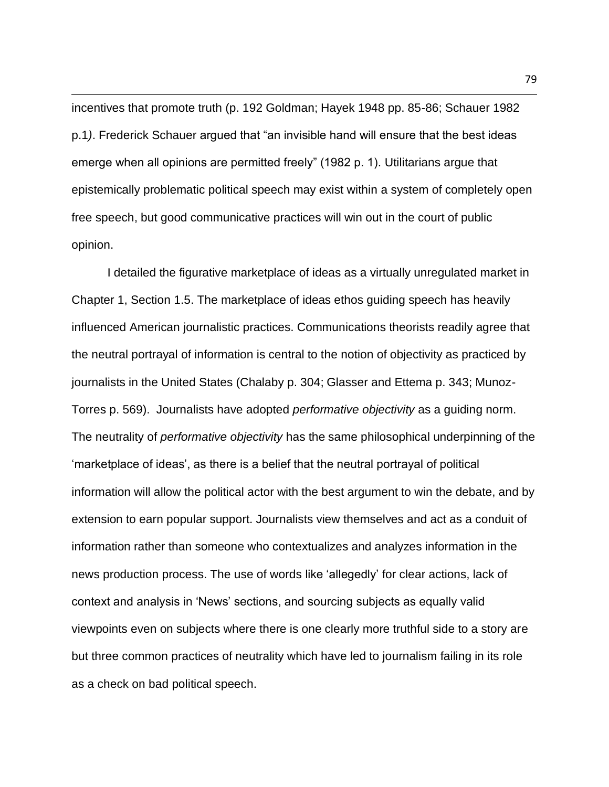incentives that promote truth (p. 192 Goldman; Hayek 1948 pp. 85-86; Schauer 1982 p.1*)*. Frederick Schauer argued that "an invisible hand will ensure that the best ideas emerge when all opinions are permitted freely" (1982 p. 1). Utilitarians argue that epistemically problematic political speech may exist within a system of completely open free speech, but good communicative practices will win out in the court of public opinion.

I detailed the figurative marketplace of ideas as a virtually unregulated market in Chapter 1, Section 1.5. The marketplace of ideas ethos guiding speech has heavily influenced American journalistic practices. Communications theorists readily agree that the neutral portrayal of information is central to the notion of objectivity as practiced by journalists in the United States (Chalaby p. 304; Glasser and Ettema p. 343; Munoz-Torres p. 569). Journalists have adopted *performative objectivity* as a guiding norm. The neutrality of *performative objectivity* has the same philosophical underpinning of the 'marketplace of ideas', as there is a belief that the neutral portrayal of political information will allow the political actor with the best argument to win the debate, and by extension to earn popular support. Journalists view themselves and act as a conduit of information rather than someone who contextualizes and analyzes information in the news production process. The use of words like 'allegedly' for clear actions, lack of context and analysis in 'News' sections, and sourcing subjects as equally valid viewpoints even on subjects where there is one clearly more truthful side to a story are but three common practices of neutrality which have led to journalism failing in its role as a check on bad political speech.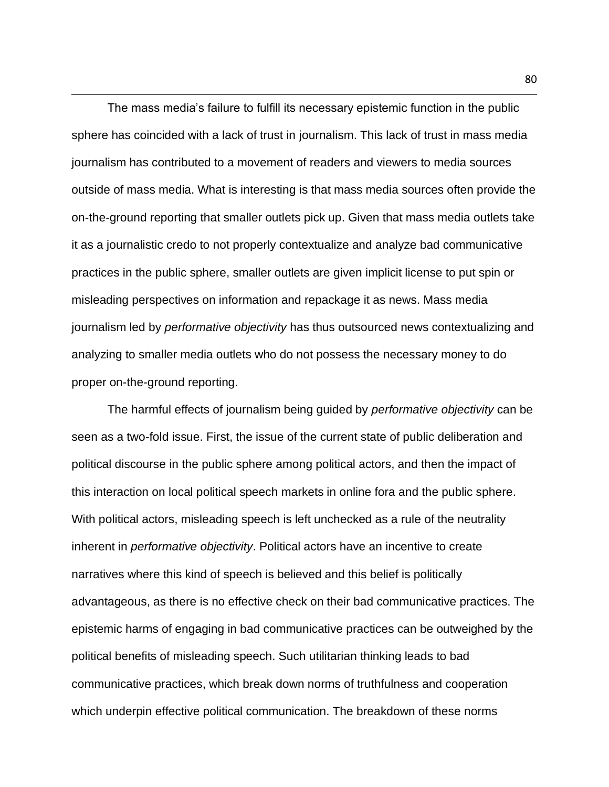The mass media's failure to fulfill its necessary epistemic function in the public sphere has coincided with a lack of trust in journalism. This lack of trust in mass media journalism has contributed to a movement of readers and viewers to media sources outside of mass media. What is interesting is that mass media sources often provide the on-the-ground reporting that smaller outlets pick up. Given that mass media outlets take it as a journalistic credo to not properly contextualize and analyze bad communicative practices in the public sphere, smaller outlets are given implicit license to put spin or misleading perspectives on information and repackage it as news. Mass media journalism led by *performative objectivity* has thus outsourced news contextualizing and analyzing to smaller media outlets who do not possess the necessary money to do proper on-the-ground reporting.

The harmful effects of journalism being guided by *performative objectivity* can be seen as a two-fold issue. First, the issue of the current state of public deliberation and political discourse in the public sphere among political actors, and then the impact of this interaction on local political speech markets in online fora and the public sphere. With political actors, misleading speech is left unchecked as a rule of the neutrality inherent in *performative objectivity*. Political actors have an incentive to create narratives where this kind of speech is believed and this belief is politically advantageous, as there is no effective check on their bad communicative practices. The epistemic harms of engaging in bad communicative practices can be outweighed by the political benefits of misleading speech. Such utilitarian thinking leads to bad communicative practices, which break down norms of truthfulness and cooperation which underpin effective political communication. The breakdown of these norms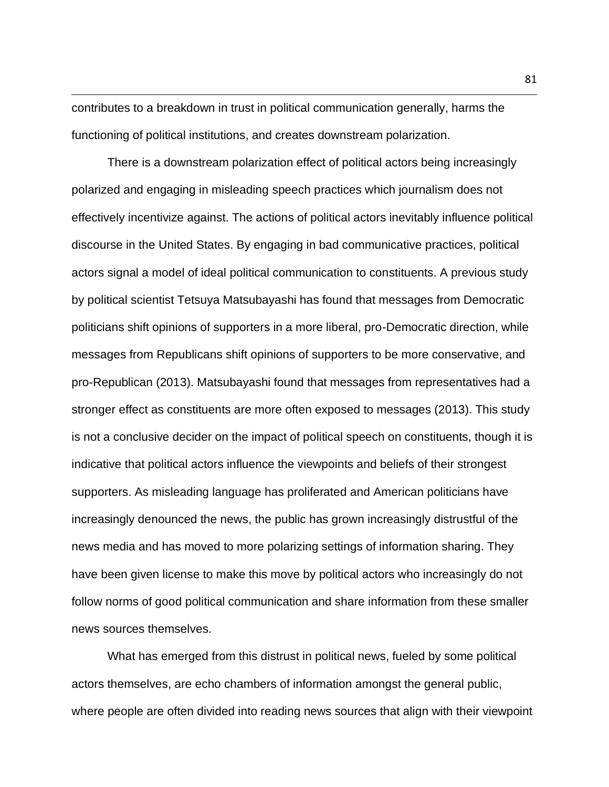contributes to a breakdown in trust in political communication generally, harms the functioning of political institutions, and creates downstream polarization.

There is a downstream polarization effect of political actors being increasingly polarized and engaging in misleading speech practices which journalism does not effectively incentivize against. The actions of political actors inevitably influence political discourse in the United States. By engaging in bad communicative practices, political actors signal a model of ideal political communication to constituents. A previous study by political scientist Tetsuya Matsubayashi has found that messages from Democratic politicians shift opinions of supporters in a more liberal, pro-Democratic direction, while messages from Republicans shift opinions of supporters to be more conservative, and pro-Republican (2013). Matsubayashi found that messages from representatives had a stronger effect as constituents are more often exposed to messages (2013). This study is not a conclusive decider on the impact of political speech on constituents, though it is indicative that political actors influence the viewpoints and beliefs of their strongest supporters. As misleading language has proliferated and American politicians have increasingly denounced the news, the public has grown increasingly distrustful of the news media and has moved to more polarizing settings of information sharing. They have been given license to make this move by political actors who increasingly do not follow norms of good political communication and share information from these smaller news sources themselves.

What has emerged from this distrust in political news, fueled by some political actors themselves, are echo chambers of information amongst the general public, where people are often divided into reading news sources that align with their viewpoint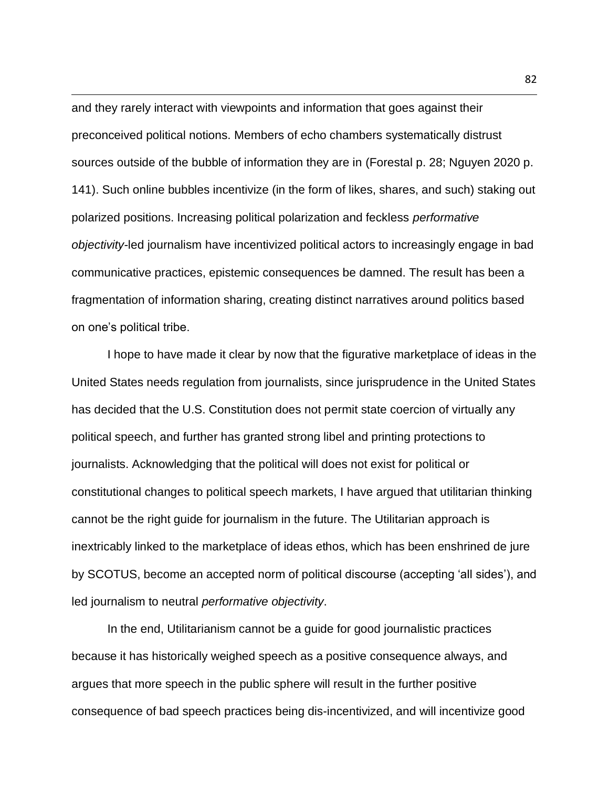and they rarely interact with viewpoints and information that goes against their preconceived political notions. Members of echo chambers systematically distrust sources outside of the bubble of information they are in (Forestal p. 28; Nguyen 2020 p. 141). Such online bubbles incentivize (in the form of likes, shares, and such) staking out polarized positions. Increasing political polarization and feckless *performative objectivity-*led journalism have incentivized political actors to increasingly engage in bad communicative practices, epistemic consequences be damned. The result has been a fragmentation of information sharing, creating distinct narratives around politics based on one's political tribe.

I hope to have made it clear by now that the figurative marketplace of ideas in the United States needs regulation from journalists, since jurisprudence in the United States has decided that the U.S. Constitution does not permit state coercion of virtually any political speech, and further has granted strong libel and printing protections to journalists. Acknowledging that the political will does not exist for political or constitutional changes to political speech markets, I have argued that utilitarian thinking cannot be the right guide for journalism in the future. The Utilitarian approach is inextricably linked to the marketplace of ideas ethos, which has been enshrined de jure by SCOTUS, become an accepted norm of political discourse (accepting 'all sides'), and led journalism to neutral *performative objectivity*.

In the end, Utilitarianism cannot be a guide for good journalistic practices because it has historically weighed speech as a positive consequence always, and argues that more speech in the public sphere will result in the further positive consequence of bad speech practices being dis-incentivized, and will incentivize good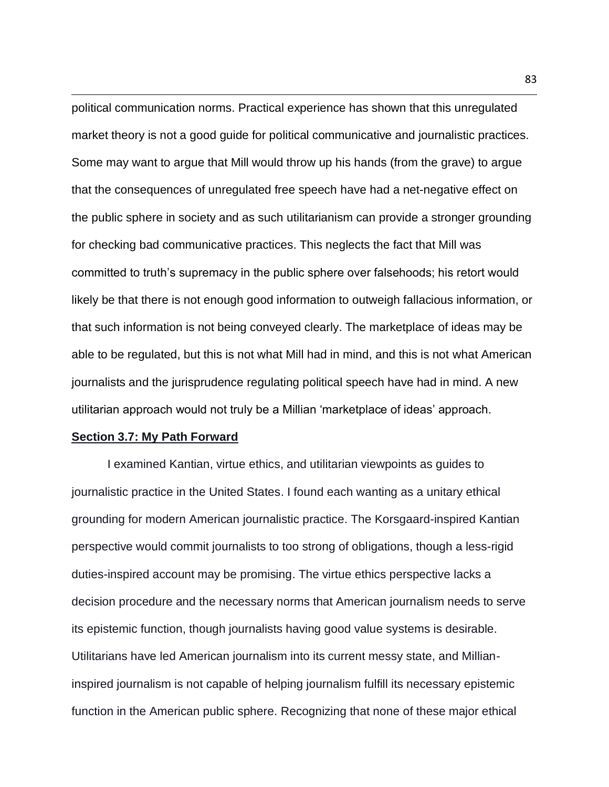political communication norms. Practical experience has shown that this unregulated market theory is not a good guide for political communicative and journalistic practices. Some may want to argue that Mill would throw up his hands (from the grave) to argue that the consequences of unregulated free speech have had a net-negative effect on the public sphere in society and as such utilitarianism can provide a stronger grounding for checking bad communicative practices. This neglects the fact that Mill was committed to truth's supremacy in the public sphere over falsehoods; his retort would likely be that there is not enough good information to outweigh fallacious information, or that such information is not being conveyed clearly. The marketplace of ideas may be able to be regulated, but this is not what Mill had in mind, and this is not what American journalists and the jurisprudence regulating political speech have had in mind. A new utilitarian approach would not truly be a Millian 'marketplace of ideas' approach.

# **Section 3.7: My Path Forward**

I examined Kantian, virtue ethics, and utilitarian viewpoints as guides to journalistic practice in the United States. I found each wanting as a unitary ethical grounding for modern American journalistic practice. The Korsgaard-inspired Kantian perspective would commit journalists to too strong of obligations, though a less-rigid duties-inspired account may be promising. The virtue ethics perspective lacks a decision procedure and the necessary norms that American journalism needs to serve its epistemic function, though journalists having good value systems is desirable. Utilitarians have led American journalism into its current messy state, and Millianinspired journalism is not capable of helping journalism fulfill its necessary epistemic function in the American public sphere. Recognizing that none of these major ethical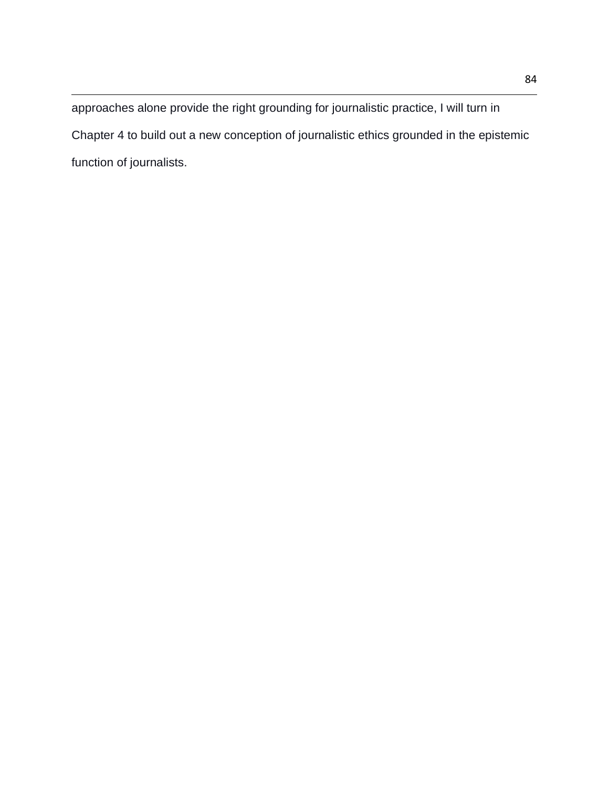approaches alone provide the right grounding for journalistic practice, I will turn in Chapter 4 to build out a new conception of journalistic ethics grounded in the epistemic function of journalists.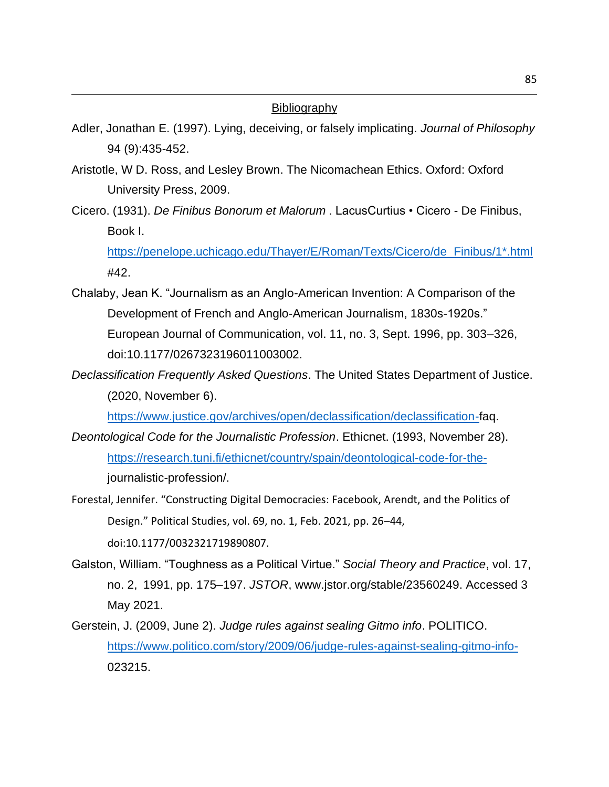# **Bibliography**

- Adler, Jonathan E. (1997). Lying, deceiving, or falsely implicating. *Journal of Philosophy* 94 (9):435-452.
- Aristotle, W D. Ross, and Lesley Brown. The Nicomachean Ethics. Oxford: Oxford University Press, 2009.
- Cicero. (1931). *De Finibus Bonorum et Malorum* . LacusCurtius Cicero De Finibus, Book I.

[https://penelope.uchicago.edu/Thayer/E/Roman/Texts/Cicero/de\\_Finibus/1\\*.html](https://penelope.uchicago.edu/Thayer/E/Roman/Texts/Cicero/de_Finibus/1*.html) #42.

- Chalaby, Jean K. "Journalism as an Anglo-American Invention: A Comparison of the Development of French and Anglo-American Journalism, 1830s-1920s." European Journal of Communication, vol. 11, no. 3, Sept. 1996, pp. 303–326, doi:10.1177/0267323196011003002.
- *Declassification Frequently Asked Questions*. The United States Department of Justice. (2020, November 6).

[https://www.justice.gov/archives/open/declassification/declassification-f](https://www.justice.gov/archives/open/declassification/declassification-)aq.

- *Deontological Code for the Journalistic Profession*. Ethicnet. (1993, November 28). [https://research.tuni.fi/ethicnet/country/spain/deontological-code-for-the](https://research.tuni.fi/ethicnet/country/spain/deontological-code-for-the-)journalistic-profession/.
- Forestal, Jennifer. "Constructing Digital Democracies: Facebook, Arendt, and the Politics of Design." Political Studies, vol. 69, no. 1, Feb. 2021, pp. 26–44, doi:10.1177/0032321719890807.
- Galston, William. "Toughness as a Political Virtue." *Social Theory and Practice*, vol. 17, no. 2, 1991, pp. 175–197. *JSTOR*, www.jstor.org/stable/23560249. Accessed 3 May 2021.
- Gerstein, J. (2009, June 2). *Judge rules against sealing Gitmo info*. POLITICO. <https://www.politico.com/story/2009/06/judge-rules-against-sealing-gitmo-info->023215.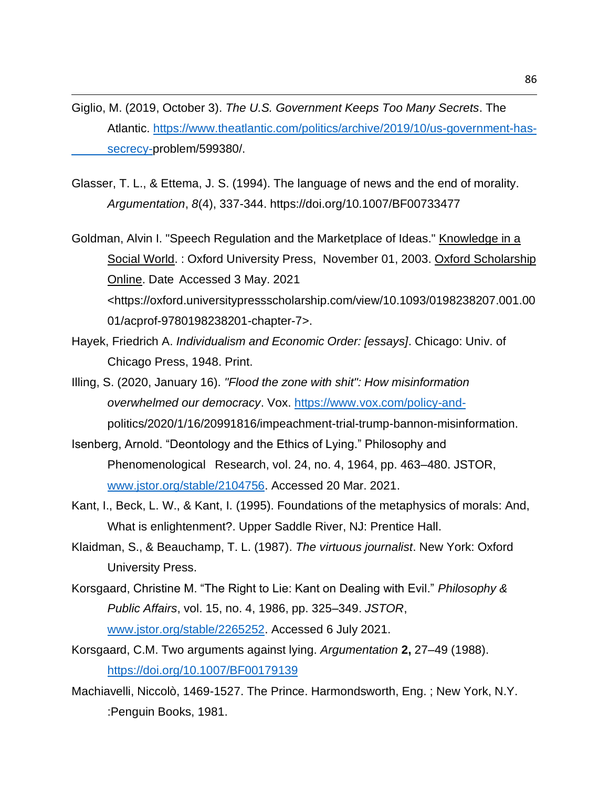- Giglio, M. (2019, October 3). *The U.S. Government Keeps Too Many Secrets*. The Atlantic. [https://www.theatlantic.com/politics/archive/2019/10/us-government-has](https://www.theatlantic.com/politics/archive/2019/10/us-government-has-secrecy-)[secrecy-p](https://www.theatlantic.com/politics/archive/2019/10/us-government-has-secrecy-)roblem/599380/.
- Glasser, T. L., & Ettema, J. S. (1994). The language of news and the end of morality. *Argumentation*, *8*(4), 337-344. https://doi.org/10.1007/BF00733477
- Goldman, Alvin I. "Speech Regulation and the Marketplace of Ideas." Knowledge in a Social World. : Oxford University Press, November 01, 2003. Oxford Scholarship Online. Date Accessed 3 May. 2021 <https://oxford.universitypressscholarship.com/view/10.1093/0198238207.001.00 01/acprof-9780198238201-chapter-7>.
- Hayek, Friedrich A. *Individualism and Economic Order: [essays]*. Chicago: Univ. of Chicago Press, 1948. Print.
- Illing, S. (2020, January 16). *"Flood the zone with shit": How misinformation overwhelmed our democracy*. Vox. [https://www.vox.com/policy-and](https://www.vox.com/policy-and-)politics/2020/1/16/20991816/impeachment-trial-trump-bannon-misinformation.
- Isenberg, Arnold. "Deontology and the Ethics of Lying." Philosophy and Phenomenological Research, vol. 24, no. 4, 1964, pp. 463–480. JSTOR, [www.jstor.org/stable/2104756.](http://www.jstor.org/stable/2104756) Accessed 20 Mar. 2021.
- Kant, I., Beck, L. W., & Kant, I. (1995). Foundations of the metaphysics of morals: And, What is enlightenment?. Upper Saddle River, NJ: Prentice Hall.
- Klaidman, S., & Beauchamp, T. L. (1987). *The virtuous journalist*. New York: Oxford University Press.
- Korsgaard, Christine M. "The Right to Lie: Kant on Dealing with Evil." *Philosophy & Public Affairs*, vol. 15, no. 4, 1986, pp. 325–349. *JSTOR*, [www.jstor.org/stable/2265252.](http://www.jstor.org/stable/2265252) Accessed 6 July 2021.
- Korsgaard, C.M. Two arguments against lying. *Argumentation* **2,** 27–49 (1988). <https://doi.org/10.1007/BF00179139>
- Machiavelli, Niccolò, 1469-1527. The Prince. Harmondsworth, Eng. ; New York, N.Y. :Penguin Books, 1981.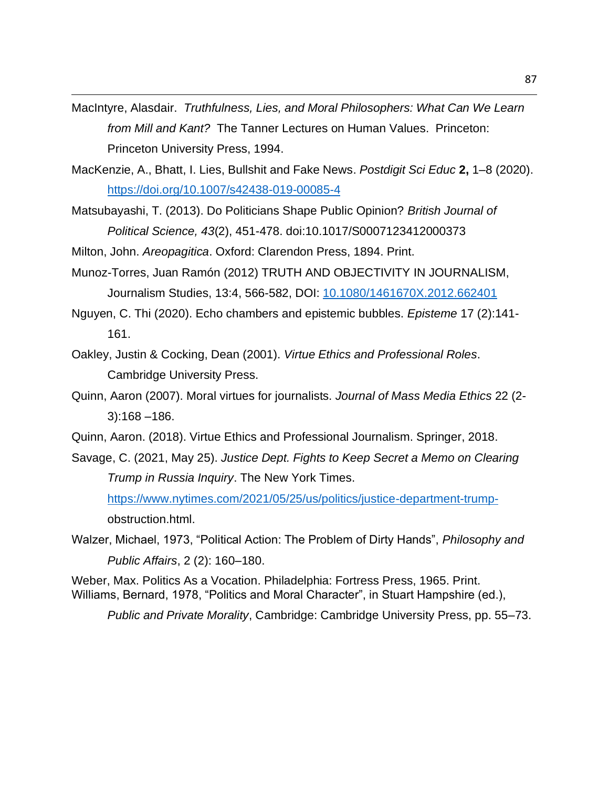MacIntyre, Alasdair. *Truthfulness, Lies, and Moral Philosophers: What Can We Learn from Mill and Kant?* The Tanner Lectures on Human Values. Princeton: Princeton University Press, 1994.

- MacKenzie, A., Bhatt, I. Lies, Bullshit and Fake News. *Postdigit Sci Educ* **2,** 1–8 (2020). <https://doi.org/10.1007/s42438-019-00085-4>
- Matsubayashi, T. (2013). Do Politicians Shape Public Opinion? *British Journal of Political Science, 43*(2), 451-478. doi:10.1017/S0007123412000373

Milton, John. *Areopagitica*. Oxford: Clarendon Press, 1894. Print.

- Munoz-Torres, Juan Ramón (2012) TRUTH AND OBJECTIVITY IN JOURNALISM, Journalism Studies, 13:4, 566-582, DOI: [10.1080/1461670X.2012.662401](https://doi.org/10.1080/1461670X.2012.662401)
- Nguyen, C. Thi (2020). Echo chambers and epistemic bubbles. *Episteme* 17 (2):141- 161.
- Oakley, Justin & Cocking, Dean (2001). *Virtue Ethics and Professional Roles*. Cambridge University Press.
- Quinn, Aaron (2007). Moral virtues for journalists. *Journal of Mass Media Ethics* 22 (2- 3):168 –186.
- Quinn, Aaron. (2018). Virtue Ethics and Professional Journalism. Springer, 2018.
- Savage, C. (2021, May 25). *Justice Dept. Fights to Keep Secret a Memo on Clearing Trump in Russia Inquiry*. The New York Times.

[https://www.nytimes.com/2021/05/25/us/politics/justice-department-trump](https://www.nytimes.com/2021/05/25/us/politics/justice-department-trump-)obstruction.html.

Walzer, Michael, 1973, "Political Action: The Problem of Dirty Hands", *Philosophy and Public Affairs*, 2 (2): 160–180.

Weber, Max. Politics As a Vocation. Philadelphia: Fortress Press, 1965. Print. Williams, Bernard, 1978, "Politics and Moral Character", in Stuart Hampshire (ed.),

*Public and Private Morality*, Cambridge: Cambridge University Press, pp. 55–73.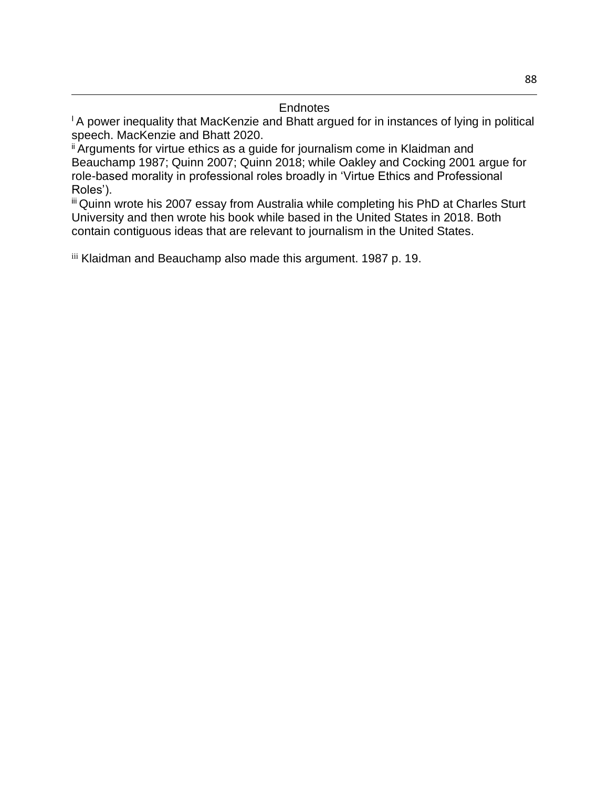<sup>1</sup> A power inequality that MacKenzie and Bhatt argued for in instances of lying in political speech. MacKenzie and Bhatt 2020.

<sup>ii</sup> Arguments for virtue ethics as a guide for journalism come in Klaidman and Beauchamp 1987; Quinn 2007; Quinn 2018; while Oakley and Cocking 2001 argue for role-based morality in professional roles broadly in 'Virtue Ethics and Professional Roles').

iii Quinn wrote his 2007 essay from Australia while completing his PhD at Charles Sturt University and then wrote his book while based in the United States in 2018. Both contain contiguous ideas that are relevant to journalism in the United States.

iii Klaidman and Beauchamp also made this argument. 1987 p. 19.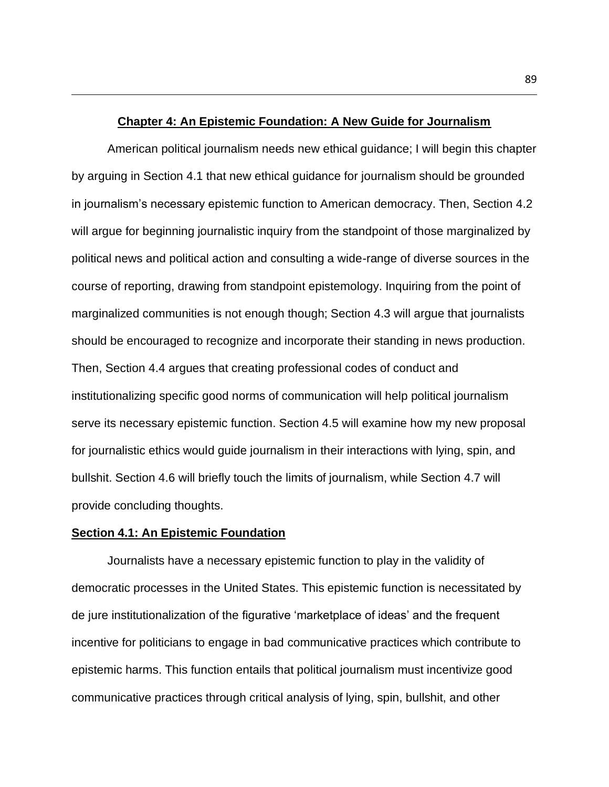### **Chapter 4: An Epistemic Foundation: A New Guide for Journalism**

American political journalism needs new ethical guidance; I will begin this chapter by arguing in Section 4.1 that new ethical guidance for journalism should be grounded in journalism's necessary epistemic function to American democracy. Then, Section 4.2 will argue for beginning journalistic inquiry from the standpoint of those marginalized by political news and political action and consulting a wide-range of diverse sources in the course of reporting, drawing from standpoint epistemology. Inquiring from the point of marginalized communities is not enough though; Section 4.3 will argue that journalists should be encouraged to recognize and incorporate their standing in news production. Then, Section 4.4 argues that creating professional codes of conduct and institutionalizing specific good norms of communication will help political journalism serve its necessary epistemic function. Section 4.5 will examine how my new proposal for journalistic ethics would guide journalism in their interactions with lying, spin, and bullshit. Section 4.6 will briefly touch the limits of journalism, while Section 4.7 will provide concluding thoughts.

## **Section 4.1: An Epistemic Foundation**

Journalists have a necessary epistemic function to play in the validity of democratic processes in the United States. This epistemic function is necessitated by de jure institutionalization of the figurative 'marketplace of ideas' and the frequent incentive for politicians to engage in bad communicative practices which contribute to epistemic harms. This function entails that political journalism must incentivize good communicative practices through critical analysis of lying, spin, bullshit, and other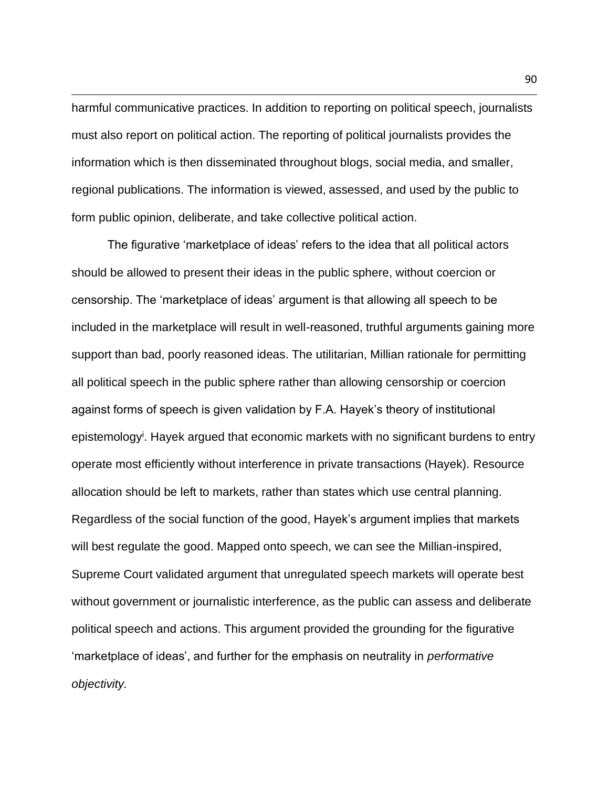harmful communicative practices. In addition to reporting on political speech, journalists must also report on political action. The reporting of political journalists provides the information which is then disseminated throughout blogs, social media, and smaller, regional publications. The information is viewed, assessed, and used by the public to form public opinion, deliberate, and take collective political action.

The figurative 'marketplace of ideas' refers to the idea that all political actors should be allowed to present their ideas in the public sphere, without coercion or censorship. The 'marketplace of ideas' argument is that allowing all speech to be included in the marketplace will result in well-reasoned, truthful arguments gaining more support than bad, poorly reasoned ideas. The utilitarian, Millian rationale for permitting all political speech in the public sphere rather than allowing censorship or coercion against forms of speech is given validation by F.A. Hayek's theory of institutional epistemology<sup>i</sup>. Hayek argued that economic markets with no significant burdens to entry operate most efficiently without interference in private transactions (Hayek). Resource allocation should be left to markets, rather than states which use central planning. Regardless of the social function of the good, Hayek's argument implies that markets will best regulate the good. Mapped onto speech, we can see the Millian-inspired, Supreme Court validated argument that unregulated speech markets will operate best without government or journalistic interference, as the public can assess and deliberate political speech and actions. This argument provided the grounding for the figurative 'marketplace of ideas', and further for the emphasis on neutrality in *performative objectivity.*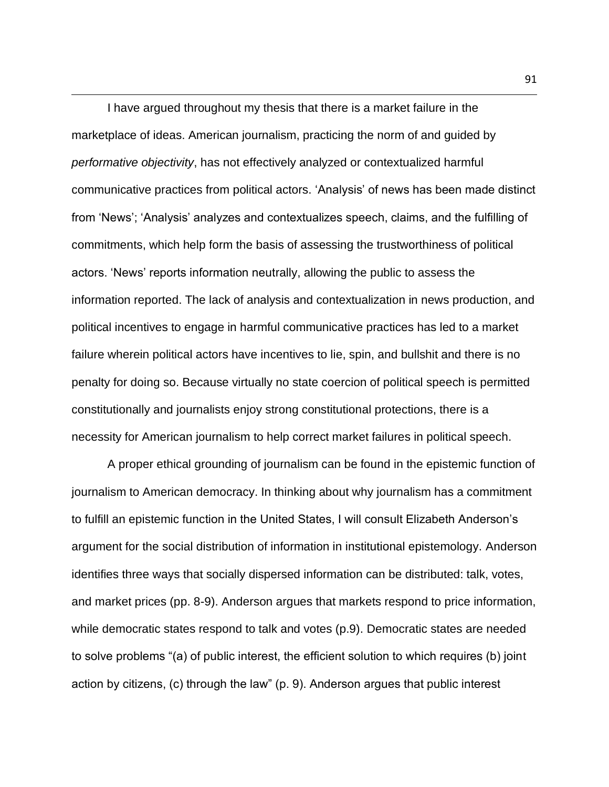I have argued throughout my thesis that there is a market failure in the marketplace of ideas. American journalism, practicing the norm of and guided by *performative objectivity*, has not effectively analyzed or contextualized harmful communicative practices from political actors. 'Analysis' of news has been made distinct from 'News'; 'Analysis' analyzes and contextualizes speech, claims, and the fulfilling of commitments, which help form the basis of assessing the trustworthiness of political actors. 'News' reports information neutrally, allowing the public to assess the information reported. The lack of analysis and contextualization in news production, and political incentives to engage in harmful communicative practices has led to a market failure wherein political actors have incentives to lie, spin, and bullshit and there is no penalty for doing so. Because virtually no state coercion of political speech is permitted constitutionally and journalists enjoy strong constitutional protections, there is a necessity for American journalism to help correct market failures in political speech.

A proper ethical grounding of journalism can be found in the epistemic function of journalism to American democracy. In thinking about why journalism has a commitment to fulfill an epistemic function in the United States, I will consult Elizabeth Anderson's argument for the social distribution of information in institutional epistemology. Anderson identifies three ways that socially dispersed information can be distributed: talk, votes, and market prices (pp. 8-9). Anderson argues that markets respond to price information, while democratic states respond to talk and votes (p.9). Democratic states are needed to solve problems "(a) of public interest, the efficient solution to which requires (b) joint action by citizens, (c) through the law" (p. 9). Anderson argues that public interest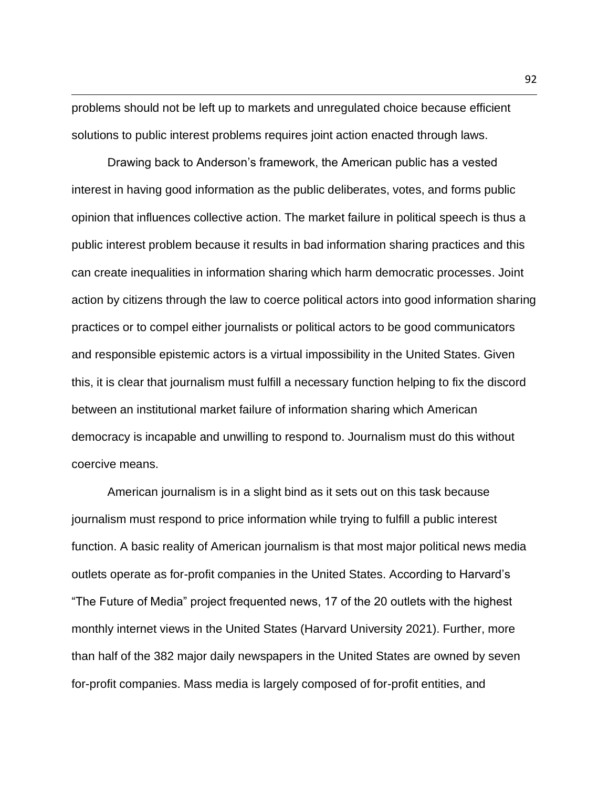problems should not be left up to markets and unregulated choice because efficient solutions to public interest problems requires joint action enacted through laws.

Drawing back to Anderson's framework, the American public has a vested interest in having good information as the public deliberates, votes, and forms public opinion that influences collective action. The market failure in political speech is thus a public interest problem because it results in bad information sharing practices and this can create inequalities in information sharing which harm democratic processes. Joint action by citizens through the law to coerce political actors into good information sharing practices or to compel either journalists or political actors to be good communicators and responsible epistemic actors is a virtual impossibility in the United States. Given this, it is clear that journalism must fulfill a necessary function helping to fix the discord between an institutional market failure of information sharing which American democracy is incapable and unwilling to respond to. Journalism must do this without coercive means.

American journalism is in a slight bind as it sets out on this task because journalism must respond to price information while trying to fulfill a public interest function. A basic reality of American journalism is that most major political news media outlets operate as for-profit companies in the United States. According to Harvard's "The Future of Media" project frequented news, 17 of the 20 outlets with the highest monthly internet views in the United States (Harvard University 2021). Further, more than half of the 382 major daily newspapers in the United States are owned by seven for-profit companies. Mass media is largely composed of for-profit entities, and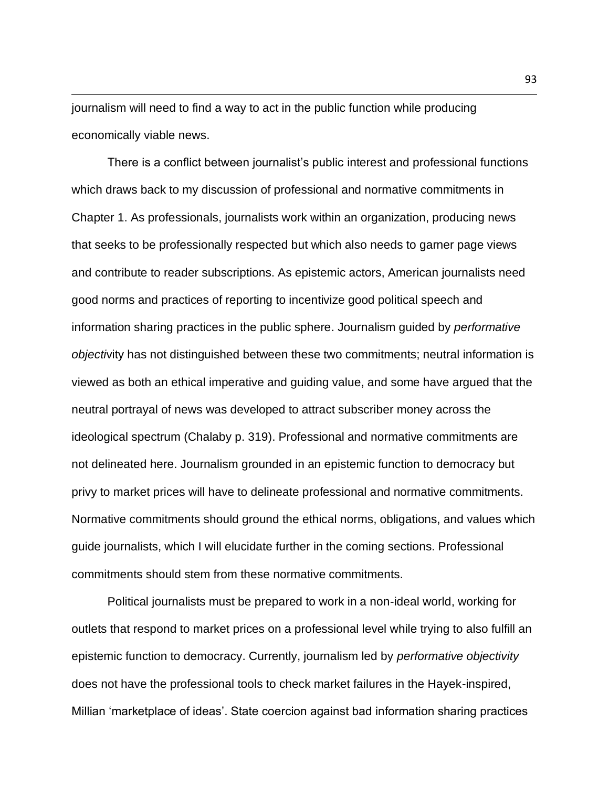journalism will need to find a way to act in the public function while producing economically viable news.

There is a conflict between journalist's public interest and professional functions which draws back to my discussion of professional and normative commitments in Chapter 1. As professionals, journalists work within an organization, producing news that seeks to be professionally respected but which also needs to garner page views and contribute to reader subscriptions. As epistemic actors, American journalists need good norms and practices of reporting to incentivize good political speech and information sharing practices in the public sphere. Journalism guided by *performative objecti*vity has not distinguished between these two commitments; neutral information is viewed as both an ethical imperative and guiding value, and some have argued that the neutral portrayal of news was developed to attract subscriber money across the ideological spectrum (Chalaby p. 319). Professional and normative commitments are not delineated here. Journalism grounded in an epistemic function to democracy but privy to market prices will have to delineate professional and normative commitments. Normative commitments should ground the ethical norms, obligations, and values which guide journalists, which I will elucidate further in the coming sections. Professional commitments should stem from these normative commitments.

Political journalists must be prepared to work in a non-ideal world, working for outlets that respond to market prices on a professional level while trying to also fulfill an epistemic function to democracy. Currently, journalism led by *performative objectivity*  does not have the professional tools to check market failures in the Hayek-inspired, Millian 'marketplace of ideas'. State coercion against bad information sharing practices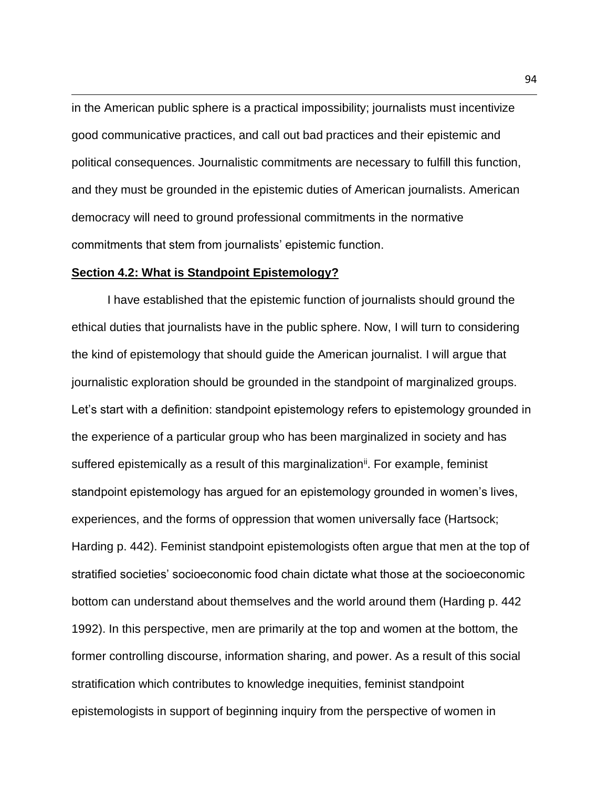in the American public sphere is a practical impossibility; journalists must incentivize good communicative practices, and call out bad practices and their epistemic and political consequences. Journalistic commitments are necessary to fulfill this function, and they must be grounded in the epistemic duties of American journalists. American democracy will need to ground professional commitments in the normative commitments that stem from journalists' epistemic function.

# **Section 4.2: What is Standpoint Epistemology?**

I have established that the epistemic function of journalists should ground the ethical duties that journalists have in the public sphere. Now, I will turn to considering the kind of epistemology that should guide the American journalist. I will argue that journalistic exploration should be grounded in the standpoint of marginalized groups. Let's start with a definition: standpoint epistemology refers to epistemology grounded in the experience of a particular group who has been marginalized in society and has suffered epistemically as a result of this marginalization<sup>ii</sup>. For example, feminist standpoint epistemology has argued for an epistemology grounded in women's lives, experiences, and the forms of oppression that women universally face (Hartsock; Harding p. 442). Feminist standpoint epistemologists often argue that men at the top of stratified societies' socioeconomic food chain dictate what those at the socioeconomic bottom can understand about themselves and the world around them (Harding p. 442 1992). In this perspective, men are primarily at the top and women at the bottom, the former controlling discourse, information sharing, and power. As a result of this social stratification which contributes to knowledge inequities, feminist standpoint epistemologists in support of beginning inquiry from the perspective of women in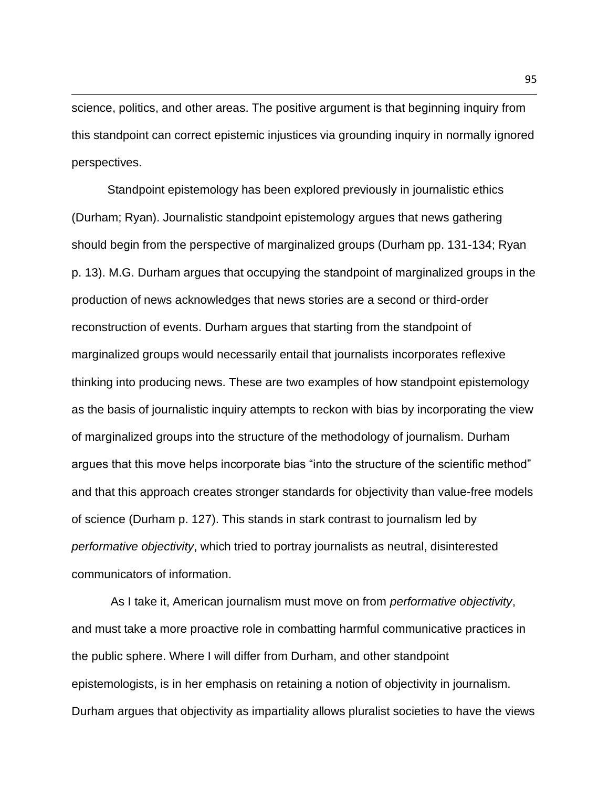science, politics, and other areas. The positive argument is that beginning inquiry from this standpoint can correct epistemic injustices via grounding inquiry in normally ignored perspectives.

Standpoint epistemology has been explored previously in journalistic ethics (Durham; Ryan). Journalistic standpoint epistemology argues that news gathering should begin from the perspective of marginalized groups (Durham pp. 131-134; Ryan p. 13). M.G. Durham argues that occupying the standpoint of marginalized groups in the production of news acknowledges that news stories are a second or third-order reconstruction of events. Durham argues that starting from the standpoint of marginalized groups would necessarily entail that journalists incorporates reflexive thinking into producing news. These are two examples of how standpoint epistemology as the basis of journalistic inquiry attempts to reckon with bias by incorporating the view of marginalized groups into the structure of the methodology of journalism. Durham argues that this move helps incorporate bias "into the structure of the scientific method" and that this approach creates stronger standards for objectivity than value-free models of science (Durham p. 127). This stands in stark contrast to journalism led by *performative objectivity*, which tried to portray journalists as neutral, disinterested communicators of information.

As I take it, American journalism must move on from *performative objectivity*, and must take a more proactive role in combatting harmful communicative practices in the public sphere. Where I will differ from Durham, and other standpoint epistemologists, is in her emphasis on retaining a notion of objectivity in journalism. Durham argues that objectivity as impartiality allows pluralist societies to have the views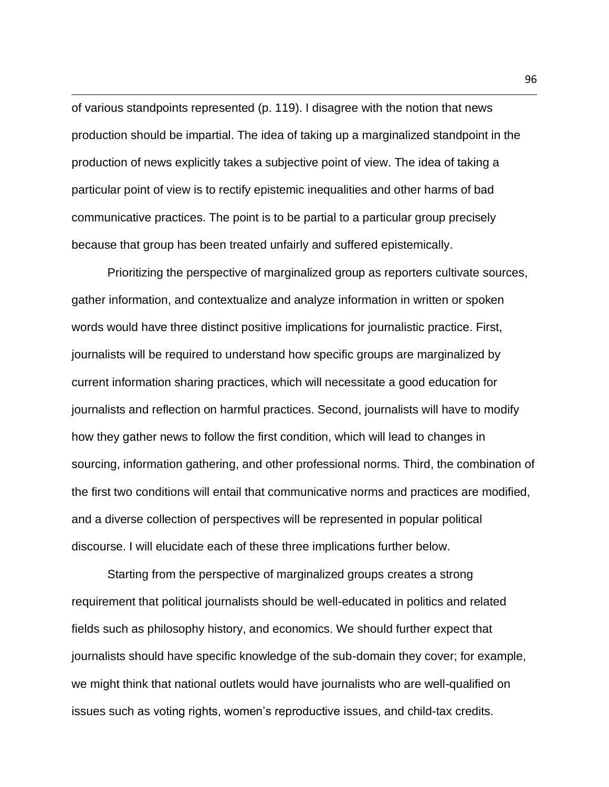of various standpoints represented (p. 119). I disagree with the notion that news production should be impartial. The idea of taking up a marginalized standpoint in the production of news explicitly takes a subjective point of view. The idea of taking a particular point of view is to rectify epistemic inequalities and other harms of bad communicative practices. The point is to be partial to a particular group precisely because that group has been treated unfairly and suffered epistemically.

Prioritizing the perspective of marginalized group as reporters cultivate sources, gather information, and contextualize and analyze information in written or spoken words would have three distinct positive implications for journalistic practice. First, journalists will be required to understand how specific groups are marginalized by current information sharing practices, which will necessitate a good education for journalists and reflection on harmful practices. Second, journalists will have to modify how they gather news to follow the first condition, which will lead to changes in sourcing, information gathering, and other professional norms. Third, the combination of the first two conditions will entail that communicative norms and practices are modified, and a diverse collection of perspectives will be represented in popular political discourse. I will elucidate each of these three implications further below.

Starting from the perspective of marginalized groups creates a strong requirement that political journalists should be well-educated in politics and related fields such as philosophy history, and economics. We should further expect that journalists should have specific knowledge of the sub-domain they cover; for example, we might think that national outlets would have journalists who are well-qualified on issues such as voting rights, women's reproductive issues, and child-tax credits.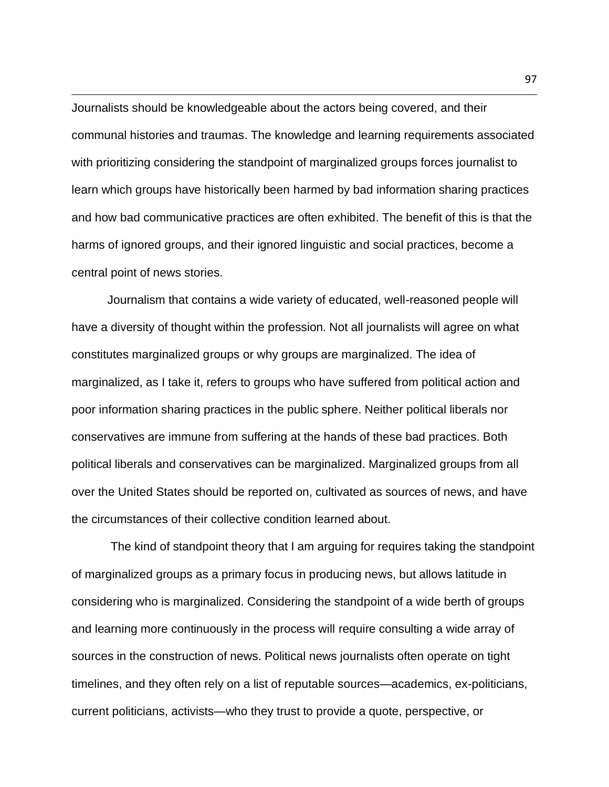Journalists should be knowledgeable about the actors being covered, and their communal histories and traumas. The knowledge and learning requirements associated with prioritizing considering the standpoint of marginalized groups forces journalist to learn which groups have historically been harmed by bad information sharing practices and how bad communicative practices are often exhibited. The benefit of this is that the harms of ignored groups, and their ignored linguistic and social practices, become a central point of news stories.

Journalism that contains a wide variety of educated, well-reasoned people will have a diversity of thought within the profession. Not all journalists will agree on what constitutes marginalized groups or why groups are marginalized. The idea of marginalized, as I take it, refers to groups who have suffered from political action and poor information sharing practices in the public sphere. Neither political liberals nor conservatives are immune from suffering at the hands of these bad practices. Both political liberals and conservatives can be marginalized. Marginalized groups from all over the United States should be reported on, cultivated as sources of news, and have the circumstances of their collective condition learned about.

The kind of standpoint theory that I am arguing for requires taking the standpoint of marginalized groups as a primary focus in producing news, but allows latitude in considering who is marginalized. Considering the standpoint of a wide berth of groups and learning more continuously in the process will require consulting a wide array of sources in the construction of news. Political news journalists often operate on tight timelines, and they often rely on a list of reputable sources—academics, ex-politicians, current politicians, activists—who they trust to provide a quote, perspective, or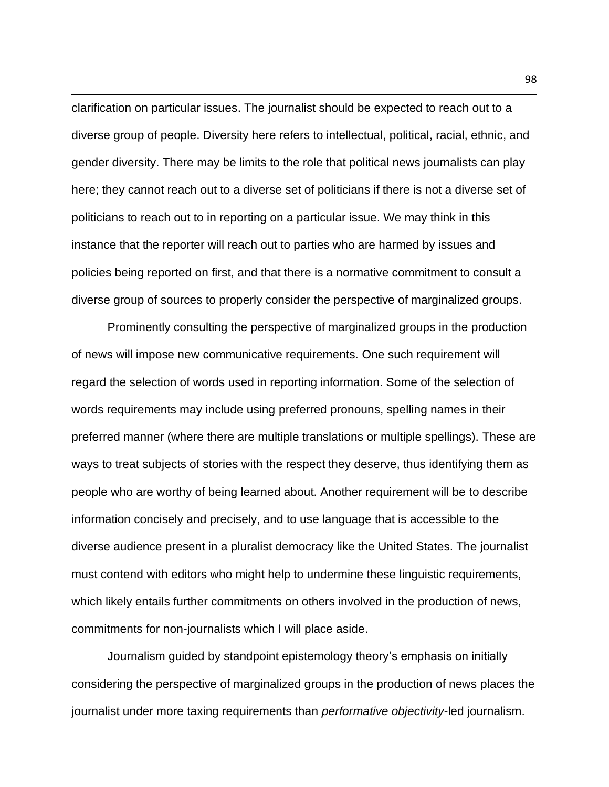clarification on particular issues. The journalist should be expected to reach out to a diverse group of people. Diversity here refers to intellectual, political, racial, ethnic, and gender diversity. There may be limits to the role that political news journalists can play here; they cannot reach out to a diverse set of politicians if there is not a diverse set of politicians to reach out to in reporting on a particular issue. We may think in this instance that the reporter will reach out to parties who are harmed by issues and policies being reported on first, and that there is a normative commitment to consult a diverse group of sources to properly consider the perspective of marginalized groups.

Prominently consulting the perspective of marginalized groups in the production of news will impose new communicative requirements. One such requirement will regard the selection of words used in reporting information. Some of the selection of words requirements may include using preferred pronouns, spelling names in their preferred manner (where there are multiple translations or multiple spellings). These are ways to treat subjects of stories with the respect they deserve, thus identifying them as people who are worthy of being learned about. Another requirement will be to describe information concisely and precisely, and to use language that is accessible to the diverse audience present in a pluralist democracy like the United States. The journalist must contend with editors who might help to undermine these linguistic requirements, which likely entails further commitments on others involved in the production of news, commitments for non-journalists which I will place aside.

Journalism guided by standpoint epistemology theory's emphasis on initially considering the perspective of marginalized groups in the production of news places the journalist under more taxing requirements than *performative objectivity*-led journalism.

98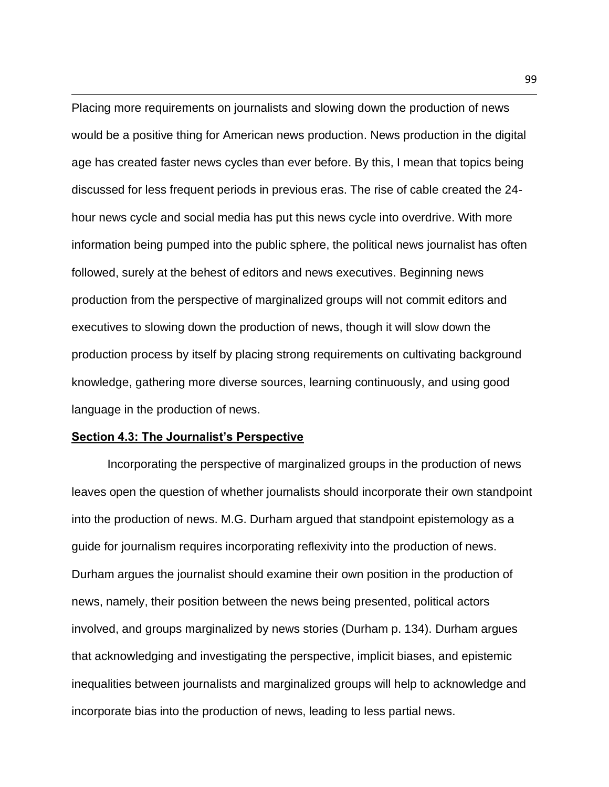Placing more requirements on journalists and slowing down the production of news would be a positive thing for American news production. News production in the digital age has created faster news cycles than ever before. By this, I mean that topics being discussed for less frequent periods in previous eras. The rise of cable created the 24 hour news cycle and social media has put this news cycle into overdrive. With more information being pumped into the public sphere, the political news journalist has often followed, surely at the behest of editors and news executives. Beginning news production from the perspective of marginalized groups will not commit editors and executives to slowing down the production of news, though it will slow down the production process by itself by placing strong requirements on cultivating background knowledge, gathering more diverse sources, learning continuously, and using good language in the production of news.

# **Section 4.3: The Journalist's Perspective**

Incorporating the perspective of marginalized groups in the production of news leaves open the question of whether journalists should incorporate their own standpoint into the production of news. M.G. Durham argued that standpoint epistemology as a guide for journalism requires incorporating reflexivity into the production of news. Durham argues the journalist should examine their own position in the production of news, namely, their position between the news being presented, political actors involved, and groups marginalized by news stories (Durham p. 134). Durham argues that acknowledging and investigating the perspective, implicit biases, and epistemic inequalities between journalists and marginalized groups will help to acknowledge and incorporate bias into the production of news, leading to less partial news.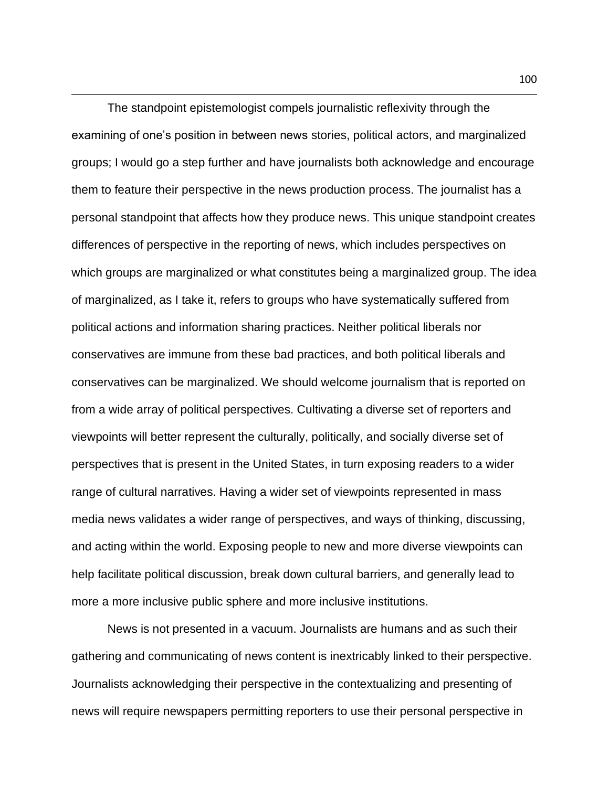The standpoint epistemologist compels journalistic reflexivity through the examining of one's position in between news stories, political actors, and marginalized groups; I would go a step further and have journalists both acknowledge and encourage them to feature their perspective in the news production process. The journalist has a personal standpoint that affects how they produce news. This unique standpoint creates differences of perspective in the reporting of news, which includes perspectives on which groups are marginalized or what constitutes being a marginalized group. The idea of marginalized, as I take it, refers to groups who have systematically suffered from political actions and information sharing practices. Neither political liberals nor conservatives are immune from these bad practices, and both political liberals and conservatives can be marginalized. We should welcome journalism that is reported on from a wide array of political perspectives. Cultivating a diverse set of reporters and viewpoints will better represent the culturally, politically, and socially diverse set of perspectives that is present in the United States, in turn exposing readers to a wider range of cultural narratives. Having a wider set of viewpoints represented in mass media news validates a wider range of perspectives, and ways of thinking, discussing, and acting within the world. Exposing people to new and more diverse viewpoints can help facilitate political discussion, break down cultural barriers, and generally lead to more a more inclusive public sphere and more inclusive institutions.

News is not presented in a vacuum. Journalists are humans and as such their gathering and communicating of news content is inextricably linked to their perspective. Journalists acknowledging their perspective in the contextualizing and presenting of news will require newspapers permitting reporters to use their personal perspective in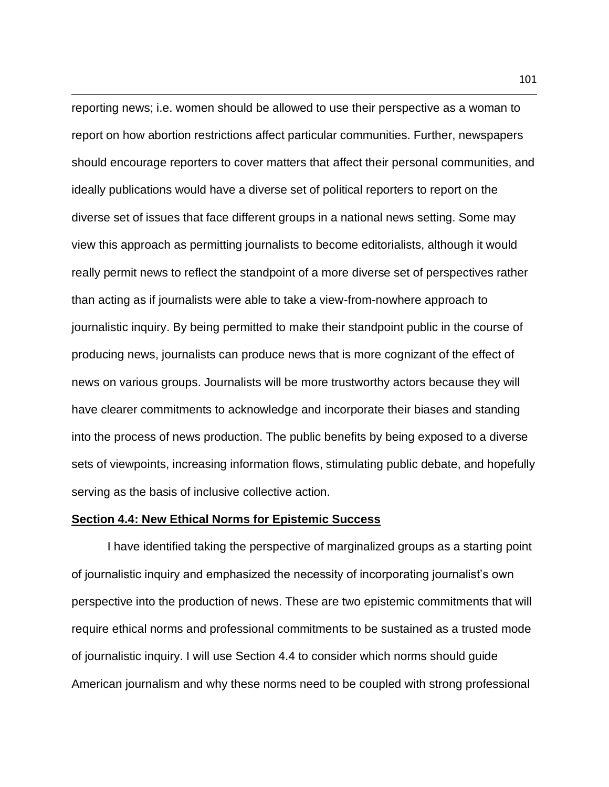reporting news; i.e. women should be allowed to use their perspective as a woman to report on how abortion restrictions affect particular communities. Further, newspapers should encourage reporters to cover matters that affect their personal communities, and ideally publications would have a diverse set of political reporters to report on the diverse set of issues that face different groups in a national news setting. Some may view this approach as permitting journalists to become editorialists, although it would really permit news to reflect the standpoint of a more diverse set of perspectives rather than acting as if journalists were able to take a view-from-nowhere approach to journalistic inquiry. By being permitted to make their standpoint public in the course of producing news, journalists can produce news that is more cognizant of the effect of news on various groups. Journalists will be more trustworthy actors because they will have clearer commitments to acknowledge and incorporate their biases and standing into the process of news production. The public benefits by being exposed to a diverse sets of viewpoints, increasing information flows, stimulating public debate, and hopefully serving as the basis of inclusive collective action.

## **Section 4.4: New Ethical Norms for Epistemic Success**

I have identified taking the perspective of marginalized groups as a starting point of journalistic inquiry and emphasized the necessity of incorporating journalist's own perspective into the production of news. These are two epistemic commitments that will require ethical norms and professional commitments to be sustained as a trusted mode of journalistic inquiry. I will use Section 4.4 to consider which norms should guide American journalism and why these norms need to be coupled with strong professional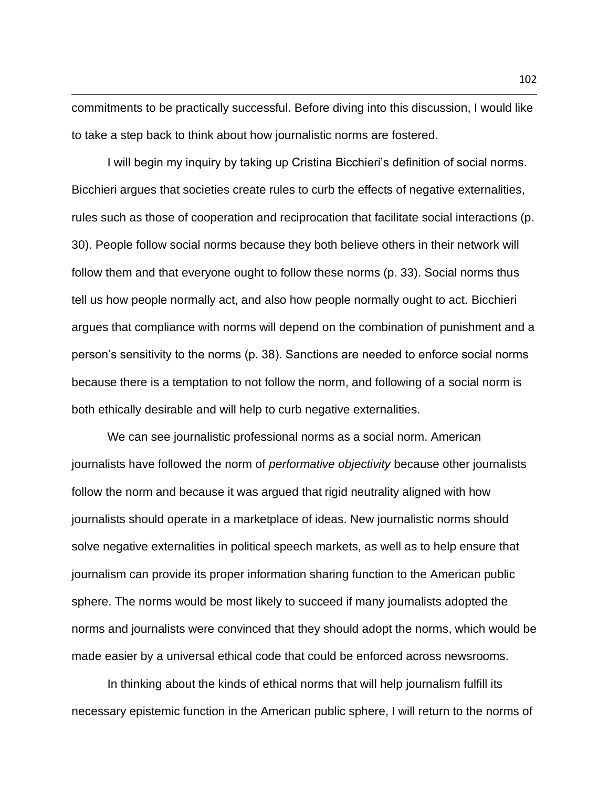commitments to be practically successful. Before diving into this discussion, I would like to take a step back to think about how journalistic norms are fostered.

I will begin my inquiry by taking up Cristina Bicchieri's definition of social norms. Bicchieri argues that societies create rules to curb the effects of negative externalities, rules such as those of cooperation and reciprocation that facilitate social interactions (p. 30). People follow social norms because they both believe others in their network will follow them and that everyone ought to follow these norms (p. 33). Social norms thus tell us how people normally act, and also how people normally ought to act. Bicchieri argues that compliance with norms will depend on the combination of punishment and a person's sensitivity to the norms (p. 38). Sanctions are needed to enforce social norms because there is a temptation to not follow the norm, and following of a social norm is both ethically desirable and will help to curb negative externalities.

We can see journalistic professional norms as a social norm. American journalists have followed the norm of *performative objectivity* because other journalists follow the norm and because it was argued that rigid neutrality aligned with how journalists should operate in a marketplace of ideas. New journalistic norms should solve negative externalities in political speech markets, as well as to help ensure that journalism can provide its proper information sharing function to the American public sphere. The norms would be most likely to succeed if many journalists adopted the norms and journalists were convinced that they should adopt the norms, which would be made easier by a universal ethical code that could be enforced across newsrooms.

In thinking about the kinds of ethical norms that will help journalism fulfill its necessary epistemic function in the American public sphere, I will return to the norms of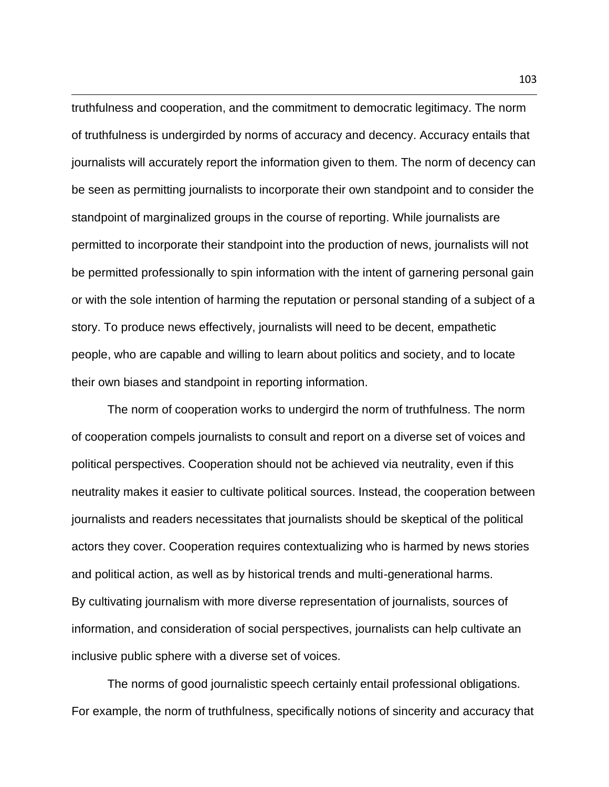truthfulness and cooperation, and the commitment to democratic legitimacy. The norm of truthfulness is undergirded by norms of accuracy and decency. Accuracy entails that journalists will accurately report the information given to them. The norm of decency can be seen as permitting journalists to incorporate their own standpoint and to consider the standpoint of marginalized groups in the course of reporting. While journalists are permitted to incorporate their standpoint into the production of news, journalists will not be permitted professionally to spin information with the intent of garnering personal gain or with the sole intention of harming the reputation or personal standing of a subject of a story. To produce news effectively, journalists will need to be decent, empathetic people, who are capable and willing to learn about politics and society, and to locate their own biases and standpoint in reporting information.

The norm of cooperation works to undergird the norm of truthfulness. The norm of cooperation compels journalists to consult and report on a diverse set of voices and political perspectives. Cooperation should not be achieved via neutrality, even if this neutrality makes it easier to cultivate political sources. Instead, the cooperation between journalists and readers necessitates that journalists should be skeptical of the political actors they cover. Cooperation requires contextualizing who is harmed by news stories and political action, as well as by historical trends and multi-generational harms. By cultivating journalism with more diverse representation of journalists, sources of information, and consideration of social perspectives, journalists can help cultivate an inclusive public sphere with a diverse set of voices.

The norms of good journalistic speech certainly entail professional obligations. For example, the norm of truthfulness, specifically notions of sincerity and accuracy that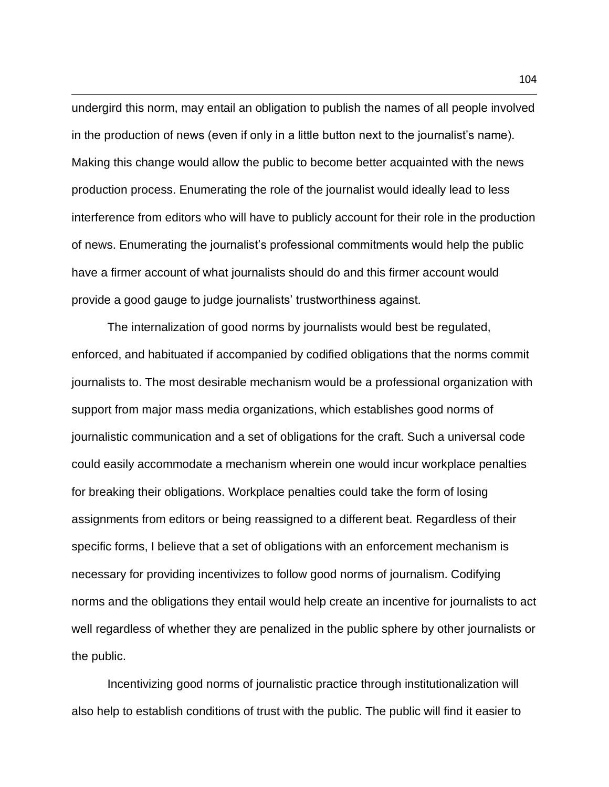undergird this norm, may entail an obligation to publish the names of all people involved in the production of news (even if only in a little button next to the journalist's name). Making this change would allow the public to become better acquainted with the news production process. Enumerating the role of the journalist would ideally lead to less interference from editors who will have to publicly account for their role in the production of news. Enumerating the journalist's professional commitments would help the public have a firmer account of what journalists should do and this firmer account would provide a good gauge to judge journalists' trustworthiness against.

The internalization of good norms by journalists would best be regulated, enforced, and habituated if accompanied by codified obligations that the norms commit journalists to. The most desirable mechanism would be a professional organization with support from major mass media organizations, which establishes good norms of journalistic communication and a set of obligations for the craft. Such a universal code could easily accommodate a mechanism wherein one would incur workplace penalties for breaking their obligations. Workplace penalties could take the form of losing assignments from editors or being reassigned to a different beat. Regardless of their specific forms, I believe that a set of obligations with an enforcement mechanism is necessary for providing incentivizes to follow good norms of journalism. Codifying norms and the obligations they entail would help create an incentive for journalists to act well regardless of whether they are penalized in the public sphere by other journalists or the public.

Incentivizing good norms of journalistic practice through institutionalization will also help to establish conditions of trust with the public. The public will find it easier to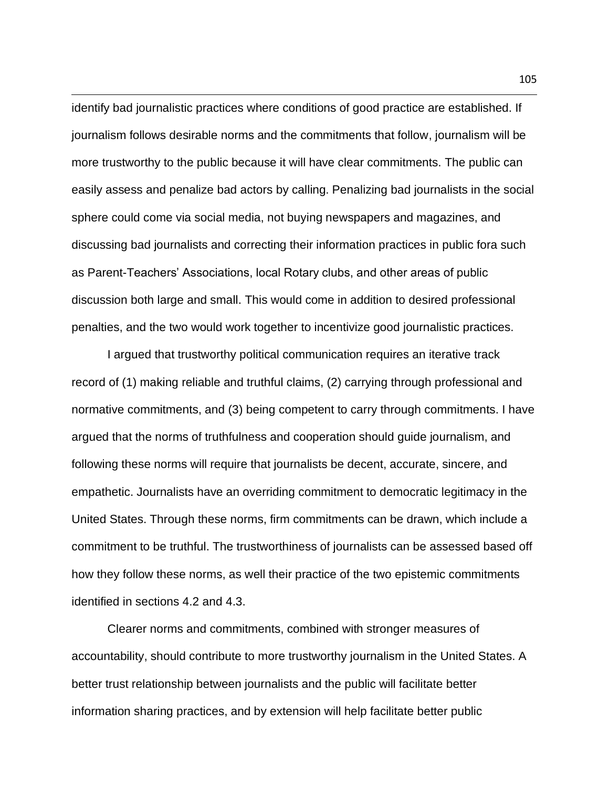identify bad journalistic practices where conditions of good practice are established. If journalism follows desirable norms and the commitments that follow, journalism will be more trustworthy to the public because it will have clear commitments. The public can easily assess and penalize bad actors by calling. Penalizing bad journalists in the social sphere could come via social media, not buying newspapers and magazines, and discussing bad journalists and correcting their information practices in public fora such as Parent-Teachers' Associations, local Rotary clubs, and other areas of public discussion both large and small. This would come in addition to desired professional penalties, and the two would work together to incentivize good journalistic practices.

I argued that trustworthy political communication requires an iterative track record of (1) making reliable and truthful claims, (2) carrying through professional and normative commitments, and (3) being competent to carry through commitments. I have argued that the norms of truthfulness and cooperation should guide journalism, and following these norms will require that journalists be decent, accurate, sincere, and empathetic. Journalists have an overriding commitment to democratic legitimacy in the United States. Through these norms, firm commitments can be drawn, which include a commitment to be truthful. The trustworthiness of journalists can be assessed based off how they follow these norms, as well their practice of the two epistemic commitments identified in sections 4.2 and 4.3.

Clearer norms and commitments, combined with stronger measures of accountability, should contribute to more trustworthy journalism in the United States. A better trust relationship between journalists and the public will facilitate better information sharing practices, and by extension will help facilitate better public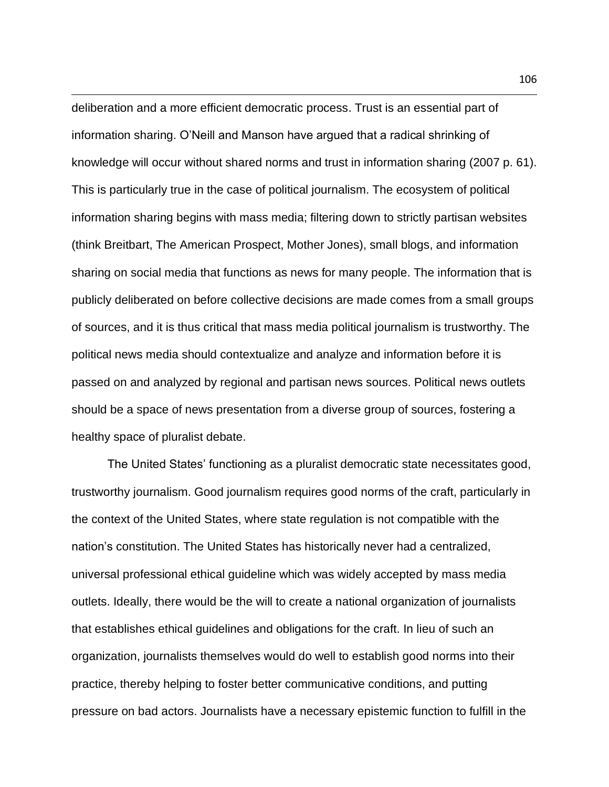deliberation and a more efficient democratic process. Trust is an essential part of information sharing. O'Neill and Manson have argued that a radical shrinking of knowledge will occur without shared norms and trust in information sharing (2007 p. 61). This is particularly true in the case of political journalism. The ecosystem of political information sharing begins with mass media; filtering down to strictly partisan websites (think Breitbart, The American Prospect, Mother Jones), small blogs, and information sharing on social media that functions as news for many people. The information that is publicly deliberated on before collective decisions are made comes from a small groups of sources, and it is thus critical that mass media political journalism is trustworthy. The political news media should contextualize and analyze and information before it is passed on and analyzed by regional and partisan news sources. Political news outlets should be a space of news presentation from a diverse group of sources, fostering a healthy space of pluralist debate.

The United States' functioning as a pluralist democratic state necessitates good, trustworthy journalism. Good journalism requires good norms of the craft, particularly in the context of the United States, where state regulation is not compatible with the nation's constitution. The United States has historically never had a centralized, universal professional ethical guideline which was widely accepted by mass media outlets. Ideally, there would be the will to create a national organization of journalists that establishes ethical guidelines and obligations for the craft. In lieu of such an organization, journalists themselves would do well to establish good norms into their practice, thereby helping to foster better communicative conditions, and putting pressure on bad actors. Journalists have a necessary epistemic function to fulfill in the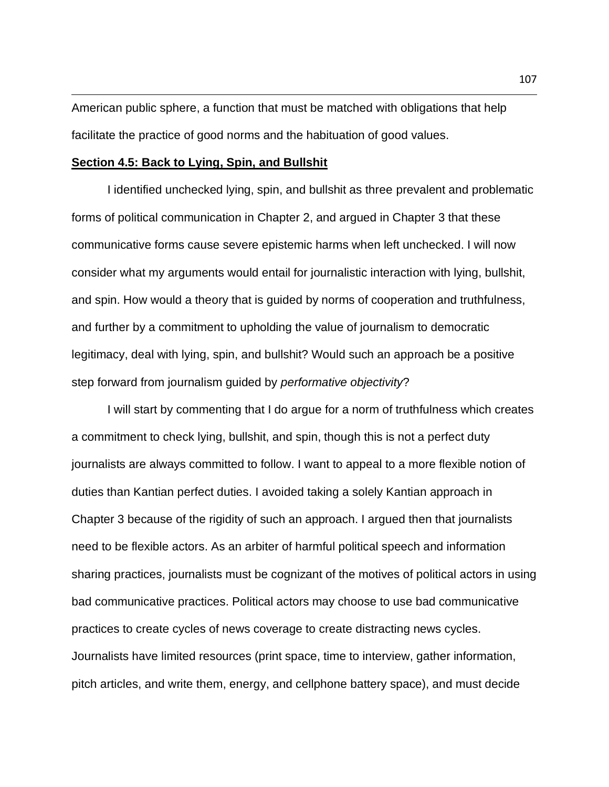American public sphere, a function that must be matched with obligations that help facilitate the practice of good norms and the habituation of good values.

### **Section 4.5: Back to Lying, Spin, and Bullshit**

I identified unchecked lying, spin, and bullshit as three prevalent and problematic forms of political communication in Chapter 2, and argued in Chapter 3 that these communicative forms cause severe epistemic harms when left unchecked. I will now consider what my arguments would entail for journalistic interaction with lying, bullshit, and spin. How would a theory that is guided by norms of cooperation and truthfulness, and further by a commitment to upholding the value of journalism to democratic legitimacy, deal with lying, spin, and bullshit? Would such an approach be a positive step forward from journalism guided by *performative objectivity*?

I will start by commenting that I do argue for a norm of truthfulness which creates a commitment to check lying, bullshit, and spin, though this is not a perfect duty journalists are always committed to follow. I want to appeal to a more flexible notion of duties than Kantian perfect duties. I avoided taking a solely Kantian approach in Chapter 3 because of the rigidity of such an approach. I argued then that journalists need to be flexible actors. As an arbiter of harmful political speech and information sharing practices, journalists must be cognizant of the motives of political actors in using bad communicative practices. Political actors may choose to use bad communicative practices to create cycles of news coverage to create distracting news cycles. Journalists have limited resources (print space, time to interview, gather information, pitch articles, and write them, energy, and cellphone battery space), and must decide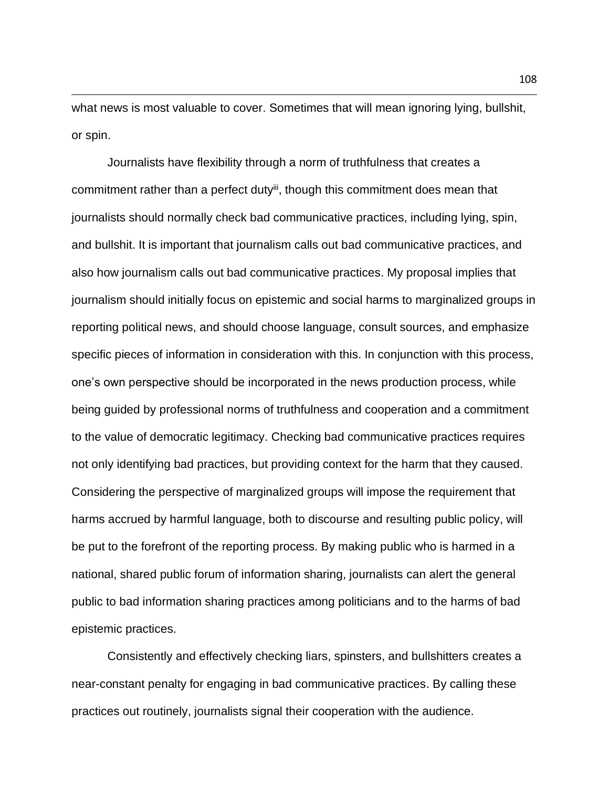what news is most valuable to cover. Sometimes that will mean ignoring lying, bullshit, or spin.

Journalists have flexibility through a norm of truthfulness that creates a commitment rather than a perfect duty<sup>iii</sup>, though this commitment does mean that journalists should normally check bad communicative practices, including lying, spin, and bullshit. It is important that journalism calls out bad communicative practices, and also how journalism calls out bad communicative practices. My proposal implies that journalism should initially focus on epistemic and social harms to marginalized groups in reporting political news, and should choose language, consult sources, and emphasize specific pieces of information in consideration with this. In conjunction with this process, one's own perspective should be incorporated in the news production process, while being guided by professional norms of truthfulness and cooperation and a commitment to the value of democratic legitimacy. Checking bad communicative practices requires not only identifying bad practices, but providing context for the harm that they caused. Considering the perspective of marginalized groups will impose the requirement that harms accrued by harmful language, both to discourse and resulting public policy, will be put to the forefront of the reporting process. By making public who is harmed in a national, shared public forum of information sharing, journalists can alert the general public to bad information sharing practices among politicians and to the harms of bad epistemic practices.

Consistently and effectively checking liars, spinsters, and bullshitters creates a near-constant penalty for engaging in bad communicative practices. By calling these practices out routinely, journalists signal their cooperation with the audience.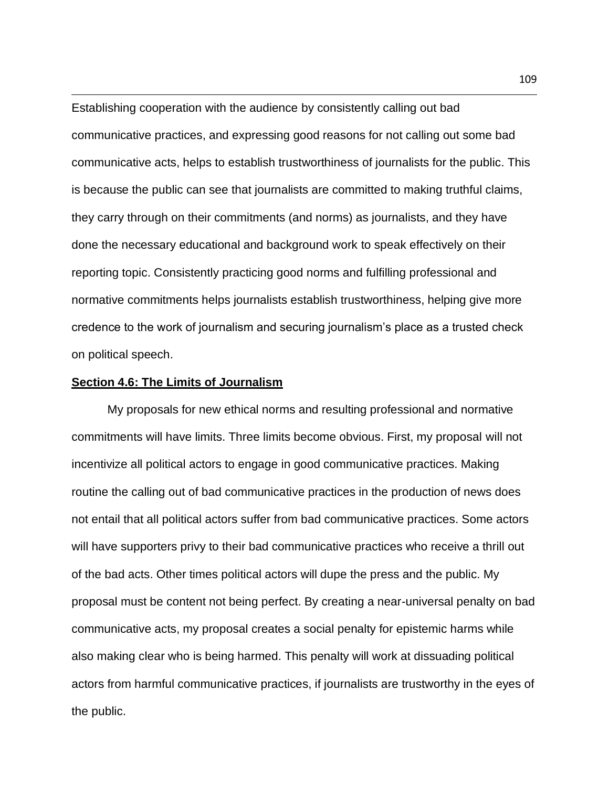Establishing cooperation with the audience by consistently calling out bad communicative practices, and expressing good reasons for not calling out some bad communicative acts, helps to establish trustworthiness of journalists for the public. This is because the public can see that journalists are committed to making truthful claims, they carry through on their commitments (and norms) as journalists, and they have done the necessary educational and background work to speak effectively on their reporting topic. Consistently practicing good norms and fulfilling professional and normative commitments helps journalists establish trustworthiness, helping give more credence to the work of journalism and securing journalism's place as a trusted check on political speech.

## **Section 4.6: The Limits of Journalism**

My proposals for new ethical norms and resulting professional and normative commitments will have limits. Three limits become obvious. First, my proposal will not incentivize all political actors to engage in good communicative practices. Making routine the calling out of bad communicative practices in the production of news does not entail that all political actors suffer from bad communicative practices. Some actors will have supporters privy to their bad communicative practices who receive a thrill out of the bad acts. Other times political actors will dupe the press and the public. My proposal must be content not being perfect. By creating a near-universal penalty on bad communicative acts, my proposal creates a social penalty for epistemic harms while also making clear who is being harmed. This penalty will work at dissuading political actors from harmful communicative practices, if journalists are trustworthy in the eyes of the public.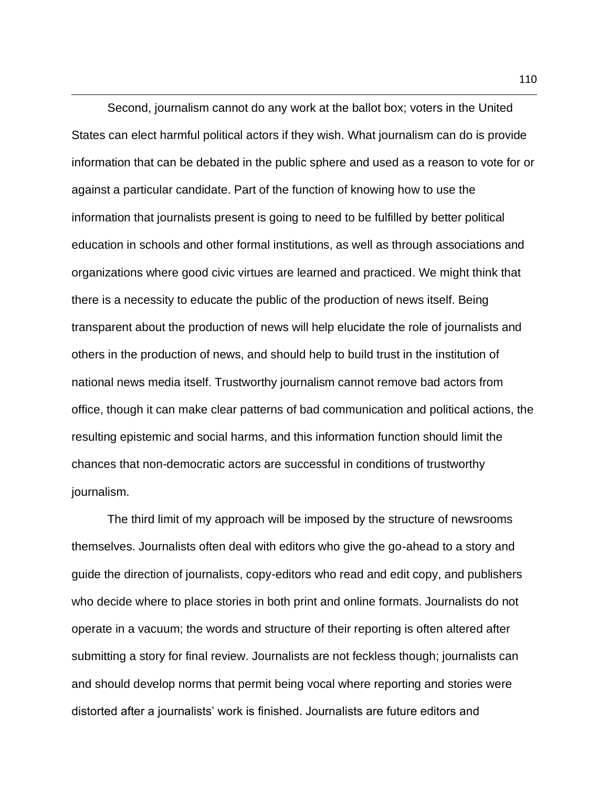Second, journalism cannot do any work at the ballot box; voters in the United States can elect harmful political actors if they wish. What journalism can do is provide information that can be debated in the public sphere and used as a reason to vote for or against a particular candidate. Part of the function of knowing how to use the information that journalists present is going to need to be fulfilled by better political education in schools and other formal institutions, as well as through associations and organizations where good civic virtues are learned and practiced. We might think that there is a necessity to educate the public of the production of news itself. Being transparent about the production of news will help elucidate the role of journalists and others in the production of news, and should help to build trust in the institution of national news media itself. Trustworthy journalism cannot remove bad actors from office, though it can make clear patterns of bad communication and political actions, the resulting epistemic and social harms, and this information function should limit the chances that non-democratic actors are successful in conditions of trustworthy journalism.

The third limit of my approach will be imposed by the structure of newsrooms themselves. Journalists often deal with editors who give the go-ahead to a story and guide the direction of journalists, copy-editors who read and edit copy, and publishers who decide where to place stories in both print and online formats. Journalists do not operate in a vacuum; the words and structure of their reporting is often altered after submitting a story for final review. Journalists are not feckless though; journalists can and should develop norms that permit being vocal where reporting and stories were distorted after a journalists' work is finished. Journalists are future editors and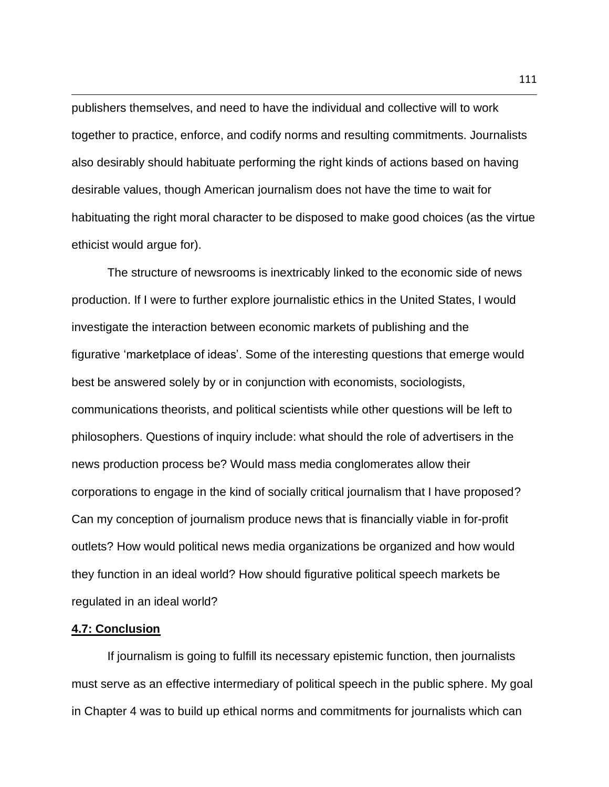publishers themselves, and need to have the individual and collective will to work together to practice, enforce, and codify norms and resulting commitments. Journalists also desirably should habituate performing the right kinds of actions based on having desirable values, though American journalism does not have the time to wait for habituating the right moral character to be disposed to make good choices (as the virtue ethicist would argue for).

The structure of newsrooms is inextricably linked to the economic side of news production. If I were to further explore journalistic ethics in the United States, I would investigate the interaction between economic markets of publishing and the figurative 'marketplace of ideas'. Some of the interesting questions that emerge would best be answered solely by or in conjunction with economists, sociologists, communications theorists, and political scientists while other questions will be left to philosophers. Questions of inquiry include: what should the role of advertisers in the news production process be? Would mass media conglomerates allow their corporations to engage in the kind of socially critical journalism that I have proposed? Can my conception of journalism produce news that is financially viable in for-profit outlets? How would political news media organizations be organized and how would they function in an ideal world? How should figurative political speech markets be regulated in an ideal world?

## **4.7: Conclusion**

If journalism is going to fulfill its necessary epistemic function, then journalists must serve as an effective intermediary of political speech in the public sphere. My goal in Chapter 4 was to build up ethical norms and commitments for journalists which can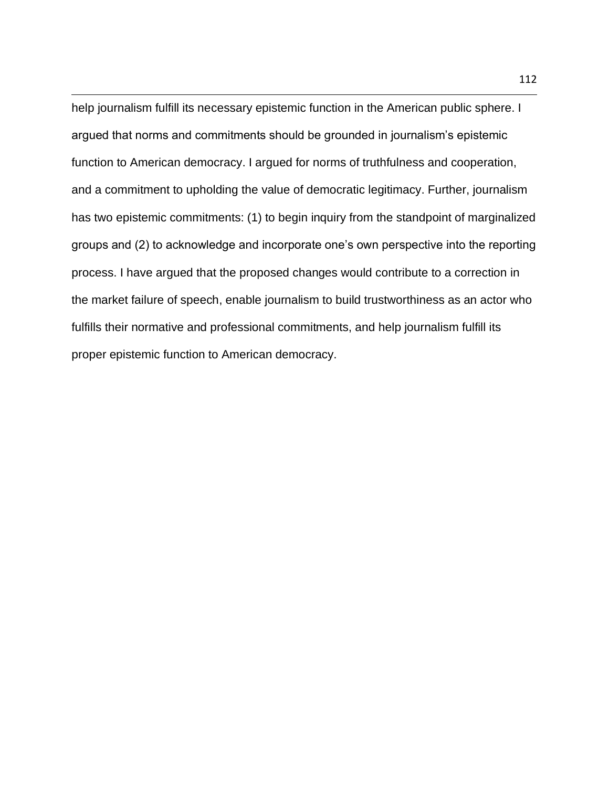help journalism fulfill its necessary epistemic function in the American public sphere. I argued that norms and commitments should be grounded in journalism's epistemic function to American democracy. I argued for norms of truthfulness and cooperation, and a commitment to upholding the value of democratic legitimacy. Further, journalism has two epistemic commitments: (1) to begin inquiry from the standpoint of marginalized groups and (2) to acknowledge and incorporate one's own perspective into the reporting process. I have argued that the proposed changes would contribute to a correction in the market failure of speech, enable journalism to build trustworthiness as an actor who fulfills their normative and professional commitments, and help journalism fulfill its proper epistemic function to American democracy.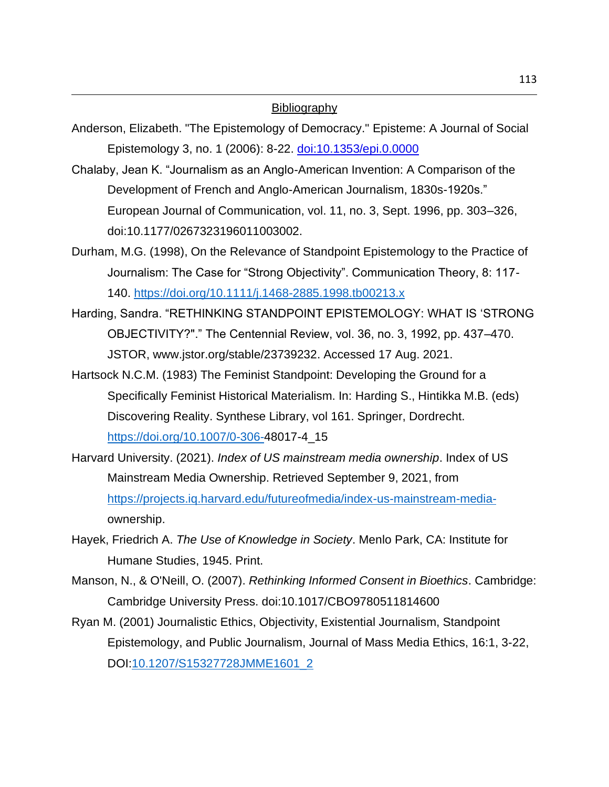## **Bibliography**

- Anderson, Elizabeth. "The Epistemology of Democracy." Episteme: A Journal of Social Epistemology 3, no. 1 (2006): 8-22. [doi:10.1353/epi.0.0000](https://eur01.safelinks.protection.outlook.com/?url=http%3A%2F%2Fdoi.org%2F10.1353%2Fepi.0.0000&data=04%7C01%7C%7C6dc0f1019b6247d9084708d8a19f2a85%7C1faf88fea9984c5b93c9210a11d9a5c2%7C0%7C0%7C637437052539164927%7CUnknown%7CTWFpbGZsb3d8eyJWIjoiMC4wLjAwMDAiLCJQIjoiV2luMzIiLCJBTiI6Ik1haWwiLCJXVCI6Mn0%3D%7C1000&sdata=YWh%2BtGEIiW3WbuOzQJOo8uFSg%2FSWsj7L%2F4ok1DWUhlo%3D&reserved=0)
- Chalaby, Jean K. "Journalism as an Anglo-American Invention: A Comparison of the Development of French and Anglo-American Journalism, 1830s-1920s." European Journal of Communication, vol. 11, no. 3, Sept. 1996, pp. 303–326, doi:10.1177/0267323196011003002.
- Durham, M.G. (1998), On the Relevance of Standpoint Epistemology to the Practice of Journalism: The Case for "Strong Objectivity". Communication Theory, 8: 117- 140.<https://doi.org/10.1111/j.1468-2885.1998.tb00213.x>
- Harding, Sandra. "RETHINKING STANDPOINT EPISTEMOLOGY: WHAT IS 'STRONG OBJECTIVITY?"." The Centennial Review, vol. 36, no. 3, 1992, pp. 437–470. JSTOR, www.jstor.org/stable/23739232. Accessed 17 Aug. 2021.
- Hartsock N.C.M. (1983) The Feminist Standpoint: Developing the Ground for a Specifically Feminist Historical Materialism. In: Harding S., Hintikka M.B. (eds) Discovering Reality. Synthese Library, vol 161. Springer, Dordrecht. [https://doi.org/10.1007/0-306-4](https://doi.org/10.1007/0-306-)8017-4\_15
- Harvard University. (2021). *Index of US mainstream media ownership*. Index of US Mainstream Media Ownership. Retrieved September 9, 2021, from [https://projects.iq.harvard.edu/futureofmedia/index-us-mainstream-media](https://projects.iq.harvard.edu/futureofmedia/index-us-mainstream-media-)ownership.
- Hayek, Friedrich A. *The Use of Knowledge in Society*. Menlo Park, CA: Institute for Humane Studies, 1945. Print.
- Manson, N., & O'Neill, O. (2007). *Rethinking Informed Consent in Bioethics*. Cambridge: Cambridge University Press. doi:10.1017/CBO9780511814600
- Ryan M. (2001) Journalistic Ethics, Objectivity, Existential Journalism, Standpoint Epistemology, and Public Journalism, Journal of Mass Media Ethics, 16:1, 3-22, DOI[:10.1207/S15327728JMME1601\\_2](https://doi.org/10.1207/S15327728JMME1601_2)